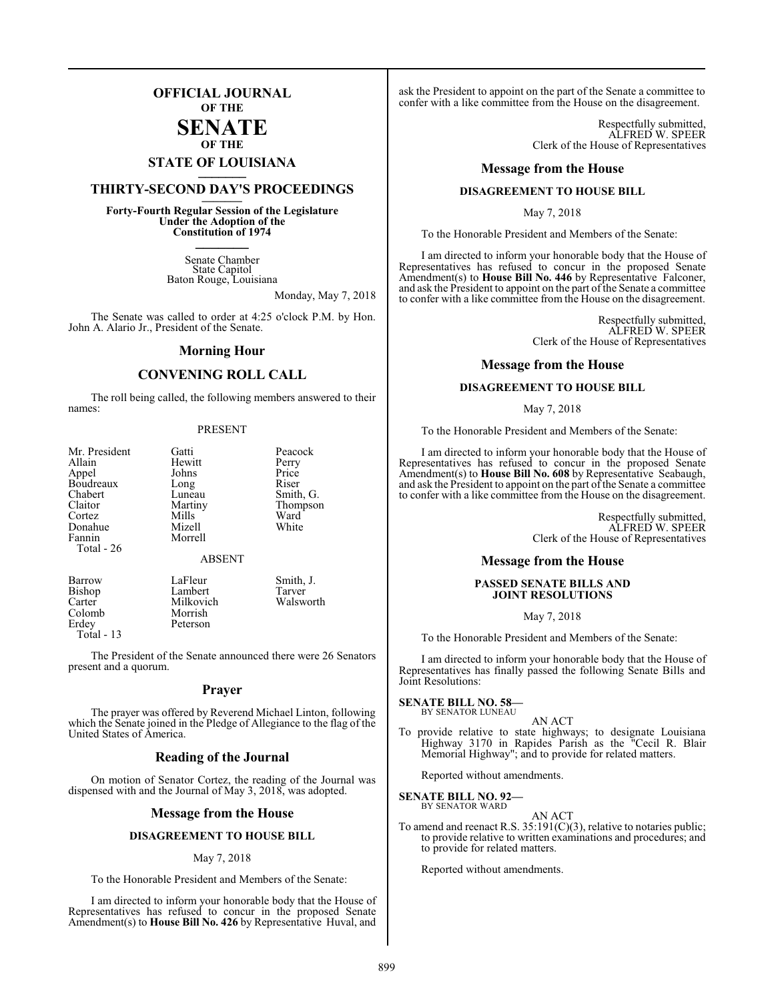## **OFFICIAL JOURNAL OF THE**

#### **SENATE OF THE**

# **STATE OF LOUISIANA \_\_\_\_\_\_\_**

## **THIRTY-SECOND DAY'S PROCEEDINGS \_\_\_\_\_\_\_**

**Forty-Fourth Regular Session of the Legislature Under the Adoption of the Constitution of 1974 \_\_\_\_\_\_\_**

> Senate Chamber State Capitol Baton Rouge, Louisiana

> > Monday, May 7, 2018

The Senate was called to order at 4:25 o'clock P.M. by Hon. John A. Alario Jr., President of the Senate.

#### **Morning Hour**

#### **CONVENING ROLL CALL**

The roll being called, the following members answered to their names:

#### PRESENT

| Mr. President | Gatti         | Peacock   |
|---------------|---------------|-----------|
| Allain        | Hewitt        | Perry     |
| Appel         | Johns         | Price     |
| Boudreaux     | Long          | Riser     |
| Chabert       | Luneau        | Smith, G. |
| Claitor       | Martiny       | Thompson  |
| Cortez        | Mills         | Ward      |
| Donahue       | Mizell        | White     |
| Fannin        | Morrell       |           |
| Total - 26    |               |           |
|               | <b>ABSENT</b> |           |

Peterson

Bishop Lambert<br>Carter Milkovich Carter Milkovich Walsworth Colomb Morrish<br>Erdey Peterson Total - 13

Barrow LaFleur Smith, J.<br>Bishop Lambert Tarver

The President of the Senate announced there were 26 Senators present and a quorum.

#### **Prayer**

The prayer was offered by Reverend Michael Linton, following which the Senate joined in the Pledge of Allegiance to the flag of the United States of America.

#### **Reading of the Journal**

On motion of Senator Cortez, the reading of the Journal was dispensed with and the Journal of May 3, 2018, was adopted.

#### **Message from the House**

#### **DISAGREEMENT TO HOUSE BILL**

#### May 7, 2018

To the Honorable President and Members of the Senate:

I am directed to inform your honorable body that the House of Representatives has refused to concur in the proposed Senate Amendment(s) to **House Bill No. 426** by Representative Huval, and

ask the President to appoint on the part of the Senate a committee to confer with a like committee from the House on the disagreement.

> Respectfully submitted, ALFRED W. SPEER Clerk of the House of Representatives

#### **Message from the House**

#### **DISAGREEMENT TO HOUSE BILL**

May 7, 2018

To the Honorable President and Members of the Senate:

I am directed to inform your honorable body that the House of Representatives has refused to concur in the proposed Senate Amendment(s) to **House Bill No. 446** by Representative Falconer, and ask the President to appoint on the part of the Senate a committee to confer with a like committee from the House on the disagreement.

> Respectfully submitted, ALFRED W. SPEER Clerk of the House of Representatives

#### **Message from the House**

#### **DISAGREEMENT TO HOUSE BILL**

#### May 7, 2018

To the Honorable President and Members of the Senate:

I am directed to inform your honorable body that the House of Representatives has refused to concur in the proposed Senate Amendment(s) to **House Bill No. 608** by Representative Seabaugh, and ask the President to appoint on the part of the Senate a committee to confer with a like committee from the House on the disagreement.

> Respectfully submitted, ALFRED W. SPEER Clerk of the House of Representatives

#### **Message from the House**

#### **PASSED SENATE BILLS AND JOINT RESOLUTIONS**

May 7, 2018

To the Honorable President and Members of the Senate:

I am directed to inform your honorable body that the House of Representatives has finally passed the following Senate Bills and Joint Resolutions:

#### **SENATE BILL NO. 58—** BY SENATOR LUNEAU

- 
- AN ACT To provide relative to state highways; to designate Louisiana Highway 3170 in Rapides Parish as the "Cecil R. Blair Memorial Highway"; and to provide for related matters.

Reported without amendments.

#### **SENATE BILL NO. 92—** BY SENATOR WARD

AN ACT

To amend and reenact R.S. 35:191(C)(3), relative to notaries public; to provide relative to written examinations and procedures; and to provide for related matters.

Reported without amendments.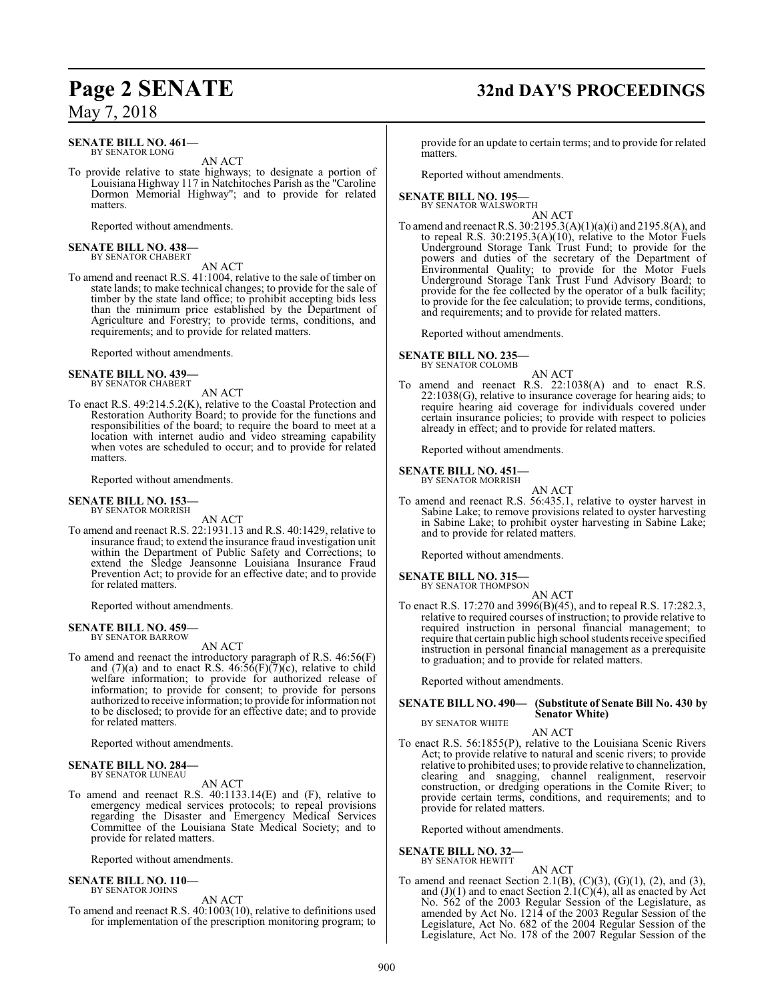#### **SENATE BILL NO. 461—** BY SENATOR LONG

AN ACT

To provide relative to state highways; to designate a portion of Louisiana Highway 117 in Natchitoches Parish as the "Caroline Dormon Memorial Highway"; and to provide for related matters.

Reported without amendments.

#### **SENATE BILL NO. 438—** BY SENATOR CHABERT

AN ACT

To amend and reenact R.S. 41:1004, relative to the sale of timber on state lands; to make technical changes; to provide for the sale of timber by the state land office; to prohibit accepting bids less than the minimum price established by the Department of Agriculture and Forestry; to provide terms, conditions, and requirements; and to provide for related matters.

Reported without amendments.

#### **SENATE BILL NO. 439—** BY SENATOR CHABERT

AN ACT

To enact R.S. 49:214.5.2(K), relative to the Coastal Protection and Restoration Authority Board; to provide for the functions and responsibilities of the board; to require the board to meet at a location with internet audio and video streaming capability when votes are scheduled to occur; and to provide for related matters.

Reported without amendments.

#### **SENATE BILL NO. 153—** BY SENATOR MORRISH

AN ACT

To amend and reenact R.S. 22:1931.13 and R.S. 40:1429, relative to insurance fraud; to extend the insurance fraud investigation unit within the Department of Public Safety and Corrections; to extend the Sledge Jeansonne Louisiana Insurance Fraud Prevention Act; to provide for an effective date; and to provide for related matters.

Reported without amendments.

#### **SENATE BILL NO. 459—** BY SENATOR BARROW

AN ACT

To amend and reenact the introductory paragraph of R.S. 46:56(F) and  $(7)(a)$  and to enact R.S. 46:56(F)( $7)(c)$ , relative to child welfare information; to provide for authorized release of information; to provide for consent; to provide for persons authorized to receive information; to provide for information not to be disclosed; to provide for an effective date; and to provide for related matters.

Reported without amendments.

#### **SENATE BILL NO. 284** BY SENATOR LUNEAU

AN ACT

To amend and reenact R.S. 40:1133.14(E) and (F), relative to emergency medical services protocols; to repeal provisions regarding the Disaster and Emergency Medical Services Committee of the Louisiana State Medical Society; and to provide for related matters.

Reported without amendments.

#### **SENATE BILL NO. 110—** BY SENATOR JOHNS

AN ACT

To amend and reenact R.S. 40:1003(10), relative to definitions used for implementation of the prescription monitoring program; to

## **Page 2 SENATE 32nd DAY'S PROCEEDINGS**

provide for an update to certain terms; and to provide for related matters.

Reported without amendments.

#### **SENATE BILL NO. 195—** BY SENATOR WALSWORTH

AN ACT

To amend and reenact R.S. 30:2195.3(A)(1)(a)(i) and 2195.8(A), and to repeal R.S. 30:2195.3(A)(10), relative to the Motor Fuels Underground Storage Tank Trust Fund; to provide for the powers and duties of the secretary of the Department of Environmental Quality; to provide for the Motor Fuels Underground Storage Tank Trust Fund Advisory Board; to provide for the fee collected by the operator of a bulk facility; to provide for the fee calculation; to provide terms, conditions, and requirements; and to provide for related matters.

Reported without amendments.

**SENATE BILL NO. 235—** BY SENATOR COLOMB

AN ACT

To amend and reenact R.S. 22:1038(A) and to enact R.S. 22:1038(G), relative to insurance coverage for hearing aids; to require hearing aid coverage for individuals covered under certain insurance policies; to provide with respect to policies already in effect; and to provide for related matters.

Reported without amendments.

#### **SENATE BILL NO. 451—** BY SENATOR MORRISH

AN ACT To amend and reenact R.S. 56:435.1, relative to oyster harvest in Sabine Lake; to remove provisions related to oyster harvesting in Sabine Lake; to prohibit oyster harvesting in Sabine Lake; and to provide for related matters.

Reported without amendments.

#### **SENATE BILL NO. 315—**

BY SENATOR THOMPSON AN ACT

To enact R.S. 17:270 and 3996(B)(45), and to repeal R.S. 17:282.3, relative to required courses of instruction; to provide relative to required instruction in personal financial management; to require that certain public high school students receive specified instruction in personal financial management as a prerequisite to graduation; and to provide for related matters.

Reported without amendments.

#### **SENATE BILL NO. 490— (Substitute of Senate Bill No. 430 by Senator White)** BY SENATOR WHITE

AN ACT

To enact R.S. 56:1855(P), relative to the Louisiana Scenic Rivers Act; to provide relative to natural and scenic rivers; to provide relative to prohibited uses; to provide relative to channelization, clearing and snagging, channel realignment, reservoir construction, or dredging operations in the Comite River; to provide certain terms, conditions, and requirements; and to provide for related matters.

Reported without amendments.

**SENATE BILL NO. 32—**

BY SENATOR HEWITT

AN ACT To amend and reenact Section 2.1(B),  $(C)(3)$ ,  $(G)(1)$ ,  $(2)$ , and  $(3)$ , and  $(J)(1)$  and to enact Section 2.1(C)(4), all as enacted by Act No. 562 of the 2003 Regular Session of the Legislature, as amended by Act No. 1214 of the 2003 Regular Session of the Legislature, Act No. 682 of the 2004 Regular Session of the Legislature, Act No. 178 of the 2007 Regular Session of the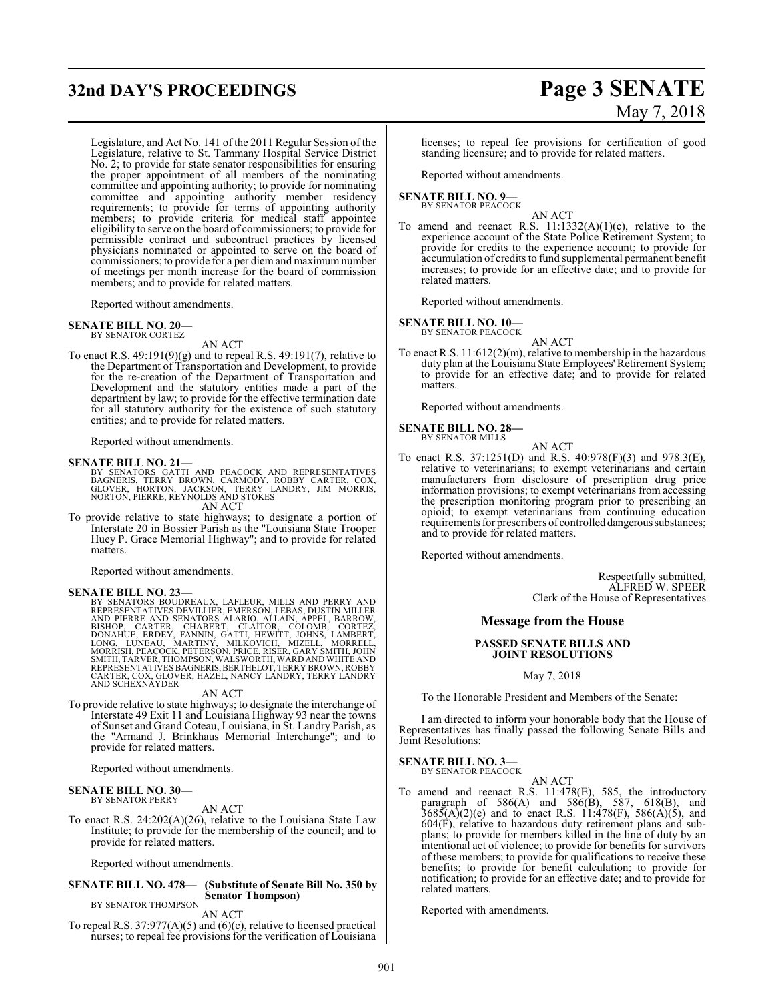# **32nd DAY'S PROCEEDINGS Page 3 SENATE**

Legislature, and Act No. 141 of the 2011 Regular Session of the Legislature, relative to St. Tammany Hospital Service District No. 2; to provide for state senator responsibilities for ensuring the proper appointment of all members of the nominating committee and appointing authority; to provide for nominating committee and appointing authority member residency requirements; to provide for terms of appointing authority members; to provide criteria for medical staff appointee eligibility to serve on the board of commissioners; to provide for permissible contract and subcontract practices by licensed physicians nominated or appointed to serve on the board of commissioners; to provide for a per diem and maximum number of meetings per month increase for the board of commission members; and to provide for related matters.

Reported without amendments.

#### **SENATE BILL NO. 20—**

BY SENATOR CORTEZ AN ACT

To enact R.S. 49:191(9)(g) and to repeal R.S. 49:191(7), relative to the Department of Transportation and Development, to provide for the re-creation of the Department of Transportation and Development and the statutory entities made a part of the department by law; to provide for the effective termination date for all statutory authority for the existence of such statutory entities; and to provide for related matters.

Reported without amendments.

#### **SENATE BILL NO. 21—**

BY SENATORS GATTI AND PEACOCK AND REPRESENTATIVES<br>BAGNERIS, TERRY BROWN, CARMODY, ROBBY CARTER, COX,<br>GLOVER, HORTON, JACKSON, TERRY LANDRY, JIM MORRIS,<br>NORTON,PIERRE,REYNOLDS AND STOKES<br>AN ACT

To provide relative to state highways; to designate a portion of Interstate 20 in Bossier Parish as the "Louisiana State Trooper Huey P. Grace Memorial Highway"; and to provide for related matters.

Reported without amendments.

**SENATE BILL NO. 23—**<br>BY SENATORS BOUDREAUX, LAFLEUR, MILLS AND PERRY AND BY SENATORS BOUDREAUX, LAFLEUR, MILLS AND PERRY AND<br>REPRESENTATIVES DEVILLIER, EMERSON, LEBAS, DUSTIN MILLER<br>AND PIERRE AND SENATORS ALARIO, ALLAIN, APPEL, BARROW,<br>DONAHUE, ERDEY, FANNIN, GATTI, HEWITT, JOHNS, CORTEZ,<br>DONA

#### AN ACT

To provide relative to state highways; to designate the interchange of Interstate 49 Exit 11 and Louisiana Highway 93 near the towns of Sunset and Grand Coteau, Louisiana, in St. Landry Parish, as the "Armand J. Brinkhaus Memorial Interchange"; and to provide for related matters.

Reported without amendments.

#### **SENATE BILL NO. 30—** BY SENATOR PERRY

AN ACT To enact R.S. 24:202(A)(26), relative to the Louisiana State Law Institute; to provide for the membership of the council; and to provide for related matters.

Reported without amendments.

#### **SENATE BILL NO. 478— (Substitute of Senate Bill No. 350 by Senator Thompson)**

BY SENATOR THOMPSON AN ACT

To repeal R.S. 37:977(A)(5) and (6)(c), relative to licensed practical nurses; to repeal fee provisions for the verification of Louisiana

# May 7, 2018

licenses; to repeal fee provisions for certification of good standing licensure; and to provide for related matters.

Reported without amendments.

#### **SENATE BILL NO. 9—** BY SENATOR PEACOCK

AN ACT

To amend and reenact R.S.  $11:1332(A)(1)(c)$ , relative to the experience account of the State Police Retirement System; to provide for credits to the experience account; to provide for accumulation of credits to fund supplemental permanent benefit increases; to provide for an effective date; and to provide for related matters.

Reported without amendments.

#### **SENATE BILL NO. 10—**

BY SENATOR PEACOCK AN ACT

To enact R.S. 11:612(2)(m), relative to membership in the hazardous duty plan at the Louisiana State Employees' Retirement System; to provide for an effective date; and to provide for related matters.

Reported without amendments.

#### **SENATE BILL NO. 28—** BY SENATOR MILLS

- 
- To enact R.S. 37:1251(D) and R.S. 40:978(F)(3) and 978.3(E), relative to veterinarians; to exempt veterinarians and certain manufacturers from disclosure of prescription drug price information provisions; to exempt veterinarians from accessing the prescription monitoring program prior to prescribing an opioid; to exempt veterinarians from continuing education requirements for prescribers of controlled dangerous substances; and to provide for related matters.

AN ACT

Reported without amendments.

Respectfully submitted, ALFRED W. SPEER Clerk of the House of Representatives

#### **Message from the House**

#### **PASSED SENATE BILLS AND JOINT RESOLUTIONS**

May 7, 2018

To the Honorable President and Members of the Senate:

I am directed to inform your honorable body that the House of Representatives has finally passed the following Senate Bills and Joint Resolutions:

## **SENATE BILL NO. 3—**<br>BY SENATOR PEACOCK

AN ACT

To amend and reenact R.S. 11:478(E), 585, the introductory paragraph of 586(A) and 586(B), 587, 618(B), and  $3685(A)(2)(e)$  and to enact R.S. 11:478(F), 586(A)(5), and 604(F), relative to hazardous duty retirement plans and subplans; to provide for members killed in the line of duty by an intentional act of violence; to provide for benefits for survivors of these members; to provide for qualifications to receive these benefits; to provide for benefit calculation; to provide for notification; to provide for an effective date; and to provide for related matters.

Reported with amendments.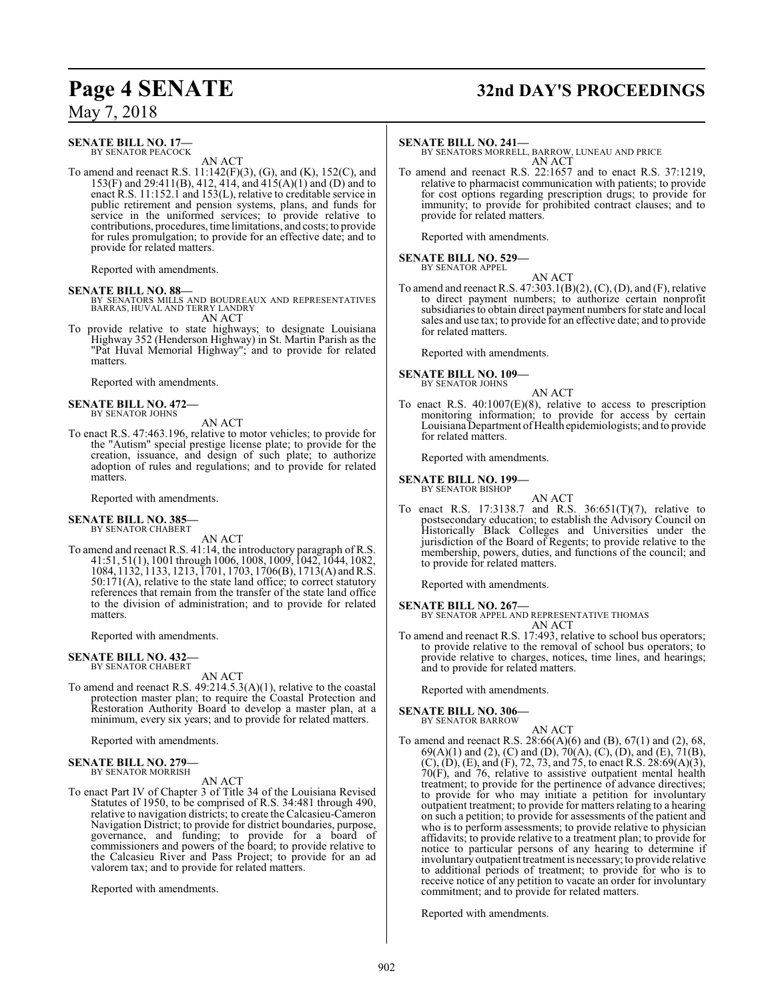## **Page 4 SENATE 32nd DAY'S PROCEEDINGS**

May 7, 2018

### **SENATE BILL NO. 17—**

BY SENATOR PEACOCK AN ACT

To amend and reenact R.S. 11:142(F)(3), (G), and (K), 152(C), and 153(F) and 29:411(B), 412, 414, and 415(A)(1) and (D) and to enact R.S. 11:152.1 and 153(L), relative to creditable service in public retirement and pension systems, plans, and funds for service in the uniformed services; to provide relative to contributions, procedures, time limitations, and costs; to provide for rules promulgation; to provide for an effective date; and to provide for related matters.

Reported with amendments.

**SENATE BILL NO. 88—**<br>BY SENATORS MILLS AND BOUDREAUX AND REPRESENTATIVES<br>BARRAS, HUVAL AND TERRY LANDRY AN ACT

To provide relative to state highways; to designate Louisiana Highway 352 (Henderson Highway) in St. Martin Parish as the "Pat Huval Memorial Highway"; and to provide for related matters.

Reported with amendments.

#### **SENATE BILL NO. 472—** BY SENATOR JOHNS

#### AN ACT

To enact R.S. 47:463.196, relative to motor vehicles; to provide for the "Autism" special prestige license plate; to provide for the creation, issuance, and design of such plate; to authorize adoption of rules and regulations; and to provide for related matters.

Reported with amendments.

#### **SENATE BILL NO. 385** BY SENATOR CHABERT

AN ACT

To amend and reenact R.S. 41:14, the introductory paragraph of R.S. 41:51, 51(1), 1001 through 1006, 1008, 1009, 1042, 1044, 1082, 1084, 1132, 1133, 1213, 1701, 1703, 1706(B), 1713(A) andR.S. 50:171(A), relative to the state land office; to correct statutory references that remain from the transfer of the state land office to the division of administration; and to provide for related matters.

Reported with amendments.

#### **SENATE BILL NO. 432—**

BY SENATOR CHABERT

- AN ACT
- To amend and reenact R.S. 49:214.5.3(A)(1), relative to the coastal protection master plan; to require the Coastal Protection and Restoration Authority Board to develop a master plan, at a minimum, every six years; and to provide for related matters.

Reported with amendments.

## **SENATE BILL NO. 279—** BY SENATOR MORRISH

#### AN ACT

To enact Part IV of Chapter 3 of Title 34 of the Louisiana Revised Statutes of 1950, to be comprised of R.S. 34:481 through 490, relative to navigation districts; to create the Calcasieu-Cameron Navigation District; to provide for district boundaries, purpose, governance, and funding; to provide for a board of commissioners and powers of the board; to provide relative to the Calcasieu River and Pass Project; to provide for an ad valorem tax; and to provide for related matters.

Reported with amendments.

#### **SENATE BILL NO. 241—**

BY SENATORS MORRELL, BARROW, LUNEAU AND PRICE AN ACT

To amend and reenact R.S. 22:1657 and to enact R.S. 37:1219, relative to pharmacist communication with patients; to provide for cost options regarding prescription drugs; to provide for immunity; to provide for prohibited contract clauses; and to provide for related matters.

Reported with amendments.

#### **SENATE BILL NO. 529—** BY SENATOR APPEL

AN ACT To amend and reenact R.S. 47:303.1(B)(2), (C), (D), and (F), relative to direct payment numbers; to authorize certain nonprofit subsidiaries to obtain direct payment numbers for state and local sales and use tax; to provide for an effective date; and to provide for related matters.

Reported with amendments.

# **SENATE BILL NO. 109—** BY SENATOR JOHNS

AN ACT

To enact R.S. 40:1007(E)(8), relative to access to prescription monitoring information; to provide for access by certain Louisiana Department ofHealth epidemiologists; and to provide for related matters.

Reported with amendments.

#### **SENATE BILL NO. 199—**

BY SENATOR BISHOP AN ACT

To enact R.S. 17:3138.7 and R.S. 36:651(T)(7), relative to postsecondary education; to establish the Advisory Council on Historically Black Colleges and Universities under the jurisdiction of the Board of Regents; to provide relative to the membership, powers, duties, and functions of the council; and to provide for related matters.

Reported with amendments.

**SENATE BILL NO. 267—** BY SENATOR APPEL AND REPRESENTATIVE THOMAS AN ACT

To amend and reenact R.S. 17:493, relative to school bus operators; to provide relative to the removal of school bus operators; to provide relative to charges, notices, time lines, and hearings; and to provide for related matters.

Reported with amendments.

#### **SENATE BILL NO. 306—**

BY SENATOR BARROW AN ACT

To amend and reenact R.S. 28:66(A)(6) and (B), 67(1) and (2), 68, 69(A)(1) and (2), (C) and (D), 70(A), (C), (D), and (E), 71(B),  $(C)$ ,  $(D)$ ,  $(E)$ , and  $(F)$ , 72, 73, and 75, to enact R.S. 28:69 $(A)(3)$ , 70(F), and 76, relative to assistive outpatient mental health treatment; to provide for the pertinence of advance directives; to provide for who may initiate a petition for involuntary outpatient treatment; to provide for matters relating to a hearing on such a petition; to provide for assessments of the patient and who is to perform assessments; to provide relative to physician affidavits; to provide relative to a treatment plan; to provide for notice to particular persons of any hearing to determine if involuntary outpatient treatment is necessary; to provide relative to additional periods of treatment; to provide for who is to receive notice of any petition to vacate an order for involuntary commitment; and to provide for related matters.

Reported with amendments.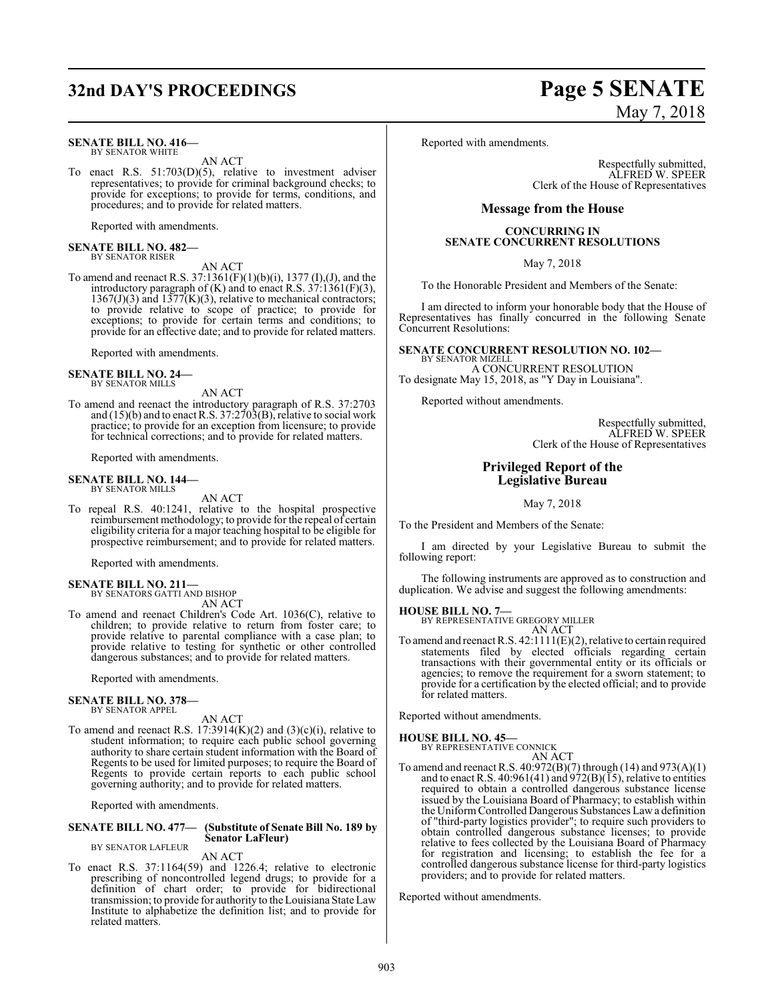## **32nd DAY'S PROCEEDINGS Page 5 SENATE**

#### **SENATE BILL NO. 416—** BY SENATOR WHITE

AN ACT

To enact R.S. 51:703(D)(5), relative to investment adviser representatives; to provide for criminal background checks; to provide for exceptions; to provide for terms, conditions, and procedures; and to provide for related matters.

Reported with amendments.

#### **SENATE BILL NO. 482—** BY SENATOR RISER

AN ACT

To amend and reenact R.S. 37:1361(F)(1)(b)(i), 1377 (I),(J), and the introductory paragraph of  $(K)$  and to enact R.S. 37:1361(F)(3),  $1367(J)(3)$  and  $1377(K)(3)$ , relative to mechanical contractors; to provide relative to scope of practice; to provide for exceptions; to provide for certain terms and conditions; to provide for an effective date; and to provide for related matters.

Reported with amendments.

#### **SENATE BILL NO. 24—** BY SENATOR MILLS

AN ACT To amend and reenact the introductory paragraph of R.S. 37:2703 and (15)(b) and to enact R.S. 37:2703(B), relative to social work practice; to provide for an exception from licensure; to provide for technical corrections; and to provide for related matters.

Reported with amendments.

#### **SENATE BILL NO. 144—** BY SENATOR MILLS

AN ACT

To repeal R.S. 40:1241, relative to the hospital prospective reimbursement methodology; to provide for the repeal of certain eligibility criteria for a major teaching hospital to be eligible for prospective reimbursement; and to provide for related matters.

Reported with amendments.

#### **SENATE BILL NO. 211—**

BY SENATORS GATTI AND BISHOP AN ACT

To amend and reenact Children's Code Art. 1036(C), relative to children; to provide relative to return from foster care; to provide relative to parental compliance with a case plan; to provide relative to testing for synthetic or other controlled dangerous substances; and to provide for related matters.

Reported with amendments.

#### **SENATE BILL NO. 378—** BY SENATOR APPEL

AN ACT

To amend and reenact R.S.  $17:3914(K)(2)$  and  $(3)(c)(i)$ , relative to student information; to require each public school governing authority to share certain student information with the Board of Regents to be used for limited purposes; to require the Board of Regents to provide certain reports to each public school governing authority; and to provide for related matters.

Reported with amendments.

#### **SENATE BILL NO. 477— (Substitute of Senate Bill No. 189 by Senator LaFleur)** BY SENATOR LAFLEUR

AN ACT

To enact R.S. 37:1164(59) and 1226.4; relative to electronic prescribing of noncontrolled legend drugs; to provide for a definition of chart order; to provide for bidirectional transmission; to provide for authority to the Louisiana State Law Institute to alphabetize the definition list; and to provide for related matters.

# May 7, 2018

Reported with amendments.

Respectfully submitted, ALFRED W. SPEER Clerk of the House of Representatives

#### **Message from the House**

#### **CONCURRING IN SENATE CONCURRENT RESOLUTIONS**

May 7, 2018

To the Honorable President and Members of the Senate:

I am directed to inform your honorable body that the House of Representatives has finally concurred in the following Senate Concurrent Resolutions:

#### **SENATE CONCURRENT RESOLUTION NO. 102—** BY SENATOR MIZELL

A CONCURRENT RESOLUTION To designate May 15, 2018, as "Y Day in Louisiana".

Reported without amendments.

Respectfully submitted, ALFRED W. SPEER Clerk of the House of Representatives

#### **Privileged Report of the Legislative Bureau**

May 7, 2018

To the President and Members of the Senate:

I am directed by your Legislative Bureau to submit the following report:

The following instruments are approved as to construction and duplication. We advise and suggest the following amendments:

#### **HOUSE BILL NO. 7—**

BY REPRESENTATIVE GREGORY MILLER AN ACT

To amend and reenact R.S. 42:1111(E)(2), relative to certain required statements filed by elected officials regarding certain transactions with their governmental entity or its officials or agencies; to remove the requirement for a sworn statement; to provide for a certification by the elected official; and to provide for related matters.

Reported without amendments.

#### **HOUSE BILL NO. 45—**

BY REPRESENTATIVE CONNICK AN ACT

To amend and reenact R.S. 40:972(B)(7) through (14) and 973(A)(1) and to enact R.S.  $40:961(41)$  and  $972(B)(15)$ , relative to entities required to obtain a controlled dangerous substance license issued by the Louisiana Board of Pharmacy; to establish within the Uniform Controlled Dangerous Substances Law a definition of "third-party logistics provider"; to require such providers to obtain controlled dangerous substance licenses; to provide relative to fees collected by the Louisiana Board of Pharmacy for registration and licensing; to establish the fee for a controlled dangerous substance license for third-party logistics providers; and to provide for related matters.

Reported without amendments.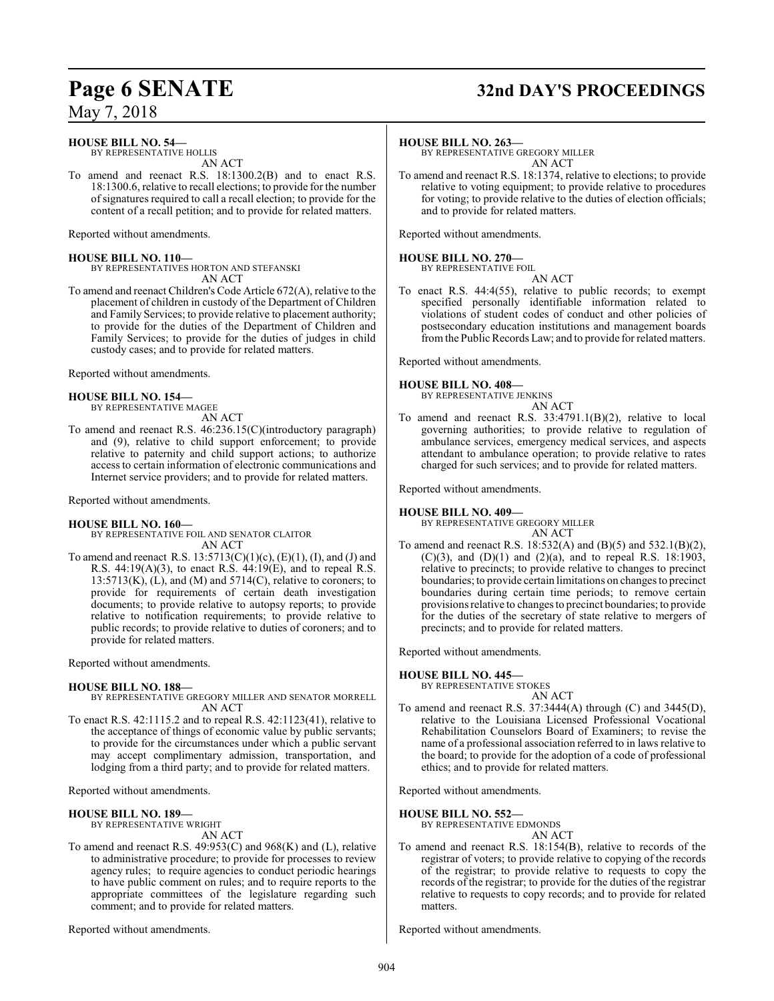## **Page 6 SENATE 32nd DAY'S PROCEEDINGS**

May 7, 2018

#### **HOUSE BILL NO. 54—**

BY REPRESENTATIVE HOLLIS AN ACT

To amend and reenact R.S. 18:1300.2(B) and to enact R.S. 18:1300.6, relative to recall elections; to provide for the number ofsignatures required to call a recall election; to provide for the content of a recall petition; and to provide for related matters.

Reported without amendments.

#### **HOUSE BILL NO. 110—**

BY REPRESENTATIVES HORTON AND STEFANSKI AN ACT

To amend and reenact Children's Code Article 672(A), relative to the placement of children in custody of the Department of Children and Family Services; to provide relative to placement authority; to provide for the duties of the Department of Children and Family Services; to provide for the duties of judges in child custody cases; and to provide for related matters.

Reported without amendments.

#### **HOUSE BILL NO. 154—**

BY REPRESENTATIVE MAGEE

AN ACT

To amend and reenact R.S. 46:236.15(C)(introductory paragraph) and (9), relative to child support enforcement; to provide relative to paternity and child support actions; to authorize access to certain information of electronic communications and Internet service providers; and to provide for related matters.

Reported without amendments.

#### **HOUSE BILL NO. 160—**

- BY REPRESENTATIVE FOIL AND SENATOR CLAITOR AN ACT
- To amend and reenact R.S.  $13:5713(C)(1)(c)$ ,  $(E)(1)$ ,  $(I)$ , and  $(J)$  and R.S. 44:19(A)(3), to enact R.S. 44:19(E), and to repeal R.S.  $13:5713(K)$ ,  $(L)$ , and  $(M)$  and  $5714(C)$ , relative to coroners; to provide for requirements of certain death investigation documents; to provide relative to autopsy reports; to provide relative to notification requirements; to provide relative to public records; to provide relative to duties of coroners; and to provide for related matters.

Reported without amendments.

#### **HOUSE BILL NO. 188—**

- BY REPRESENTATIVE GREGORY MILLER AND SENATOR MORRELL AN ACT
- To enact R.S. 42:1115.2 and to repeal R.S. 42:1123(41), relative to the acceptance of things of economic value by public servants; to provide for the circumstances under which a public servant may accept complimentary admission, transportation, and lodging from a third party; and to provide for related matters.

Reported without amendments.

#### **HOUSE BILL NO. 189—**

BY REPRESENTATIVE WRIGHT

AN ACT

To amend and reenact R.S. 49:953(C) and 968(K) and (L), relative to administrative procedure; to provide for processes to review agency rules; to require agencies to conduct periodic hearings to have public comment on rules; and to require reports to the appropriate committees of the legislature regarding such comment; and to provide for related matters.

Reported without amendments.

#### **HOUSE BILL NO. 263—**

BY REPRESENTATIVE GREGORY MILLER AN ACT

To amend and reenact R.S. 18:1374, relative to elections; to provide relative to voting equipment; to provide relative to procedures for voting; to provide relative to the duties of election officials; and to provide for related matters.

Reported without amendments.

#### **HOUSE BILL NO. 270—** BY REPRESENTATIVE FOIL

AN ACT

To enact R.S. 44:4(55), relative to public records; to exempt specified personally identifiable information related to violations of student codes of conduct and other policies of postsecondary education institutions and management boards fromthe Public Records Law; and to provide for related matters.

Reported without amendments.

#### **HOUSE BILL NO. 408—**

BY REPRESENTATIVE JENKINS AN ACT

To amend and reenact R.S. 33:4791.1(B)(2), relative to local governing authorities; to provide relative to regulation of ambulance services, emergency medical services, and aspects attendant to ambulance operation; to provide relative to rates charged for such services; and to provide for related matters.

Reported without amendments.

#### **HOUSE BILL NO. 409—**

BY REPRESENTATIVE GREGORY MILLER AN ACT

To amend and reenact R.S. 18:532(A) and (B)(5) and 532.1(B)(2), (C)(3), and (D)(1) and (2)(a), and to repeal R.S. 18:1903, relative to precincts; to provide relative to changes to precinct boundaries; to provide certain limitations on changes to precinct boundaries during certain time periods; to remove certain provisions relative to changes to precinct boundaries; to provide for the duties of the secretary of state relative to mergers of precincts; and to provide for related matters.

Reported without amendments.

#### **HOUSE BILL NO. 445—**

BY REPRESENTATIVE STOKES AN ACT

To amend and reenact R.S. 37:3444(A) through (C) and 3445(D), relative to the Louisiana Licensed Professional Vocational Rehabilitation Counselors Board of Examiners; to revise the name of a professional association referred to in laws relative to the board; to provide for the adoption of a code of professional ethics; and to provide for related matters.

Reported without amendments.

#### **HOUSE BILL NO. 552—**

BY REPRESENTATIVE EDMONDS

- AN ACT
- To amend and reenact R.S. 18:154(B), relative to records of the registrar of voters; to provide relative to copying of the records of the registrar; to provide relative to requests to copy the records of the registrar; to provide for the duties of the registrar relative to requests to copy records; and to provide for related matters.

Reported without amendments.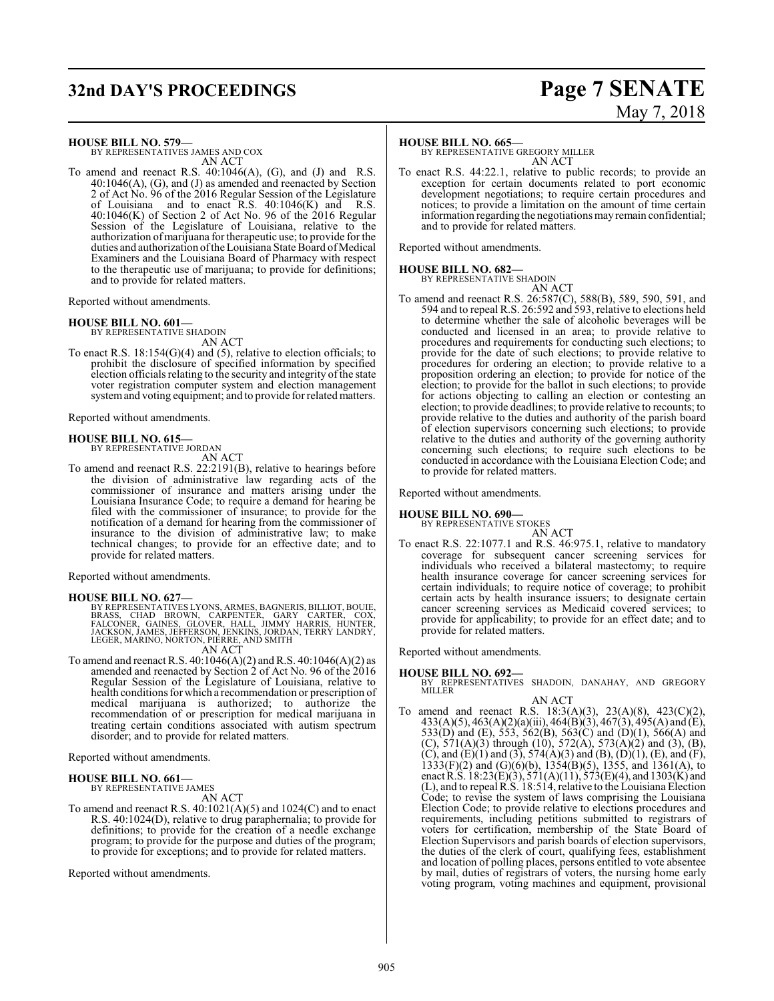## **32nd DAY'S PROCEEDINGS Page 7 SENATE**

#### **HOUSE BILL NO. 579—**

BY REPRESENTATIVES JAMES AND COX AN ACT

To amend and reenact R.S.  $40:1046(A)$ , (G), and (J) and R.S. 40:1046(A), (G), and (J) as amended and reenacted by Section 2 of Act No. 96 of the 2016 Regular Session of the Legislature of Louisiana and to enact R.S. 40:1046(K) and R.S. 40:1046(K) of Section 2 of Act No. 96 of the 2016 Regular Session of the Legislature of Louisiana, relative to the authorization ofmarijuana for therapeutic use; to provide for the duties and authorization of the Louisiana State Board of Medical Examiners and the Louisiana Board of Pharmacy with respect to the therapeutic use of marijuana; to provide for definitions; and to provide for related matters.

Reported without amendments.

#### **HOUSE BILL NO. 601—**

BY REPRESENTATIVE SHADOIN AN ACT

To enact R.S. 18:154(G)(4) and (5), relative to election officials; to prohibit the disclosure of specified information by specified election officials relating to the security and integrity of the state voter registration computer system and election management systemand voting equipment; and to provide forrelated matters.

Reported without amendments.

#### **HOUSE BILL NO. 615—**

BY REPRESENTATIVE JORDAN

- AN ACT
- To amend and reenact R.S. 22:2191(B), relative to hearings before the division of administrative law regarding acts of the commissioner of insurance and matters arising under the Louisiana Insurance Code; to require a demand for hearing be filed with the commissioner of insurance; to provide for the notification of a demand for hearing from the commissioner of insurance to the division of administrative law; to make technical changes; to provide for an effective date; and to provide for related matters.

Reported without amendments.

#### **HOUSE BILL NO. 627—**

BY REPRESENTATIVES LYONS, ARMES, BAGNERIS, BILLIOT, BOUIE,<br>BRASS, CHAD BROWN, CARPENTER, GARY CARTER, COX,<br>FALCONER, GAINES, GLOVER, HALL, JIMMY HARRIS, HUNTER,<br>JACKSON, JAMES, JEFFERSON, JENKINS, JORDAN,

AN ACT

To amend and reenact R.S.  $40:1046(A)(2)$  and R.S.  $40:1046(A)(2)$  as amended and reenacted by Section 2 of Act No. 96 of the 2016 Regular Session of the Legislature of Louisiana, relative to health conditions for which a recommendation or prescription of medical marijuana is authorized; to authorize the recommendation of or prescription for medical marijuana in treating certain conditions associated with autism spectrum disorder; and to provide for related matters.

Reported without amendments.

#### **HOUSE BILL NO. 661—**

BY REPRESENTATIVE JAMES

- AN ACT
- To amend and reenact R.S. 40:1021(A)(5) and 1024(C) and to enact R.S. 40:1024(D), relative to drug paraphernalia; to provide for definitions; to provide for the creation of a needle exchange program; to provide for the purpose and duties of the program; to provide for exceptions; and to provide for related matters.

Reported without amendments.

#### **HOUSE BILL NO. 665—**

BY REPRESENTATIVE GREGORY MILLER AN ACT

To enact R.S. 44:22.1, relative to public records; to provide an exception for certain documents related to port economic development negotiations; to require certain procedures and notices; to provide a limitation on the amount of time certain information regarding the negotiations mayremain confidential; and to provide for related matters.

Reported without amendments.

#### **HOUSE BILL NO. 682—**

BY REPRESENTATIVE SHADOIN

AN ACT To amend and reenact R.S. 26:587(C), 588(B), 589, 590, 591, and 594 and to repeal R.S. 26:592 and 593, relative to elections held to determine whether the sale of alcoholic beverages will be conducted and licensed in an area; to provide relative to procedures and requirements for conducting such elections; to provide for the date of such elections; to provide relative to procedures for ordering an election; to provide relative to a proposition ordering an election; to provide for notice of the election; to provide for the ballot in such elections; to provide for actions objecting to calling an election or contesting an election; to provide deadlines; to provide relative to recounts; to provide relative to the duties and authority of the parish board of election supervisors concerning such elections; to provide relative to the duties and authority of the governing authority concerning such elections; to require such elections to be conducted in accordance with the Louisiana Election Code; and to provide for related matters.

Reported without amendments.

## **HOUSE BILL NO. 690—** BY REPRESENTATIVE STOKES

AN ACT

To enact R.S. 22:1077.1 and R.S. 46:975.1, relative to mandatory coverage for subsequent cancer screening services for individuals who received a bilateral mastectomy; to require health insurance coverage for cancer screening services for certain individuals; to require notice of coverage; to prohibit certain acts by health insurance issuers; to designate certain cancer screening services as Medicaid covered services; to provide for applicability; to provide for an effect date; and to provide for related matters.

Reported without amendments.

**HOUSE BILL NO. 692—** BY REPRESENTATIVES SHADOIN, DANAHAY, AND GREGORY MILLER AN ACT

To amend and reenact R.S. 18:3(A)(3), 23(A)(8), 423(C)(2), 433(A)(5), 463(A)(2)(a)(iii), 464(B)(3), 467(3), 495(A) and (E), 533(D) and (E), 553, 562(B), 563(C) and (D)(1), 566(A) and (C),  $571(A)(3)$  through (10),  $572(A)$ ,  $573(A)(2)$  and (3), (B), (C), and (E)(1) and (3), 574(A)(3) and (B), (D)(1), (E), and (F), 1333(F)(2) and (G)(6)(b), 1354(B)(5), 1355, and 1361(A), to enact R.S.  $18:23(E)(3)$ ,  $571(A)(11)$ ,  $573(E)(4)$ , and  $1303(K)$  and (L), and to repeal R.S. 18:514, relative to the Louisiana Election Code; to revise the system of laws comprising the Louisiana Election Code; to provide relative to elections procedures and requirements, including petitions submitted to registrars of voters for certification, membership of the State Board of Election Supervisors and parish boards of election supervisors, the duties of the clerk of court, qualifying fees, establishment and location of polling places, persons entitled to vote absentee by mail, duties of registrars of voters, the nursing home early voting program, voting machines and equipment, provisional

# May 7, 2018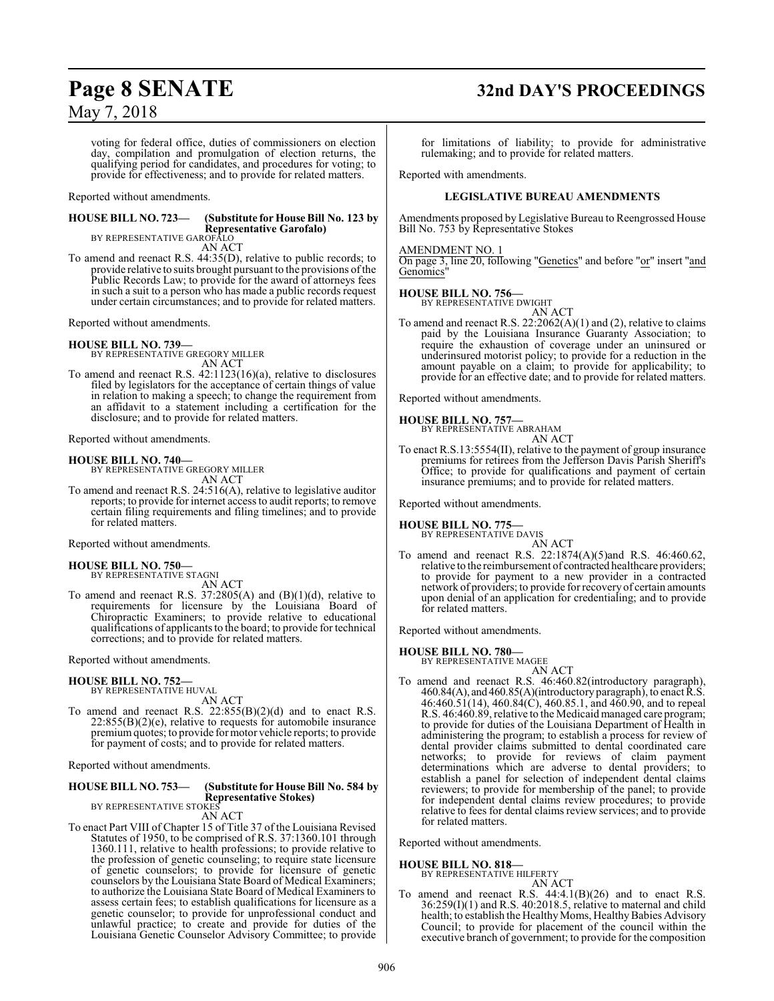# **Page 8 SENATE 32nd DAY'S PROCEEDINGS**

## May 7, 2018

voting for federal office, duties of commissioners on election day, compilation and promulgation of election returns, the qualifying period for candidates, and procedures for voting; to provide for effectiveness; and to provide for related matters.

Reported without amendments.

## **HOUSE BILL NO. 723— (Substitute for House Bill No. 123 by Representative Garofalo)** BY REPRESENTATIVE GAROFALO

AN ACT

To amend and reenact R.S. 44:35(D), relative to public records; to provide relative to suits brought pursuant to the provisions ofthe Public Records Law; to provide for the award of attorneys fees in such a suit to a person who has made a public records request under certain circumstances; and to provide for related matters.

Reported without amendments.

#### **HOUSE BILL NO. 739—**

BY REPRESENTATIVE GREGORY MILLER AN ACT

To amend and reenact R.S. 42:1123(16)(a), relative to disclosures filed by legislators for the acceptance of certain things of value in relation to making a speech; to change the requirement from an affidavit to a statement including a certification for the disclosure; and to provide for related matters.

Reported without amendments.

#### **HOUSE BILL NO. 740—**

BY REPRESENTATIVE GREGORY MILLER AN ACT

To amend and reenact R.S. 24:516(A), relative to legislative auditor reports; to provide for internet access to audit reports; to remove certain filing requirements and filing timelines; and to provide for related matters.

Reported without amendments.

#### **HOUSE BILL NO. 750—**

BY REPRESENTATIVE STAGNI AN ACT

To amend and reenact R.S. 37:2805(A) and  $(B)(1)(d)$ , relative to requirements for licensure by the Louisiana Board of Chiropractic Examiners; to provide relative to educational qualifications of applicants to the board; to provide for technical corrections; and to provide for related matters.

Reported without amendments.

### **HOUSE BILL NO. 752—**

BY REPRESENTATIVE HUVAL AN ACT

To amend and reenact R.S. 22:855(B)(2)(d) and to enact R.S.  $22:855(B)(2)(e)$ , relative to requests for automobile insurance premiumquotes; to provide formotor vehicle reports; to provide for payment of costs; and to provide for related matters.

Reported without amendments.

#### **HOUSE BILL NO. 753— (Substitute for House Bill No. 584 by Representative Stokes)** BY REPRESENTATIVE STOKES

AN ACT

To enact Part VIII of Chapter 15 of Title 37 of the Louisiana Revised Statutes of 1950, to be comprised of R.S. 37:1360.101 through 1360.111, relative to health professions; to provide relative to the profession of genetic counseling; to require state licensure of genetic counselors; to provide for licensure of genetic counselors by the Louisiana State Board of Medical Examiners; to authorize the Louisiana State Board of Medical Examiners to assess certain fees; to establish qualifications for licensure as a genetic counselor; to provide for unprofessional conduct and unlawful practice; to create and provide for duties of the Louisiana Genetic Counselor Advisory Committee; to provide

for limitations of liability; to provide for administrative rulemaking; and to provide for related matters.

Reported with amendments.

#### **LEGISLATIVE BUREAU AMENDMENTS**

Amendments proposed by Legislative Bureau to Reengrossed House Bill No. 753 by Representative Stokes

#### AMENDMENT NO. 1

On page 3, line 20, following "Genetics" and before "or" insert "and Genomics'

#### **HOUSE BILL NO. 756—**

BY REPRESENTATIVE DWIGHT

AN ACT To amend and reenact R.S.  $22:2062(A)(1)$  and (2), relative to claims paid by the Louisiana Insurance Guaranty Association; to require the exhaustion of coverage under an uninsured or underinsured motorist policy; to provide for a reduction in the amount payable on a claim; to provide for applicability; to provide for an effective date; and to provide for related matters.

Reported without amendments.

#### **HOUSE BILL NO. 757—**

BY REPRESENTATIVE ABRAHAM

AN ACT To enact R.S.13:5554(II), relative to the payment of group insurance premiums for retirees from the Jefferson Davis Parish Sheriff's Office; to provide for qualifications and payment of certain insurance premiums; and to provide for related matters.

Reported without amendments.

## **HOUSE BILL NO. 775—** BY REPRESENTATIVE DAVIS

## AN ACT

To amend and reenact R.S. 22:1874(A)(5)and R.S. 46:460.62, relative to the reimbursement of contracted healthcare providers; to provide for payment to a new provider in a contracted network of providers; to provide forrecovery of certain amounts upon denial of an application for credentialing; and to provide for related matters.

Reported without amendments.

## **HOUSE BILL NO. 780—** BY REPRESENTATIVE MAGEE

AN ACT To amend and reenact R.S. 46:460.82(introductory paragraph), 460.84(A), and 460.85(A)(introductory paragraph), to enact R.S. 46:460.51(14), 460.84(C), 460.85.1, and 460.90, and to repeal R.S. 46:460.89, relative to the Medicaid managed care program; to provide for duties of the Louisiana Department of Health in administering the program; to establish a process for review of dental provider claims submitted to dental coordinated care networks; to provide for reviews of claim payment determinations which are adverse to dental providers; to establish a panel for selection of independent dental claims reviewers; to provide for membership of the panel; to provide for independent dental claims review procedures; to provide relative to fees for dental claims review services; and to provide for related matters.

Reported without amendments.

#### **HOUSE BILL NO. 818—**

BY REPRESENTATIVE HILFERTY AN ACT

To amend and reenact R.S. 44:4.1(B)(26) and to enact R.S.  $36:259(I)(1)$  and R.S.  $40:2018.5$ , relative to maternal and child health; to establish the Healthy Moms, Healthy Babies Advisory Council; to provide for placement of the council within the executive branch of government; to provide for the composition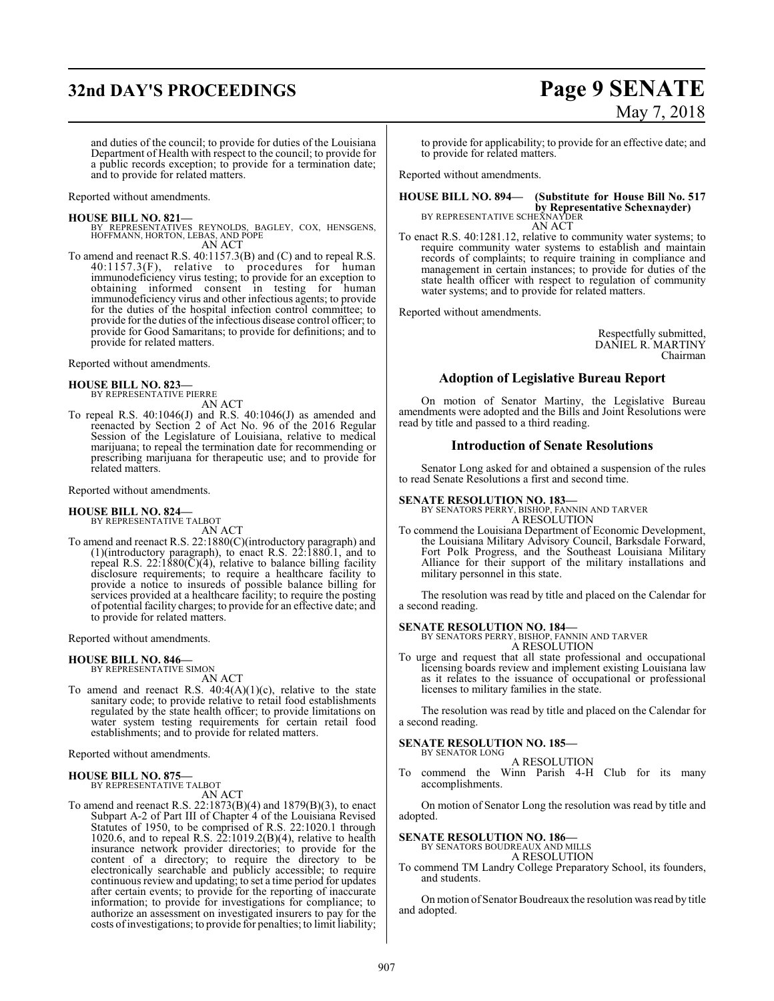# **32nd DAY'S PROCEEDINGS Page 9 SENATE**

# May 7, 2018

and duties of the council; to provide for duties of the Louisiana Department of Health with respect to the council; to provide for a public records exception; to provide for a termination date; and to provide for related matters.

Reported without amendments.

**HOUSE BILL NO. 821—** BY REPRESENTATIVES REYNOLDS, BAGLEY, COX, HENSGENS, HOFFMANN, HORTON, LEBAS, AND POPE AN ACT

To amend and reenact R.S. 40:1157.3(B) and (C) and to repeal R.S.  $40:1157.3(F)$ , relative to procedures for human immunodeficiency virus testing; to provide for an exception to obtaining informed consent in testing for human immunodeficiency virus and other infectious agents; to provide for the duties of the hospital infection control committee; to provide for the duties of the infectious disease control officer; to provide for Good Samaritans; to provide for definitions; and to provide for related matters.

Reported without amendments.

## **HOUSE BILL NO. 823—** BY REPRESENTATIVE PIERRE

AN ACT

To repeal R.S. 40:1046(J) and R.S. 40:1046(J) as amended and reenacted by Section 2 of Act No. 96 of the 2016 Regular Session of the Legislature of Louisiana, relative to medical marijuana; to repeal the termination date for recommending or prescribing marijuana for therapeutic use; and to provide for related matters.

Reported without amendments.

## **HOUSE BILL NO. 824—** BY REPRESENTATIVE TALBOT

AN ACT

To amend and reenact R.S. 22:1880(C)(introductory paragraph) and (1)(introductory paragraph), to enact R.S. 22:1880.1, and to repeal R.S. 22:1880 $(\bar{C})(4)$ , relative to balance billing facility disclosure requirements; to require a healthcare facility to provide a notice to insureds of possible balance billing for services provided at a healthcare facility; to require the posting of potential facility charges; to provide for an effective date; and to provide for related matters.

Reported without amendments.

## **HOUSE BILL NO. 846—** BY REPRESENTATIVE SIMON

- AN ACT
- To amend and reenact R.S.  $40:4(A)(1)(c)$ , relative to the state sanitary code; to provide relative to retail food establishments regulated by the state health officer; to provide limitations on water system testing requirements for certain retail food establishments; and to provide for related matters.

Reported without amendments.

#### **HOUSE BILL NO. 875—**

BY REPRESENTATIVE TALBOT

AN ACT

To amend and reenact R.S. 22:1873(B)(4) and 1879(B)(3), to enact Subpart A-2 of Part III of Chapter 4 of the Louisiana Revised Statutes of 1950, to be comprised of R.S. 22:1020.1 through 1020.6, and to repeal R.S.  $22:1019.2(B)(4)$ , relative to health insurance network provider directories; to provide for the content of a directory; to require the directory to be electronically searchable and publicly accessible; to require continuous review and updating; to set a time period for updates after certain events; to provide for the reporting of inaccurate information; to provide for investigations for compliance; to authorize an assessment on investigated insurers to pay for the costs ofinvestigations; to provide for penalties; to limit liability;

to provide for applicability; to provide for an effective date; and to provide for related matters.

Reported without amendments.

## **HOUSE BILL NO. 894— (Substitute for House Bill No. 517 by Representative Schexnayder)**<br>BY REPRESENTATIVE SCHEXNAYDER

AN ACT

To enact R.S. 40:1281.12, relative to community water systems; to require community water systems to establish and maintain records of complaints; to require training in compliance and management in certain instances; to provide for duties of the state health officer with respect to regulation of community water systems; and to provide for related matters.

Reported without amendments.

Respectfully submitted, DANIEL R. MARTINY Chairman

#### **Adoption of Legislative Bureau Report**

On motion of Senator Martiny, the Legislative Bureau amendments were adopted and the Bills and Joint Resolutions were read by title and passed to a third reading.

#### **Introduction of Senate Resolutions**

Senator Long asked for and obtained a suspension of the rules to read Senate Resolutions a first and second time.

#### **SENATE RESOLUTION NO. 183—**

BY SENATORS PERRY, BISHOP, FANNIN AND TARVER A RESOLUTION

To commend the Louisiana Department of Economic Development, the Louisiana Military Advisory Council, Barksdale Forward, Fort Polk Progress, and the Southeast Louisiana Military Alliance for their support of the military installations and military personnel in this state.

The resolution was read by title and placed on the Calendar for a second reading.

**SENATE RESOLUTION NO. 184—** BY SENATORS PERRY, BISHOP, FANNIN AND TARVER A RESOLUTION

To urge and request that all state professional and occupational licensing boards review and implement existing Louisiana law as it relates to the issuance of occupational or professional licenses to military families in the state.

The resolution was read by title and placed on the Calendar for a second reading.

#### **SENATE RESOLUTION NO. 185—** BY SENATOR LONG

A RESOLUTION

To commend the Winn Parish 4-H Club for its many accomplishments.

On motion of Senator Long the resolution was read by title and adopted.

#### **SENATE RESOLUTION NO. 186—**

BY SENATORS BOUDREAUX AND MILLS A RESOLUTION

To commend TM Landry College Preparatory School, its founders, and students.

On motion of Senator Boudreaux the resolution was read by title and adopted.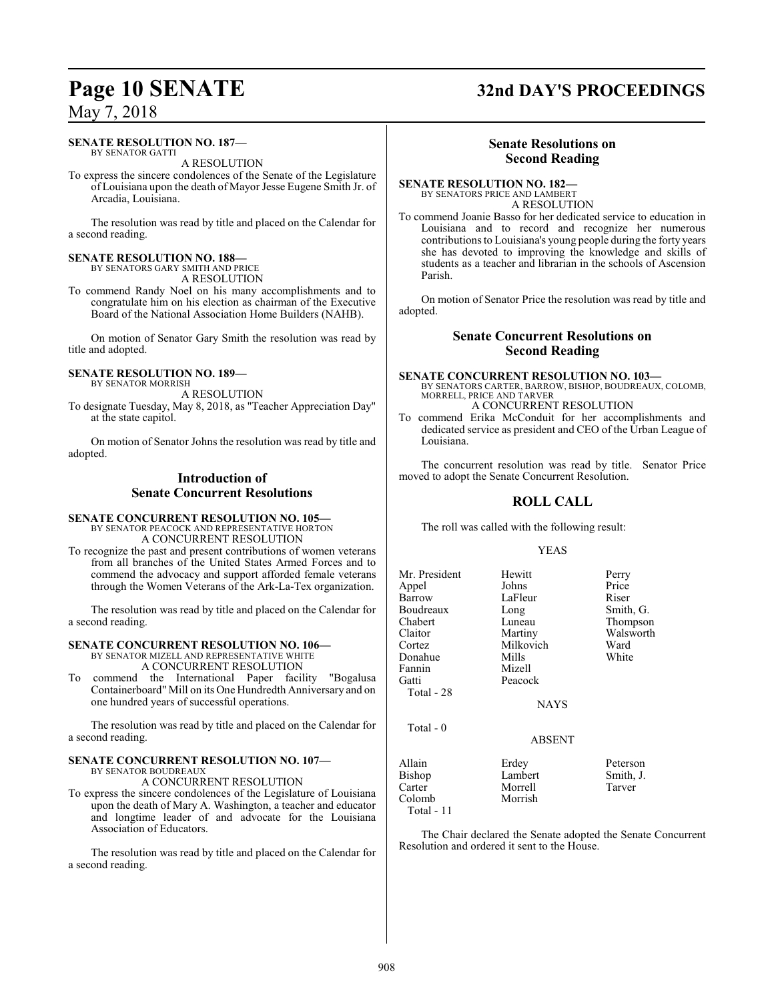#### **SENATE RESOLUTION NO. 187—**

BY SENATOR GATTI A RESOLUTION

To express the sincere condolences of the Senate of the Legislature of Louisiana upon the death of Mayor Jesse Eugene Smith Jr. of Arcadia, Louisiana.

The resolution was read by title and placed on the Calendar for a second reading.

### **SENATE RESOLUTION NO. 188—**

BY SENATORS GARY SMITH AND PRICE A RESOLUTION

To commend Randy Noel on his many accomplishments and to congratulate him on his election as chairman of the Executive Board of the National Association Home Builders (NAHB).

On motion of Senator Gary Smith the resolution was read by title and adopted.

#### **SENATE RESOLUTION NO. 189—** BY SENATOR MORRISH

A RESOLUTION

To designate Tuesday, May 8, 2018, as "Teacher Appreciation Day" at the state capitol.

On motion of Senator Johns the resolution was read by title and adopted.

## **Introduction of Senate Concurrent Resolutions**

#### **SENATE CONCURRENT RESOLUTION NO. 105—** BY SENATOR PEACOCK AND REPRESENTATIVE HORTON A CONCURRENT RESOLUTION

To recognize the past and present contributions of women veterans from all branches of the United States Armed Forces and to commend the advocacy and support afforded female veterans through the Women Veterans of the Ark-La-Tex organization.

The resolution was read by title and placed on the Calendar for a second reading.

## **SENATE CONCURRENT RESOLUTION NO. 106—**

BY SENATOR MIZELL AND REPRESENTATIVE WHITE A CONCURRENT RESOLUTION

To commend the International Paper facility "Bogalusa Containerboard" Mill on its One Hundredth Anniversary and on one hundred years of successful operations.

The resolution was read by title and placed on the Calendar for a second reading.

#### **SENATE CONCURRENT RESOLUTION NO. 107—** BY SENATOR BOUDREAUX

A CONCURRENT RESOLUTION

To express the sincere condolences of the Legislature of Louisiana upon the death of Mary A. Washington, a teacher and educator and longtime leader of and advocate for the Louisiana Association of Educators.

The resolution was read by title and placed on the Calendar for a second reading.

## **Page 10 SENATE 32nd DAY'S PROCEEDINGS**

### **Senate Resolutions on Second Reading**

**SENATE RESOLUTION NO. 182—** BY SENATORS PRICE AND LAMBERT

A RESOLUTION

To commend Joanie Basso for her dedicated service to education in Louisiana and to record and recognize her numerous contributions to Louisiana's young people during the forty years she has devoted to improving the knowledge and skills of students as a teacher and librarian in the schools of Ascension Parish.

On motion of Senator Price the resolution was read by title and adopted.

### **Senate Concurrent Resolutions on Second Reading**

**SENATE CONCURRENT RESOLUTION NO. 103—** BY SENATORS CARTER, BARROW, BISHOP, BOUDREAUX, COLOMB, MORRELL, PRICE AND TARVER A CONCURRENT RESOLUTION

To commend Erika McConduit for her accomplishments and dedicated service as president and CEO of the Urban League of Louisiana.

The concurrent resolution was read by title. Senator Price moved to adopt the Senate Concurrent Resolution.

### **ROLL CALL**

The roll was called with the following result:

#### YEAS

| Mr. President<br>Appel<br>Barrow | Hewitt<br>Johns<br>LaFleur | Perry<br>Price<br>Riser |
|----------------------------------|----------------------------|-------------------------|
| Boudreaux                        |                            | Smith, G.               |
| Chabert                          | Long<br>Luneau             | Thompson                |
| Claitor                          | Martiny                    | Walsworth               |
| Cortez                           | Milkovich                  | Ward                    |
| Donahue                          | Mills                      | White                   |
| Fannin                           | Mizell                     |                         |
| Gatti                            | Peacock                    |                         |
| Total - 28                       |                            |                         |
|                                  | <b>NAYS</b>                |                         |
| Total $-0$                       |                            |                         |
|                                  | <b>ABSENT</b>              |                         |
| Allain                           | Erdey                      | Peterson                |
| Bishop                           | Lambert                    | Smith, J.               |
| Carter                           | Morrell                    | Tarver                  |
| Colomb                           | Morrish                    |                         |
| Total - 11                       |                            |                         |

The Chair declared the Senate adopted the Senate Concurrent Resolution and ordered it sent to the House.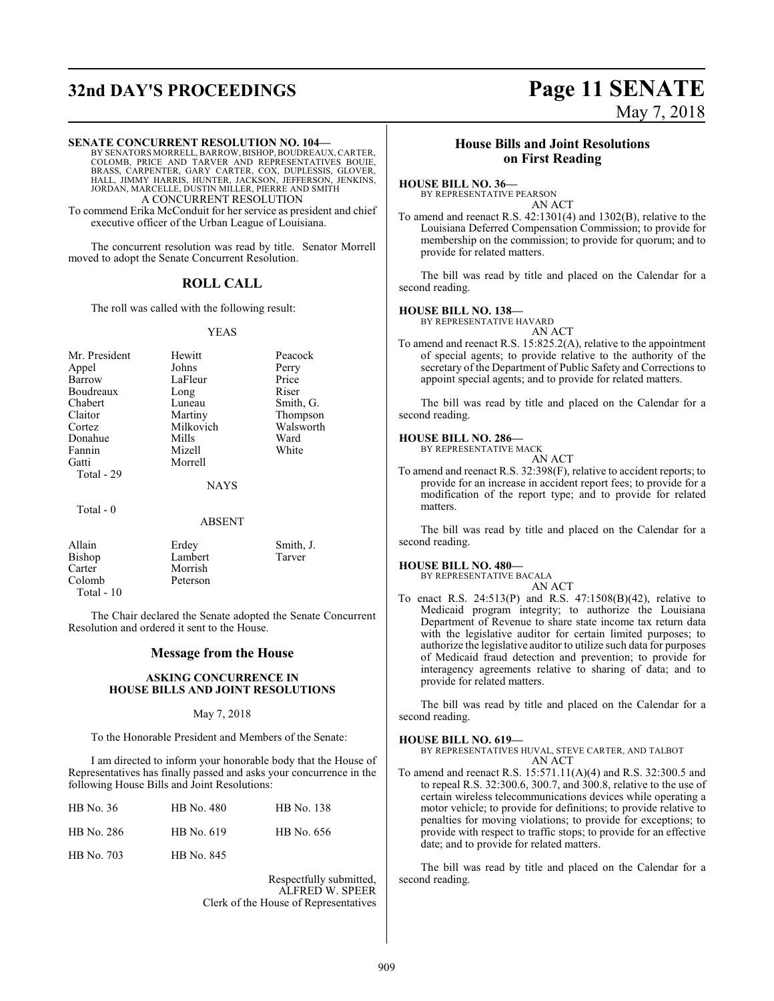## **32nd DAY'S PROCEEDINGS Page 11 SENATE** May 7, 2018

**SENATE CONCURRENT RESOLUTION NO. 104—** BY SENATORS MORRELL, BARROW, BISHOP,BOUDREAUX, CARTER, COLOMB, PRICE AND TARVER AND REPRESENTATIVES BOUIE,<br>BRASS, CARPENTER, GARY CARTER, COX, DUPLESSIS, GLOVER,<br>HALL, JIMMY HARRIS, HUNTER, JACKSON, JEFFERSON, JENKINS,<br>JORDAN, MARCELLE, DUSTIN MILLER, PIERRE AND SMITH

A CONCURRENT RESOLUTION

To commend Erika McConduit for her service as president and chief executive officer of the Urban League of Louisiana.

The concurrent resolution was read by title. Senator Morrell moved to adopt the Senate Concurrent Resolution.

### **ROLL CALL**

The roll was called with the following result:

#### YEAS

| Mr. President | Hewitt        | Peacock   |
|---------------|---------------|-----------|
| Appel         | Johns         | Perry     |
| Barrow        | LaFleur       | Price     |
| Boudreaux     | Long          | Riser     |
| Chabert       | Luneau        | Smith, G. |
| Claitor       | Martiny       | Thompson  |
| Cortez        | Milkovich     | Walsworth |
| Donahue       | Mills         | Ward      |
| Fannin        | Mizell        | White     |
| Gatti         | Morrell       |           |
| Total - 29    |               |           |
|               | <b>NAYS</b>   |           |
| Total $-0$    |               |           |
|               | <b>ABSENT</b> |           |

| Allain        | Erdey    | Smith, J. |
|---------------|----------|-----------|
| <b>Bishop</b> | Lambert  | Tarver    |
| Carter        | Morrish  |           |
| Colomb        | Peterson |           |
| Total $-10$   |          |           |

The Chair declared the Senate adopted the Senate Concurrent Resolution and ordered it sent to the House.

#### **Message from the House**

#### **ASKING CONCURRENCE IN HOUSE BILLS AND JOINT RESOLUTIONS**

#### May 7, 2018

To the Honorable President and Members of the Senate:

I am directed to inform your honorable body that the House of Representatives has finally passed and asks your concurrence in the following House Bills and Joint Resolutions:

| HB No. $36$ | HB No. 480 | HB No. 138 |
|-------------|------------|------------|
| HB No. 286  | HB No. 619 | HB No. 656 |
| HB No. 703  | HB No. 845 |            |

Respectfully submitted, ALFRED W. SPEER Clerk of the House of Representatives

### **House Bills and Joint Resolutions on First Reading**

### **HOUSE BILL NO. 36—**

BY REPRESENTATIVE PEARSON AN ACT

To amend and reenact R.S. 42:1301(4) and 1302(B), relative to the Louisiana Deferred Compensation Commission; to provide for membership on the commission; to provide for quorum; and to provide for related matters.

The bill was read by title and placed on the Calendar for a second reading.

#### **HOUSE BILL NO. 138—**

BY REPRESENTATIVE HAVARD

AN ACT

To amend and reenact R.S. 15:825.2(A), relative to the appointment of special agents; to provide relative to the authority of the secretary of the Department of Public Safety and Corrections to appoint special agents; and to provide for related matters.

The bill was read by title and placed on the Calendar for a second reading.

#### **HOUSE BILL NO. 286—**

BY REPRESENTATIVE MACK AN ACT

To amend and reenact R.S. 32:398(F), relative to accident reports; to provide for an increase in accident report fees; to provide for a modification of the report type; and to provide for related matters.

The bill was read by title and placed on the Calendar for a second reading.

#### **HOUSE BILL NO. 480—**

BY REPRESENTATIVE BACALA

AN ACT To enact R.S. 24:513(P) and R.S. 47:1508(B)(42), relative to Medicaid program integrity; to authorize the Louisiana Department of Revenue to share state income tax return data with the legislative auditor for certain limited purposes; to authorize the legislative auditor to utilize such data for purposes of Medicaid fraud detection and prevention; to provide for interagency agreements relative to sharing of data; and to provide for related matters.

The bill was read by title and placed on the Calendar for a second reading.

#### **HOUSE BILL NO. 619—**

BY REPRESENTATIVES HUVAL, STEVE CARTER, AND TALBOT AN ACT

To amend and reenact R.S. 15:571.11(A)(4) and R.S. 32:300.5 and to repeal R.S. 32:300.6, 300.7, and 300.8, relative to the use of certain wireless telecommunications devices while operating a motor vehicle; to provide for definitions; to provide relative to penalties for moving violations; to provide for exceptions; to provide with respect to traffic stops; to provide for an effective date; and to provide for related matters.

The bill was read by title and placed on the Calendar for a second reading.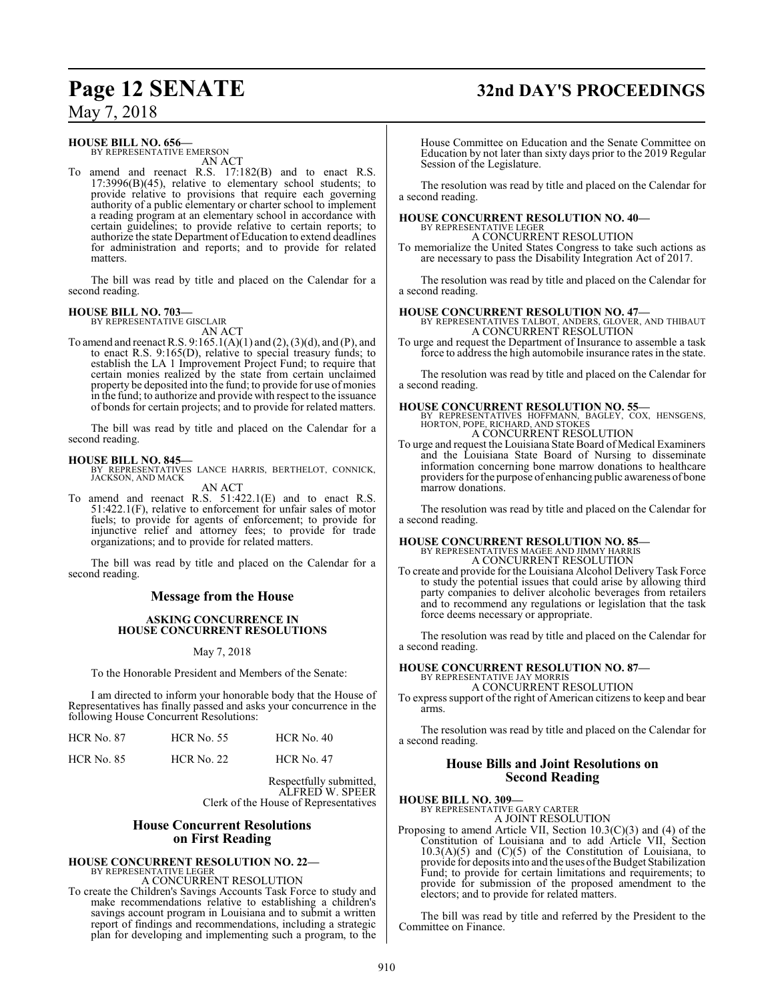## **Page 12 SENATE 32nd DAY'S PROCEEDINGS**

May 7, 2018

#### **HOUSE BILL NO. 656—**

BY REPRESENTATIVE EMERSON AN ACT

To amend and reenact R.S. 17:182(B) and to enact R.S. 17:3996(B)(45), relative to elementary school students; to provide relative to provisions that require each governing authority of a public elementary or charter school to implement a reading program at an elementary school in accordance with certain guidelines; to provide relative to certain reports; to authorize the state Department of Education to extend deadlines for administration and reports; and to provide for related matters.

The bill was read by title and placed on the Calendar for a second reading.

**HOUSE BILL NO. 703—** BY REPRESENTATIVE GISCLAIR AN ACT

To amend and reenact R.S. 9:165.1(A)(1) and (2), (3)(d), and (P), and to enact R.S. 9:165(D), relative to special treasury funds; to establish the LA 1 Improvement Project Fund; to require that certain monies realized by the state from certain unclaimed property be deposited into the fund; to provide for use of monies in the fund; to authorize and provide with respect to the issuance of bonds for certain projects; and to provide for related matters.

The bill was read by title and placed on the Calendar for a second reading.

#### **HOUSE BILL NO. 845—**

BY REPRESENTATIVES LANCE HARRIS, BERTHELOT, CONNICK, JACKSON, AND MACK AN ACT

To amend and reenact R.S. 51:422.1(E) and to enact R.S. 51:422.1(F), relative to enforcement for unfair sales of motor fuels; to provide for agents of enforcement; to provide for injunctive relief and attorney fees; to provide for trade organizations; and to provide for related matters.

The bill was read by title and placed on the Calendar for a second reading.

#### **Message from the House**

#### **ASKING CONCURRENCE IN HOUSE CONCURRENT RESOLUTIONS**

May 7, 2018

To the Honorable President and Members of the Senate:

I am directed to inform your honorable body that the House of Representatives has finally passed and asks your concurrence in the following House Concurrent Resolutions:

| <b>HCR No. 87</b> | <b>HCR No. 55</b> | $HCR$ No. 40      |  |
|-------------------|-------------------|-------------------|--|
| <b>HCR No. 85</b> | <b>HCR No. 22</b> | <b>HCR No. 47</b> |  |

Respectfully submitted, ALFRED W. SPEER Clerk of the House of Representatives

#### **House Concurrent Resolutions on First Reading**

# **HOUSE CONCURRENT RESOLUTION NO. 22—** BY REPRESENTATIVE LEGER

A CONCURRENT RESOLUTION

To create the Children's Savings Accounts Task Force to study and make recommendations relative to establishing a children's savings account program in Louisiana and to submit a written report of findings and recommendations, including a strategic plan for developing and implementing such a program, to the House Committee on Education and the Senate Committee on Education by not later than sixty days prior to the 2019 Regular Session of the Legislature.

The resolution was read by title and placed on the Calendar for a second reading.

## **HOUSE CONCURRENT RESOLUTION NO. 40—** BY REPRESENTATIVE LEGER

A CONCURRENT RESOLUTION

To memorialize the United States Congress to take such actions as are necessary to pass the Disability Integration Act of 2017.

The resolution was read by title and placed on the Calendar for a second reading.

#### **HOUSE CONCURRENT RESOLUTION NO. 47—**

BY REPRESENTATIVES TALBOT, ANDERS, GLOVER, AND THIBAUT A CONCURRENT RESOLUTION

To urge and request the Department of Insurance to assemble a task force to address the high automobile insurance rates in the state.

The resolution was read by title and placed on the Calendar for a second reading.

**HOUSE CONCURRENT RESOLUTION NO. 55—** BY REPRESENTATIVES HOFFMANN, BAGLEY, COX, HENSGENS, HORTON, POPE, RICHARD, AND STOKES A CONCURRENT RESOLUTION

To urge and request the Louisiana State Board of Medical Examiners and the Louisiana State Board of Nursing to disseminate information concerning bone marrow donations to healthcare providers for the purpose of enhancing public awareness of bone marrow donations.

The resolution was read by title and placed on the Calendar for a second reading.

**HOUSE CONCURRENT RESOLUTION NO. 85—** BY REPRESENTATIVES MAGEE AND JIMMY HARRIS A CONCURRENT RESOLUTION

To create and provide for the Louisiana Alcohol Delivery Task Force to study the potential issues that could arise by allowing third party companies to deliver alcoholic beverages from retailers and to recommend any regulations or legislation that the task force deems necessary or appropriate.

The resolution was read by title and placed on the Calendar for a second reading.

# **HOUSE CONCURRENT RESOLUTION NO. 87—** BY REPRESENTATIVE JAY MORRIS

A CONCURRENT RESOLUTION

To express support of the right of American citizens to keep and bear arms.

The resolution was read by title and placed on the Calendar for a second reading.

#### **House Bills and Joint Resolutions on Second Reading**

#### **HOUSE BILL NO. 309—**

BY REPRESENTATIVE GARY CARTER A JOINT RESOLUTION

Proposing to amend Article VII, Section 10.3(C)(3) and (4) of the Constitution of Louisiana and to add Article VII, Section  $10.3(A)(5)$  and  $(C)(5)$  of the Constitution of Louisiana, to provide for deposits into and the uses ofthe Budget Stabilization Fund; to provide for certain limitations and requirements; to provide for submission of the proposed amendment to the electors; and to provide for related matters.

The bill was read by title and referred by the President to the Committee on Finance.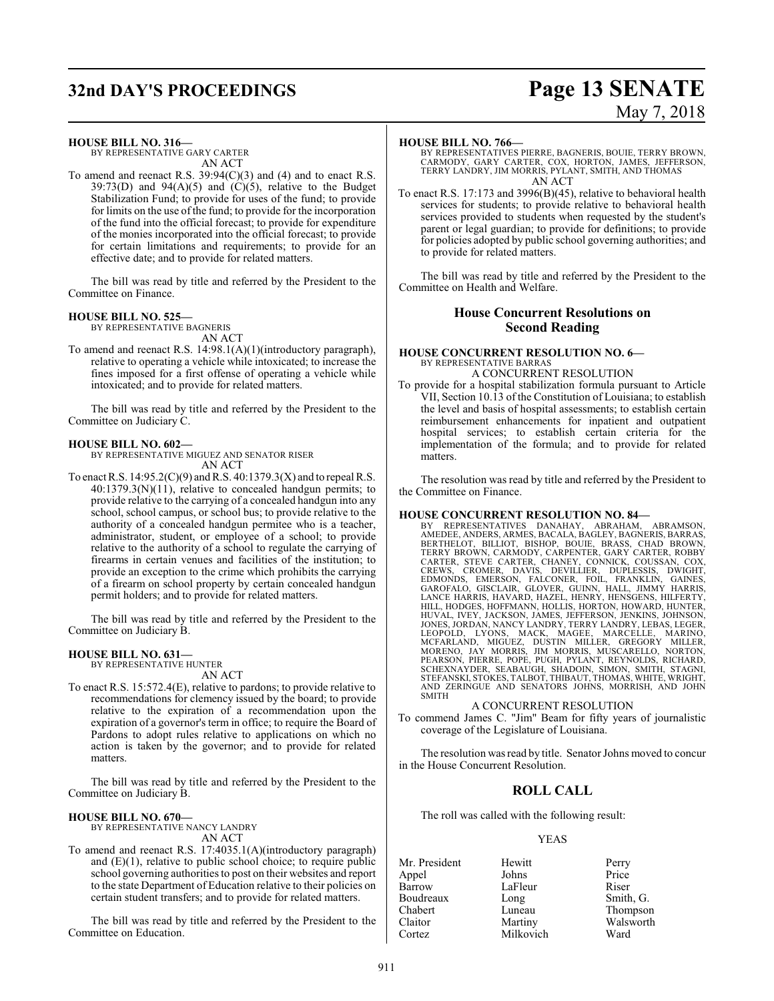# **32nd DAY'S PROCEEDINGS Page 13 SENATE**

# May 7, 2018

#### **HOUSE BILL NO. 316—**

BY REPRESENTATIVE GARY CARTER AN ACT

To amend and reenact R.S. 39:94(C)(3) and (4) and to enact R.S. 39:73(D) and 94(A)(5) and  $\hat{C}(5)$ , relative to the Budget Stabilization Fund; to provide for uses of the fund; to provide for limits on the use of the fund; to provide for the incorporation of the fund into the official forecast; to provide for expenditure of the monies incorporated into the official forecast; to provide for certain limitations and requirements; to provide for an effective date; and to provide for related matters.

The bill was read by title and referred by the President to the Committee on Finance.

#### **HOUSE BILL NO. 525—**

BY REPRESENTATIVE BAGNERIS

- AN ACT
- To amend and reenact R.S. 14:98.1(A)(1)(introductory paragraph), relative to operating a vehicle while intoxicated; to increase the fines imposed for a first offense of operating a vehicle while intoxicated; and to provide for related matters.

The bill was read by title and referred by the President to the Committee on Judiciary C.

#### **HOUSE BILL NO. 602—**

BY REPRESENTATIVE MIGUEZ AND SENATOR RISER AN ACT

To enact R.S.  $14:95.2(C)(9)$  and R.S.  $40:1379.3(X)$  and to repeal R.S. 40:1379.3(N)(11), relative to concealed handgun permits; to provide relative to the carrying of a concealed handgun into any school, school campus, or school bus; to provide relative to the authority of a concealed handgun permitee who is a teacher, administrator, student, or employee of a school; to provide relative to the authority of a school to regulate the carrying of firearms in certain venues and facilities of the institution; to provide an exception to the crime which prohibits the carrying of a firearm on school property by certain concealed handgun permit holders; and to provide for related matters.

The bill was read by title and referred by the President to the Committee on Judiciary B.

#### **HOUSE BILL NO. 631—**

BY REPRESENTATIVE HUNTER AN ACT

To enact R.S. 15:572.4(E), relative to pardons; to provide relative to recommendations for clemency issued by the board; to provide relative to the expiration of a recommendation upon the expiration of a governor's term in office; to require the Board of Pardons to adopt rules relative to applications on which no action is taken by the governor; and to provide for related matters.

The bill was read by title and referred by the President to the Committee on Judiciary B.

#### **HOUSE BILL NO. 670—**

BY REPRESENTATIVE NANCY LANDRY AN ACT

To amend and reenact R.S. 17:4035.1(A)(introductory paragraph) and (E)(1), relative to public school choice; to require public school governing authorities to post on their websites and report to the state Department of Education relative to their policies on certain student transfers; and to provide for related matters.

The bill was read by title and referred by the President to the Committee on Education.

#### **HOUSE BILL NO. 766—**

BY REPRESENTATIVES PIERRE, BAGNERIS, BOUIE, TERRY BROWN, CARMODY, GARY CARTER, COX, HORTON, JAMES, JEFFERSON, TERRY LANDRY, JIM MORRIS, PYLANT, SMITH, AND THOMAS AN ACT

To enact R.S. 17:173 and 3996(B)(45), relative to behavioral health services for students; to provide relative to behavioral health services provided to students when requested by the student's parent or legal guardian; to provide for definitions; to provide for policies adopted by public school governing authorities; and to provide for related matters.

The bill was read by title and referred by the President to the Committee on Health and Welfare.

#### **House Concurrent Resolutions on Second Reading**

#### **HOUSE CONCURRENT RESOLUTION NO. 6—** BY REPRESENTATIVE BARRAS A CONCURRENT RESOLUTION

To provide for a hospital stabilization formula pursuant to Article VII, Section 10.13 of the Constitution of Louisiana; to establish the level and basis of hospital assessments; to establish certain reimbursement enhancements for inpatient and outpatient hospital services; to establish certain criteria for the implementation of the formula; and to provide for related matters.

The resolution was read by title and referred by the President to the Committee on Finance.

#### **HOUSE CONCURRENT RESOLUTION NO. 84—**

BY REPRESENTATIVES DANAHAY, ABRAHAM, ABRAMSON, AMEDEE, ANDERS, ARMES, BACALA, BAGLEY, BAGNERIS, BARRAS, BERTHELOT, BILLIOT, BISHOP, BOUIE, BRASS, CHAD BROWN,<br>TERRY BROWN, CARMODY, CARPENTER, GARY CARTER, ROBBY<br>CARTER, STEVE CARTER, CHAPEN, CONNICK, COUSSAN, COX,<br>CREWS, CROMER, DAVIS, DEVILLIER, DUPLESSIS, DWIGHT,<br>EDMONDS, EM HILL, HODGES, HOFFMANN, HOLLIS, HORTON, HOWARD, HUNTER,<br>HUVAL, IVEY, JACKSON, JAMES, JEFFERSON, JENKINS, JOHNSON,<br>JONES, JORDAN, NANCY LANDRY, TERRY LANDRY, LEBAS, LEGER<br>LEOPOLD, LYONS, MACK, MAGEE, MARCELLE, MARINO,<br>MCFAR PEARSON, PIERRE, POPE, PUGH, PYLANT, REYNOLDS, RICHARD,<br>SCHEXNAYDER, SEABAUGH, SHADOIN, SIMON, SMITH, STAGNI,<br>STEFANSKI,STOKES,TALBOT,THIBAUT,THOMAS,WHITE,WRIGHT, AND ZERINGUE AND SENATORS JOHNS, MORRISH, AND JOHN SMITH

#### A CONCURRENT RESOLUTION

To commend James C. "Jim" Beam for fifty years of journalistic coverage of the Legislature of Louisiana.

The resolution was read by title. Senator Johns moved to concur in the House Concurrent Resolution.

#### **ROLL CALL**

The roll was called with the following result:

#### YEAS

Mr. President Hewitt Perry<br>
Appel Johns Price Appel Barrow LaFleur Riser<br>Boudreaux Long Smith Boudreaux Long Smith, G.<br>
Chabert Luneau Thompsor Chabert Luneau Thompson Claitor Martiny Walsworth Milkovich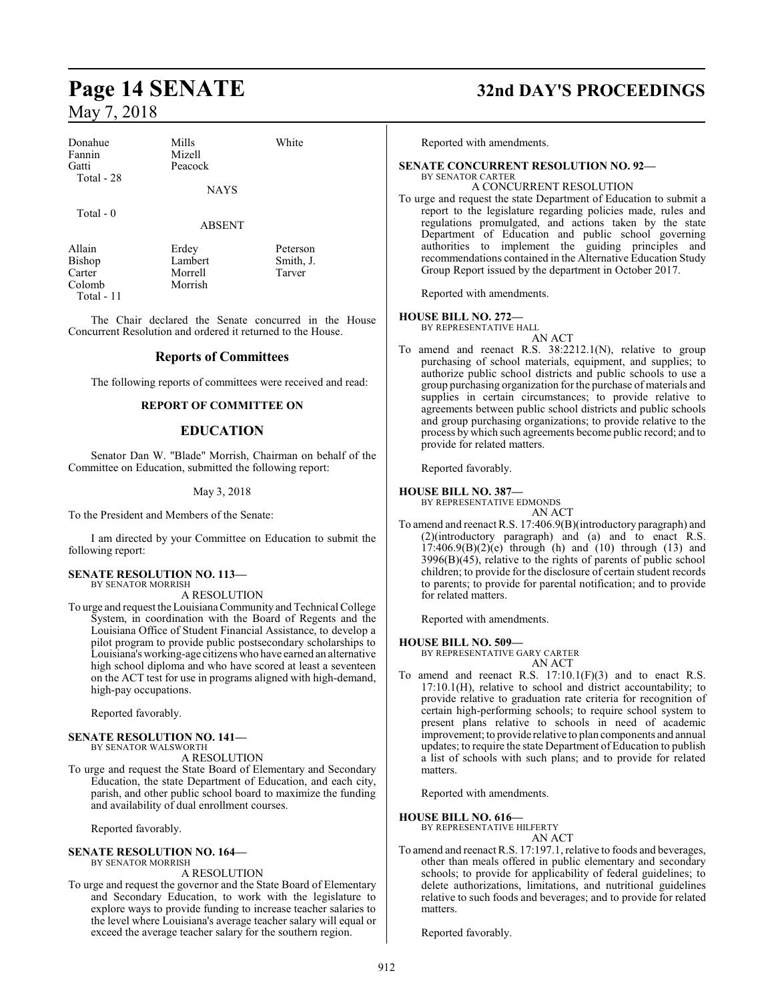| Donahue<br>Fannin<br>Gatti | Mills<br>Mizell<br>Peacock | White    |
|----------------------------|----------------------------|----------|
| Total - 28                 | <b>NAYS</b>                |          |
| Total $-0$                 | <b>ABSENT</b>              |          |
| Allain                     | Erdey                      | Peterson |

Morrish

Bishop Lambert Smith, J.<br>Carter Morrell Tarver Carter Morrell<br>Colomb Morrish Total - 11

The Chair declared the Senate concurred in the House Concurrent Resolution and ordered it returned to the House.

#### **Reports of Committees**

The following reports of committees were received and read:

#### **REPORT OF COMMITTEE ON**

#### **EDUCATION**

Senator Dan W. "Blade" Morrish, Chairman on behalf of the Committee on Education, submitted the following report:

#### May 3, 2018

To the President and Members of the Senate:

I am directed by your Committee on Education to submit the following report:

#### **SENATE RESOLUTION NO. 113—** BY SENATOR MORRISH

A RESOLUTION

To urge and request the LouisianaCommunity and Technical College System, in coordination with the Board of Regents and the Louisiana Office of Student Financial Assistance, to develop a pilot program to provide public postsecondary scholarships to Louisiana's working-age citizens who have earned an alternative high school diploma and who have scored at least a seventeen on the ACT test for use in programs aligned with high-demand, high-pay occupations.

Reported favorably.

#### **SENATE RESOLUTION NO. 141—** BY SENATOR WALSWORTH

A RESOLUTION

To urge and request the State Board of Elementary and Secondary Education, the state Department of Education, and each city, parish, and other public school board to maximize the funding and availability of dual enrollment courses.

Reported favorably.

#### **SENATE RESOLUTION NO. 164—** BY SENATOR MORRISH

#### A RESOLUTION

To urge and request the governor and the State Board of Elementary and Secondary Education, to work with the legislature to explore ways to provide funding to increase teacher salaries to the level where Louisiana's average teacher salary will equal or exceed the average teacher salary for the southern region.

## **Page 14 SENATE 32nd DAY'S PROCEEDINGS**

Reported with amendments.

#### **SENATE CONCURRENT RESOLUTION NO. 92—**

#### BY SENATOR CARTER A CONCURRENT RESOLUTION

To urge and request the state Department of Education to submit a report to the legislature regarding policies made, rules and regulations promulgated, and actions taken by the state Department of Education and public school governing authorities to implement the guiding principles and recommendations contained in the Alternative Education Study Group Report issued by the department in October 2017.

Reported with amendments.

#### **HOUSE BILL NO. 272—**

BY REPRESENTATIVE HALL AN ACT

To amend and reenact R.S. 38:2212.1(N), relative to group purchasing of school materials, equipment, and supplies; to authorize public school districts and public schools to use a group purchasing organization for the purchase of materials and supplies in certain circumstances; to provide relative to agreements between public school districts and public schools and group purchasing organizations; to provide relative to the process by which such agreements become public record; and to provide for related matters.

Reported favorably.

#### **HOUSE BILL NO. 387—**

BY REPRESENTATIVE EDMONDS

AN ACT To amend and reenact R.S. 17:406.9(B)(introductory paragraph) and (2)(introductory paragraph) and (a) and to enact R.S.  $17:406.9(B)(2)(e)$  through (h) and (10) through (13) and 3996(B)(45), relative to the rights of parents of public school children; to provide for the disclosure of certain student records to parents; to provide for parental notification; and to provide for related matters.

Reported with amendments.

#### **HOUSE BILL NO. 509—**

BY REPRESENTATIVE GARY CARTER AN ACT

To amend and reenact R.S.  $17:10.1(F)(3)$  and to enact R.S. 17:10.1(H), relative to school and district accountability; to provide relative to graduation rate criteria for recognition of certain high-performing schools; to require school system to present plans relative to schools in need of academic improvement; to provide relative to plan components and annual updates; to require the state Department of Education to publish a list of schools with such plans; and to provide for related matters.

Reported with amendments.

#### **HOUSE BILL NO. 616—**

BY REPRESENTATIVE HILFERTY AN ACT

To amend and reenact R.S. 17:197.1, relative to foods and beverages, other than meals offered in public elementary and secondary schools; to provide for applicability of federal guidelines; to delete authorizations, limitations, and nutritional guidelines relative to such foods and beverages; and to provide for related matters.

Reported favorably.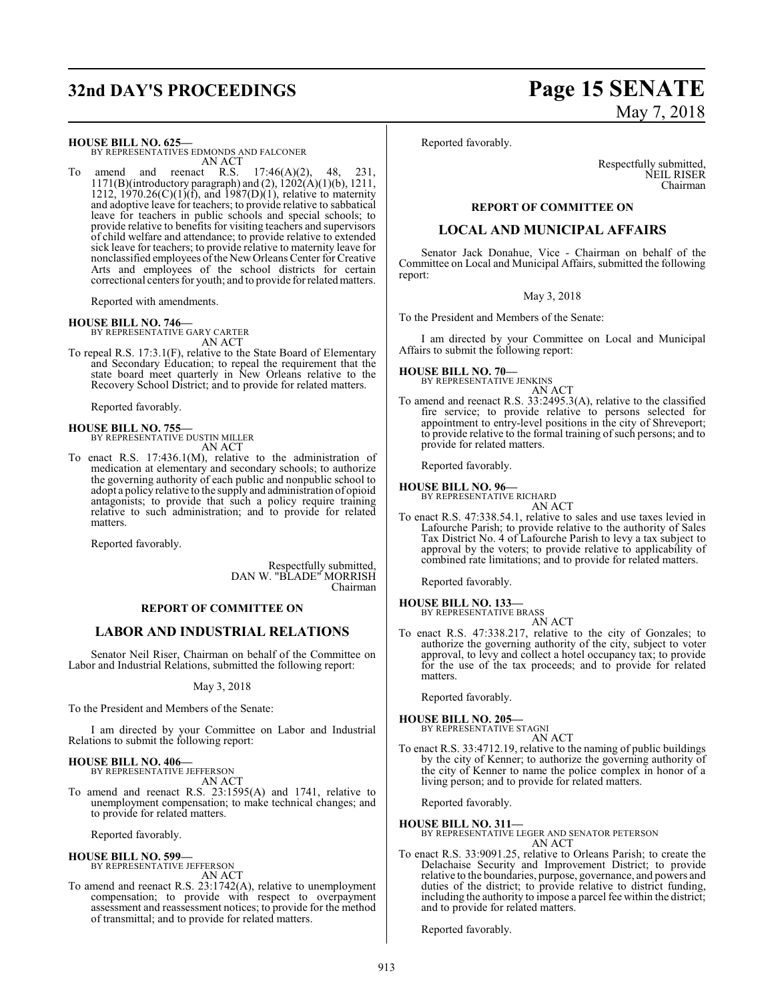## **32nd DAY'S PROCEEDINGS Page 15 SENATE**

# May 7, 2018

**HOUSE BILL NO. 625—**

BY REPRESENTATIVES EDMONDS AND FALCONER AN ACT

amend and reenact R.S.  $17:46(A)(2)$ , 48, 231, 1171(B)(introductory paragraph) and (2),  $1202(A)(1)(b)$ , 1211, 1212, 1970.26(C)(1)(f), and 1987(D)(1), relative to maternity and adoptive leave for teachers; to provide relative to sabbatical leave for teachers in public schools and special schools; to provide relative to benefits for visiting teachers and supervisors of child welfare and attendance; to provide relative to extended sick leave for teachers; to provide relative to maternity leave for nonclassified employees of the New Orleans Center for Creative Arts and employees of the school districts for certain correctional centers for youth; and to provide for relatedmatters.

Reported with amendments.

#### **HOUSE BILL NO. 746—**

BY REPRESENTATIVE GARY CARTER AN ACT

To repeal R.S. 17:3.1(F), relative to the State Board of Elementary and Secondary Education; to repeal the requirement that the state board meet quarterly in New Orleans relative to the Recovery School District; and to provide for related matters.

Reported favorably.

## **HOUSE BILL NO. 755—** BY REPRESENTATIVE DUSTIN MILLER

AN ACT

To enact R.S. 17:436.1(M), relative to the administration of medication at elementary and secondary schools; to authorize the governing authority of each public and nonpublic school to adopt a policy relative to the supply and administration of opioid antagonists; to provide that such a policy require training relative to such administration; and to provide for related matters.

Reported favorably.

Respectfully submitted, DAN W. "BLADE" MORRISH Chairman

#### **REPORT OF COMMITTEE ON**

#### **LABOR AND INDUSTRIAL RELATIONS**

Senator Neil Riser, Chairman on behalf of the Committee on Labor and Industrial Relations, submitted the following report:

May 3, 2018

To the President and Members of the Senate:

I am directed by your Committee on Labor and Industrial Relations to submit the following report:

## **HOUSE BILL NO. 406—** BY REPRESENTATIVE JEFFERSON

AN ACT

To amend and reenact R.S. 23:1595(A) and 1741, relative to unemployment compensation; to make technical changes; and to provide for related matters.

Reported favorably.

#### **HOUSE BILL NO. 599—**

BY REPRESENTATIVE JEFFERSON

- AN ACT
- To amend and reenact R.S. 23:1742(A), relative to unemployment compensation; to provide with respect to overpayment assessment and reassessment notices; to provide for the method of transmittal; and to provide for related matters.

Reported favorably.

Respectfully submitted, NEIL RISER Chairman

#### **REPORT OF COMMITTEE ON**

#### **LOCAL AND MUNICIPAL AFFAIRS**

Senator Jack Donahue, Vice - Chairman on behalf of the Committee on Local and Municipal Affairs, submitted the following report:

#### May 3, 2018

To the President and Members of the Senate:

I am directed by your Committee on Local and Municipal Affairs to submit the following report:

#### **HOUSE BILL NO. 70—**

BY REPRESENTATIVE JENKINS AN ACT

To amend and reenact R.S. 33:2495.3(A), relative to the classified fire service; to provide relative to persons selected for appointment to entry-level positions in the city of Shreveport; to provide relative to the formal training of such persons; and to provide for related matters.

Reported favorably.

**HOUSE BILL NO. 96—** BY REPRESENTATIVE RICHARD

- AN ACT
- To enact R.S. 47:338.54.1, relative to sales and use taxes levied in Lafourche Parish; to provide relative to the authority of Sales Tax District No. 4 of Lafourche Parish to levy a tax subject to approval by the voters; to provide relative to applicability of combined rate limitations; and to provide for related matters.

Reported favorably.

- **HOUSE BILL NO. 133—** BY REPRESENTATIVE BRASS AN ACT
- To enact R.S. 47:338.217, relative to the city of Gonzales; to authorize the governing authority of the city, subject to voter approval, to levy and collect a hotel occupancy tax; to provide for the use of the tax proceeds; and to provide for related matters.

Reported favorably.

#### **HOUSE BILL NO. 205—**

BY REPRESENTATIVE STAGNI AN ACT

To enact R.S. 33:4712.19, relative to the naming of public buildings by the city of Kenner; to authorize the governing authority of the city of Kenner to name the police complex in honor of a living person; and to provide for related matters.

Reported favorably.

#### **HOUSE BILL NO. 311—**

BY REPRESENTATIVE LEGER AND SENATOR PETERSON AN ACT

To enact R.S. 33:9091.25, relative to Orleans Parish; to create the Delachaise Security and Improvement District; to provide relative to the boundaries, purpose, governance, and powers and duties of the district; to provide relative to district funding, including the authority to impose a parcel fee within the district; and to provide for related matters.

Reported favorably.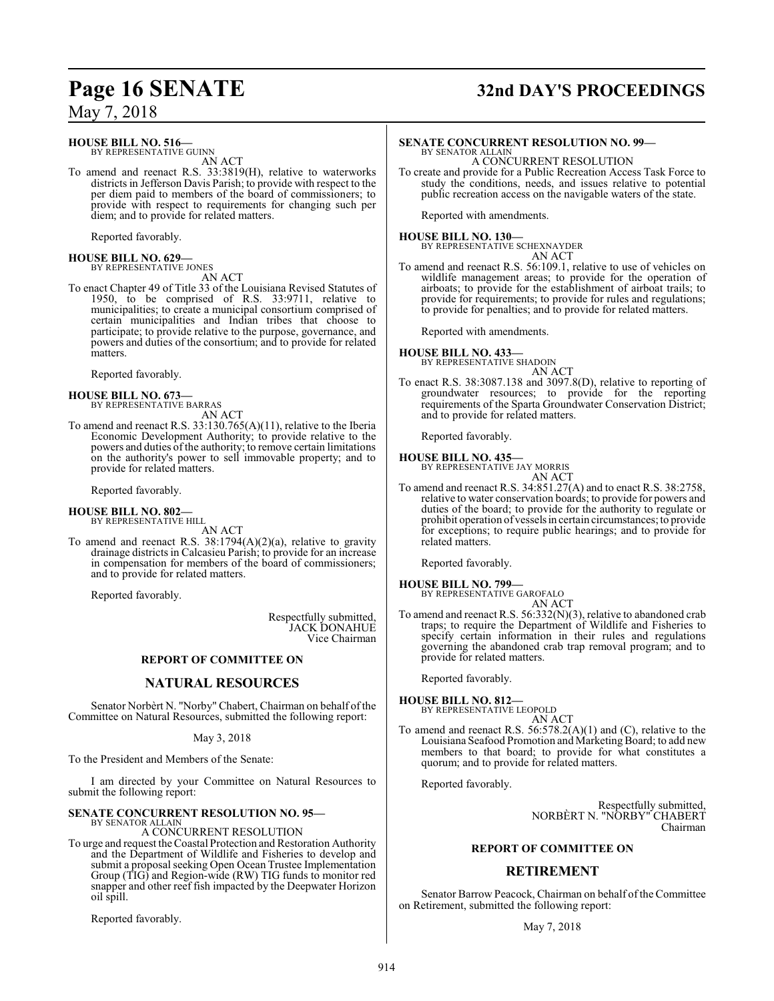# **Page 16 SENATE 32nd DAY'S PROCEEDINGS**

**HOUSE BILL NO. 516—**

BY REPRESENTATIVE GUINN AN ACT

To amend and reenact R.S. 33:3819(H), relative to waterworks districts in Jefferson Davis Parish; to provide with respect to the per diem paid to members of the board of commissioners; to provide with respect to requirements for changing such per diem; and to provide for related matters.

Reported favorably.

#### **HOUSE BILL NO. 629—** BY REPRESENTATIVE JONES

AN ACT

To enact Chapter 49 of Title 33 of the Louisiana Revised Statutes of 1950, to be comprised of R.S. 33:9711, relative to municipalities; to create a municipal consortium comprised of certain municipalities and Indian tribes that choose to participate; to provide relative to the purpose, governance, and powers and duties of the consortium; and to provide for related matters.

Reported favorably.

## **HOUSE BILL NO. 673—**

BY REPRESENTATIVE BARRAS AN ACT

To amend and reenact R.S. 33:130.765(A)(11), relative to the Iberia Economic Development Authority; to provide relative to the powers and duties of the authority; to remove certain limitations on the authority's power to sell immovable property; and to provide for related matters.

Reported favorably.

## **HOUSE BILL NO. 802—** BY REPRESENTATIVE HILL

AN ACT

To amend and reenact R.S. 38:1794(A)(2)(a), relative to gravity drainage districts in Calcasieu Parish; to provide for an increase in compensation for members of the board of commissioners; and to provide for related matters.

Reported favorably.

Respectfully submitted, JACK DONAHUE Vice Chairman

#### **REPORT OF COMMITTEE ON**

#### **NATURAL RESOURCES**

Senator Norbèrt N. "Norby" Chabert, Chairman on behalf ofthe Committee on Natural Resources, submitted the following report:

May 3, 2018

To the President and Members of the Senate:

I am directed by your Committee on Natural Resources to submit the following report:

#### **SENATE CONCURRENT RESOLUTION NO. 95—** BY SENATOR ALLAIN

A CONCURRENT RESOLUTION

To urge and request theCoastal Protection and Restoration Authority and the Department of Wildlife and Fisheries to develop and submit a proposal seeking Open Ocean Trustee Implementation Group (TIG) and Region-wide (RW) TIG funds to monitor red snapper and other reef fish impacted by the Deepwater Horizon oil spill.

Reported favorably.

## **SENATE CONCURRENT RESOLUTION NO. 99—**

BY SENATOR ALLAIN A CONCURRENT RESOLUTION

To create and provide for a Public Recreation Access Task Force to study the conditions, needs, and issues relative to potential public recreation access on the navigable waters of the state.

Reported with amendments.

#### **HOUSE BILL NO. 130—** BY REPRESENTATIVE SCHEXNAYDER

AN ACT

To amend and reenact R.S. 56:109.1, relative to use of vehicles on wildlife management areas; to provide for the operation of airboats; to provide for the establishment of airboat trails; to provide for requirements; to provide for rules and regulations; to provide for penalties; and to provide for related matters.

Reported with amendments.

**HOUSE BILL NO. 433—** BY REPRESENTATIVE SHADOIN

AN ACT

To enact R.S. 38:3087.138 and 3097.8(D), relative to reporting of groundwater resources; to provide for the reporting requirements of the Sparta Groundwater Conservation District; and to provide for related matters.

Reported favorably.

**HOUSE BILL NO. 435—**

BY REPRESENTATIVE JAY MORRIS AN ACT

To amend and reenact R.S. 34:851.27(A) and to enact R.S. 38:2758, relative to water conservation boards; to provide for powers and duties of the board; to provide for the authority to regulate or prohibit operation of vessels in certain circumstances; to provide for exceptions; to require public hearings; and to provide for related matters.

Reported favorably.

**HOUSE BILL NO. 799—**

BY REPRESENTATIVE GAROFALO AN ACT

To amend and reenact R.S. 56:332(N)(3), relative to abandoned crab traps; to require the Department of Wildlife and Fisheries to specify certain information in their rules and regulations governing the abandoned crab trap removal program; and to provide for related matters.

Reported favorably.

**HOUSE BILL NO. 812—**

- BY REPRESENTATIVE LEOPOLD AN ACT
- To amend and reenact R.S. 56:578.2(A)(1) and (C), relative to the Louisiana Seafood Promotion and Marketing Board; to add new members to that board; to provide for what constitutes a quorum; and to provide for related matters.

Reported favorably.

Respectfully submitted, NORBÈRT N. "NORBY" CHABERT Chairman

#### **REPORT OF COMMITTEE ON**

### **RETIREMENT**

Senator Barrow Peacock, Chairman on behalf of the Committee on Retirement, submitted the following report:

May 7, 2018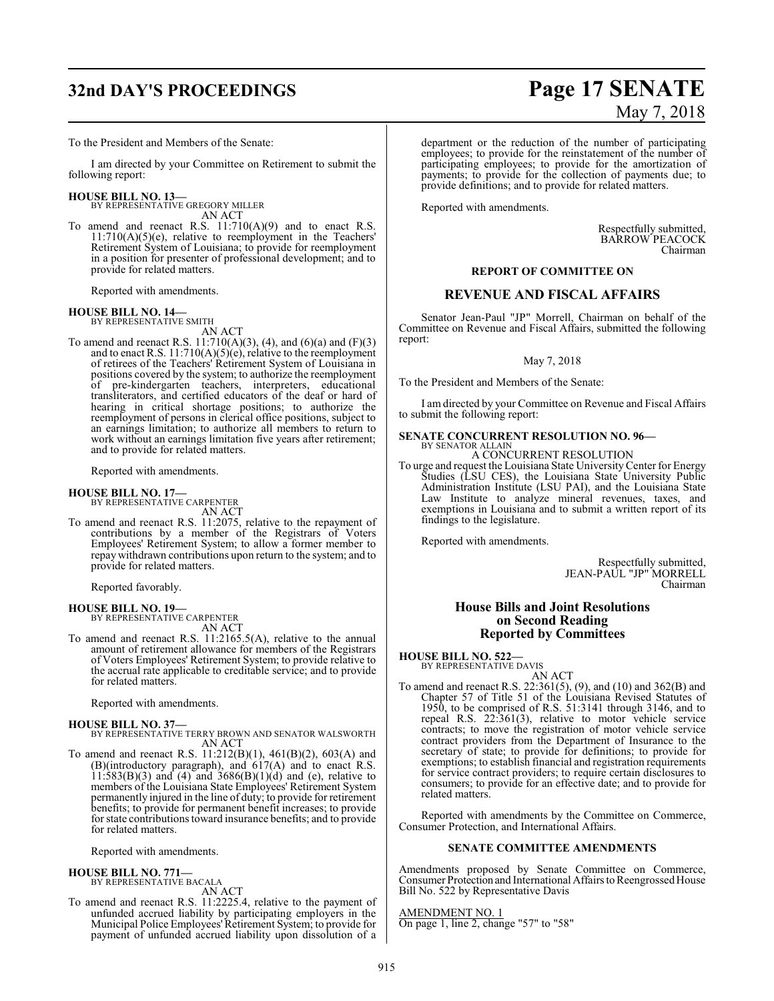## **32nd DAY'S PROCEEDINGS Page 17 SENATE**

To the President and Members of the Senate:

I am directed by your Committee on Retirement to submit the following report:

#### **HOUSE BILL NO. 13—**

BY REPRESENTATIVE GREGORY MILLER AN ACT

To amend and reenact R.S.  $11:710(A)(9)$  and to enact R.S.  $11:710(A)(5)(e)$ , relative to reemployment in the Teachers' Retirement System of Louisiana; to provide for reemployment in a position for presenter of professional development; and to provide for related matters.

Reported with amendments.

#### **HOUSE BILL NO. 14—**

BY REPRESENTATIVE SMITH AN ACT

To amend and reenact R.S. 11:710(A)(3), (4), and (6)(a) and (F)(3) and to enact R.S.  $11:710(A)(5)(e)$ , relative to the reemployment of retirees of the Teachers' Retirement System of Louisiana in positions covered by the system; to authorize the reemployment of pre-kindergarten teachers, interpreters, educational transliterators, and certified educators of the deaf or hard of hearing in critical shortage positions; to authorize the reemployment of persons in clerical office positions, subject to an earnings limitation; to authorize all members to return to work without an earnings limitation five years after retirement; and to provide for related matters.

Reported with amendments.

# **HOUSE BILL NO. 17—** BY REPRESENTATIVE CARPENTER

AN ACT

To amend and reenact R.S. 11:2075, relative to the repayment of contributions by a member of the Registrars of Voters Employees' Retirement System; to allow a former member to repay withdrawn contributions upon return to the system; and to provide for related matters.

Reported favorably.

**HOUSE BILL NO. 19—** BY REPRESENTATIVE CARPENTER AN ACT

To amend and reenact R.S. 11:2165.5(A), relative to the annual amount of retirement allowance for members of the Registrars of Voters Employees' Retirement System; to provide relative to the accrual rate applicable to creditable service; and to provide for related matters.

Reported with amendments.

#### **HOUSE BILL NO. 37—**

- BY REPRESENTATIVE TERRY BROWN AND SENATOR WALSWORTH AN ACT
- To amend and reenact R.S. 11:212(B)(1), 461(B)(2), 603(A) and (B)(introductory paragraph), and 617(A) and to enact R.S.  $11:583(B)(3)$  and  $(4)$  and  $3686(B)(1)(d)$  and  $(e)$ , relative to members of the Louisiana State Employees' Retirement System permanently injured in the line of duty; to provide for retirement benefits; to provide for permanent benefit increases; to provide for state contributions toward insurance benefits; and to provide for related matters.

Reported with amendments.

#### **HOUSE BILL NO. 771—** BY REPRESENTATIVE BACALA

AN ACT To amend and reenact R.S. 11:2225.4, relative to the payment of unfunded accrued liability by participating employers in the Municipal Police Employees'Retirement System; to provide for payment of unfunded accrued liability upon dissolution of a

# May 7, 2018

department or the reduction of the number of participating employees; to provide for the reinstatement of the number of participating employees; to provide for the amortization of payments; to provide for the collection of payments due; to provide definitions; and to provide for related matters.

Reported with amendments.

Respectfully submitted, BARROW PEACOCK Chairman

#### **REPORT OF COMMITTEE ON**

#### **REVENUE AND FISCAL AFFAIRS**

Senator Jean-Paul "JP" Morrell, Chairman on behalf of the Committee on Revenue and Fiscal Affairs, submitted the following report:

#### May 7, 2018

To the President and Members of the Senate:

I am directed by your Committee on Revenue and Fiscal Affairs to submit the following report:

#### **SENATE CONCURRENT RESOLUTION NO. 96—** BY SENATOR ALLAIN

A CONCURRENT RESOLUTION

To urge and request the Louisiana State UniversityCenter for Energy Studies (LSU CES), the Louisiana State University Public Administration Institute (LSU PAI), and the Louisiana State Law Institute to analyze mineral revenues, taxes, and exemptions in Louisiana and to submit a written report of its findings to the legislature.

Reported with amendments.

Respectfully submitted, JEAN-PAUL "JP" MORRELL Chairman

#### **House Bills and Joint Resolutions on Second Reading Reported by Committees**

#### **HOUSE BILL NO. 522—**

BY REPRESENTATIVE DAVIS AN ACT

To amend and reenact R.S. 22:361(5), (9), and (10) and 362(B) and Chapter 57 of Title 51 of the Louisiana Revised Statutes of 1950, to be comprised of R.S. 51:3141 through 3146, and to repeal R.S. 22:361(3), relative to motor vehicle service contracts; to move the registration of motor vehicle service contract providers from the Department of Insurance to the secretary of state; to provide for definitions; to provide for exemptions; to establish financial and registration requirements for service contract providers; to require certain disclosures to consumers; to provide for an effective date; and to provide for related matters.

Reported with amendments by the Committee on Commerce, Consumer Protection, and International Affairs.

### **SENATE COMMITTEE AMENDMENTS**

Amendments proposed by Senate Committee on Commerce, Consumer Protection and International Affairs to Reengrossed House Bill No. 522 by Representative Davis

AMENDMENT NO. 1 On page 1, line 2, change "57" to "58"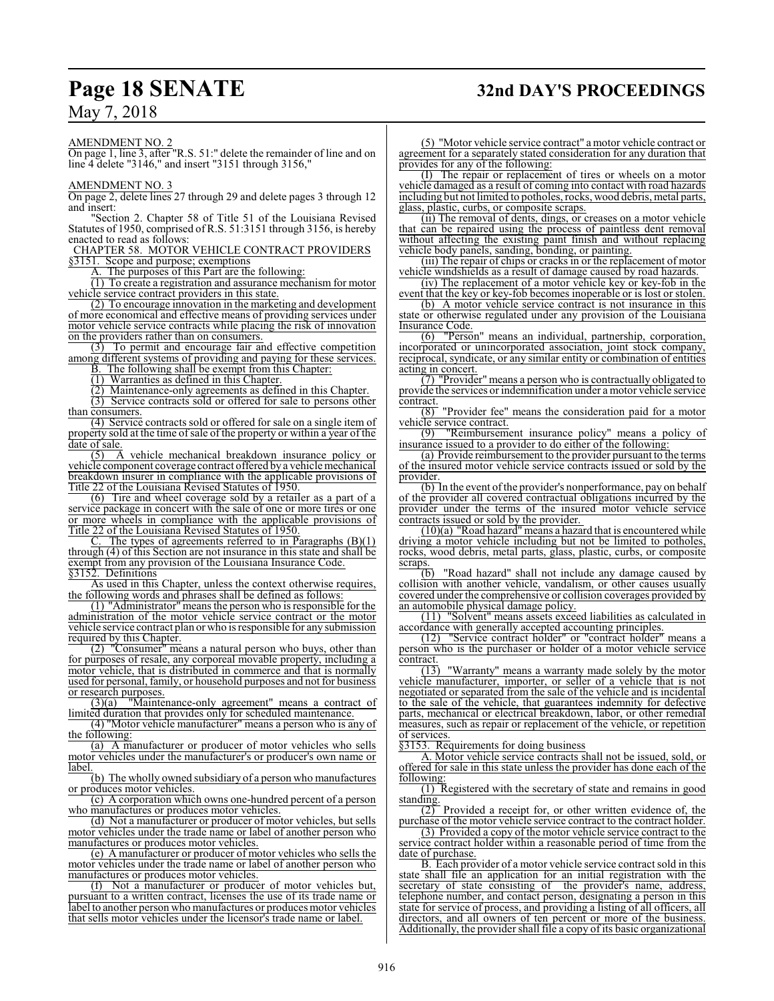## **Page 18 SENATE 32nd DAY'S PROCEEDINGS**

May 7, 2018

AMENDMENT NO. 2

On page 1, line 3, after "R.S. 51:" delete the remainder of line and on line 4 delete "3146," and insert "3151 through 3156,"

AMENDMENT NO. 3

On page 2, delete lines 27 through 29 and delete pages 3 through 12 and insert:

'Section 2. Chapter 58 of Title 51 of the Louisiana Revised Statutes of 1950, comprised of R.S. 51:3151 through 3156, is hereby enacted to read as follows:

CHAPTER 58. MOTOR VEHICLE CONTRACT PROVIDERS §3151. Scope and purpose; exemptions

The purposes of this Part are the following:

(1) To create a registration and assurance mechanism for motor vehicle service contract providers in this state.

(2) To encourage innovation in the marketing and development of more economical and effective means of providing services under motor vehicle service contracts while placing the risk of innovation on the providers rather than on consumers.

(3) To permit and encourage fair and effective competition among different systems of providing and paying for these services.

B. The following shall be exempt from this Chapter:

 $(1)$  Warranties as defined in this Chapter.

(2) Maintenance-only agreements as defined in this Chapter.

(3) Service contracts sold or offered for sale to persons other than consumers.

(4) Service contracts sold or offered for sale on a single item of property sold at the time ofsale of the property or within a year of the date of sale.

(5) A vehicle mechanical breakdown insurance policy or vehicle component coverage contract offered by a vehicle mechanical breakdown insurer in compliance with the applicable provisions of Title 22 of the Louisiana Revised Statutes of 1950.

(6) Tire and wheel coverage sold by a retailer as a part of a service package in concert with the sale of one or more tires or one or more wheels in compliance with the applicable provisions of Title 22 of the Louisiana Revised Statutes of 1950.

The types of agreements referred to in Paragraphs  $(B)(1)$ through (4) of this Section are not insurance in this state and shall be exempt from any provision of the Louisiana Insurance Code.

§3152. Definitions

As used in this Chapter, unless the context otherwise requires, the following words and phrases shall be defined as follows:

(1) "Administrator" means the person who is responsible for the administration of the motor vehicle service contract or the motor vehicle service contract plan or who is responsible for any submission required by this Chapter.

(2) "Consumer" means a natural person who buys, other than for purposes of resale, any corporeal movable property, including a motor vehicle, that is distributed in commerce and that is normally used for personal, family, or household purposes and not for business or research purposes.

(3)(a) "Maintenance-only agreement" means a contract of limited duration that provides only for scheduled maintenance.

(4) "Motor vehicle manufacturer" means a person who is any of the following:

(a) A manufacturer or producer of motor vehicles who sells motor vehicles under the manufacturer's or producer's own name or label.

(b) The wholly owned subsidiary of a person who manufactures or produces motor vehicles.

(c) A corporation which owns one-hundred percent of a person who manufactures or produces motor vehicles.

(d) Not a manufacturer or producer of motor vehicles, but sells motor vehicles under the trade name or label of another person who manufactures or produces motor vehicles.

(e) A manufacturer or producer of motor vehicles who sells the motor vehicles under the trade name or label of another person who manufactures or produces motor vehicles.

(f) Not a manufacturer or producer of motor vehicles but, pursuant to a written contract, licenses the use of its trade name or label to another person who manufactures or produces motor vehicles that sells motor vehicles under the licensor's trade name or label.

(5) "Motor vehicle service contract" a motor vehicle contract or agreement for a separately stated consideration for any duration that provides for any of the following:

(I) The repair or replacement of tires or wheels on a motor vehicle damaged as a result of coming into contact with road hazards including but not limited to potholes, rocks, wood debris, metal parts, glass, plastic, curbs, or composite scraps.

(ii) The removal of dents, dings, or creases on a motor vehicle that can be repaired using the process of paintless dent removal without affecting the existing paint finish and without replacing vehicle body panels, sanding, bonding, or painting.

(iii) The repair of chips or cracks in or the replacement of motor vehicle windshields as a result of damage caused by road hazards.

(iv) The replacement of a motor vehicle key or key-fob in the event that the key or key-fob becomes inoperable or is lost or stolen.

(b) A motor vehicle service contract is not insurance in this state or otherwise regulated under any provision of the Louisiana Insurance Code.

(6) "Person" means an individual, partnership, corporation, incorporated or unincorporated association, joint stock company, reciprocal, syndicate, or any similar entity or combination of entities acting in concert.

The *Statements* Theories of the series of the *Theories Theories* Theories of the *Theories* Theories Theories Theories Theories Theories Theories Theories Theories Theories Theories Theories Theories Theories Theories Th provide the services or indemnification under a motor vehicle service contract.

 $(8)$  "Provider fee" means the consideration paid for a motor vehicle service contract.<br>(9) "Reimbursement"

"Reimbursement insurance policy" means a policy of insurance issued to a provider to do either of the following:

(a) Provide reimbursement to the provider pursuant to the terms of the insured motor vehicle service contracts issued or sold by the provider

(b) In the event ofthe provider's nonperformance, pay on behalf of the provider all covered contractual obligations incurred by the provider under the terms of the insured motor vehicle service contracts issued or sold by the provider.

 $(10)(a)$  "Road hazard" means a hazard that is encountered while driving a motor vehicle including but not be limited to potholes, rocks, wood debris, metal parts, glass, plastic, curbs, or composite

 $\frac{\text{scraps.}}{(\text{b})}$ "Road hazard" shall not include any damage caused by collision with another vehicle, vandalism, or other causes usually covered under the comprehensive or collision coverages provided by an automobile physical damage policy.

(11) "Solvent" means assets exceed liabilities as calculated in accordance with generally accepted accounting principles.

(12) "Service contract holder" or "contract holder" means a person who is the purchaser or holder of a motor vehicle service

 $\frac{\text{contract.}}{(13)}$ "Warranty" means a warranty made solely by the motor vehicle manufacturer, importer, or seller of a vehicle that is not negotiated or separated from the sale of the vehicle and is incidental to the sale of the vehicle, that guarantees indemnity for defective parts, mechanical or electrical breakdown, labor, or other remedial measures, such as repair or replacement of the vehicle, or repetition of services.

§3153. Requirements for doing business

A. Motor vehicle service contracts shall not be issued, sold, or offered for sale in this state unless the provider has done each of the following:

(1) Registered with the secretary of state and remains in good standing.

(2) Provided a receipt for, or other written evidence of, the purchase of the motor vehicle service contract to the contract holder.

(3) Provided a copy of the motor vehicle service contract to the service contract holder within a reasonable period of time from the date of purchase.

B. Each provider of a motor vehicle service contract sold in this state shall file an application for an initial registration with the secretary of state consisting of the provider's name, address, telephone number, and contact person, designating a person in this state for service of process, and providing a listing of all officers, all directors, and all owners of ten percent or more of the business. Additionally, the provider shall file a copy of its basic organizational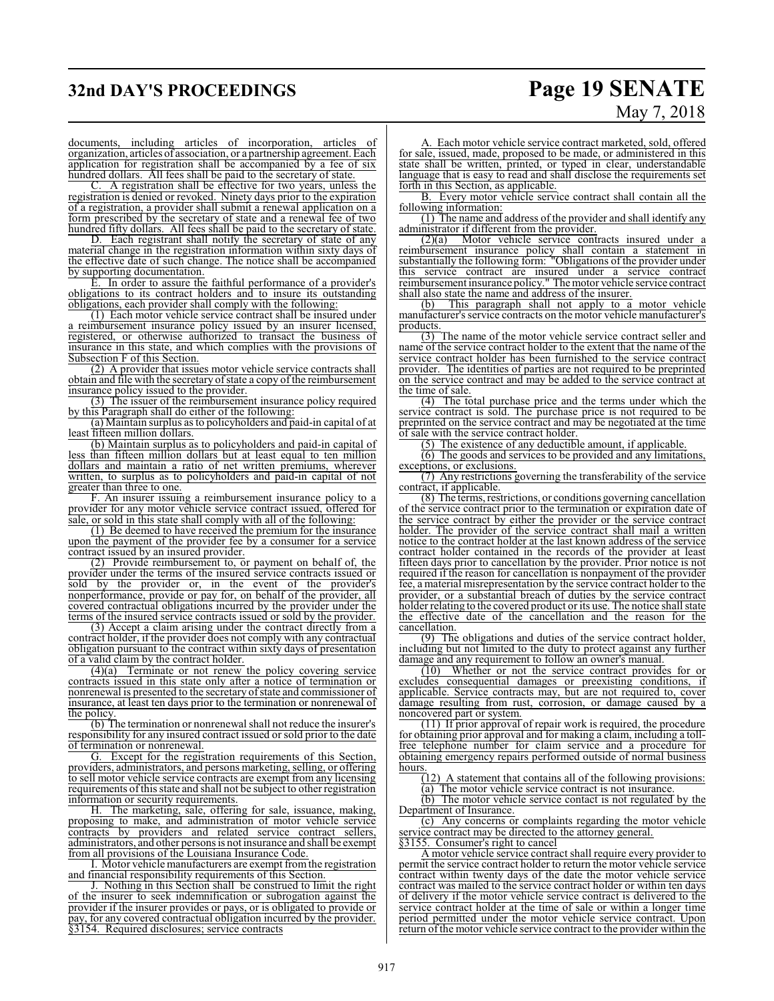## **32nd DAY'S PROCEEDINGS Page 19 SENATE**

# May 7, 2018

documents, including articles of incorporation, articles of organization, articles of association, or a partnership agreement. Each application for registration shall be accompanied by a fee of six hundred dollars. All fees shall be paid to the secretary of state.

A registration shall be effective for two years, unless the registration is denied or revoked. Ninety days prior to the expiration of a registration, a provider shall submit a renewal application on a form prescribed by the secretary of state and a renewal fee of two hundred fifty dollars. All fees shall be paid to the secretary of state.

D. Each registrant shall notify the secretary of state of any material change in the registration information within sixty days of the effective date of such change. The notice shall be accompanied by supporting documentation.

E. In order to assure the faithful performance of a provider's obligations to its contract holders and to insure its outstanding obligations, each provider shall comply with the following:

(1) Each motor vehicle service contract shall be insured under a reimbursement insurance policy issued by an insurer licensed, registered, or otherwise authorized to transact the business of insurance in this state, and which complies with the provisions of Subsection F of this Section.

(2) A provider that issues motor vehicle service contracts shall obtain and file with the secretary of state a copy of the reimbursement insurance policy issued to the provider.

(3) The issuer of the reimbursement insurance policy required by this Paragraph shall do either of the following:

(a) Maintain surplus as to policyholders and paid-in capital of at least fifteen million dollars.

(b) Maintain surplus as to policyholders and paid-in capital of less than fifteen million dollars but at least equal to ten million dollars and maintain a ratio of net written premiums, wherever written, to surplus as to policyholders and paid-in capital of not greater than three to one.

F. An insurer issuing a reimbursement insurance policy to a provider for any motor vehicle service contract issued, offered for sale, or sold in this state shall comply with all of the following:

(1) Be deemed to have received the premium for the insurance upon the payment of the provider fee by a consumer for a service contract issued by an insured provider.

(2) Provide reimbursement to, or payment on behalf of, the provider under the terms of the insured service contracts issued or sold by the provider or, in the event of the provider's nonperformance, provide or pay for, on behalf of the provider, all covered contractual obligations incurred by the provider under the terms of the insured service contracts issued or sold by the provider.

(3) Accept a claim arising under the contract directly from a contract holder, if the provider does not comply with any contractual obligation pursuant to the contract within sixty days of presentation of a valid claim by the contract holder.

 $(4)(a)$  Terminate or not renew the policy covering service contracts issued in this state only after a notice of termination or nonrenewal is presented to the secretary of state and commissioner of insurance, at least ten days prior to the termination or nonrenewal of the policy

(b) The termination or nonrenewal shall not reduce the insurer's responsibility for any insured contract issued or sold prior to the date of termination or nonrenewal.

G. Except for the registration requirements of this Section, providers, administrators, and persons marketing, selling, or offering to sell motor vehicle service contracts are exempt from any licensing requirements ofthis state and shall not be subject to other registration information or security requirements.

The marketing, sale, offering for sale, issuance, making, proposing to make, and administration of motor vehicle service contracts by providers and related service contract sellers, administrators, and other persons is not insurance and shall be exempt from all provisions of the Louisiana Insurance Code.

I. Motor vehicle manufacturers are exempt fromthe registration and financial responsibility requirements of this Section.

J. Nothing in this Section shall be construed to limit the right of the insurer to seek indemnification or subrogation against the provider if the insurer provides or pays, or is obligated to provide or pay, for any covered contractual obligation incurred by the provider. §3154. Required disclosures; service contracts

A. Each motor vehicle service contract marketed, sold, offered for sale, issued, made, proposed to be made, or administered in this state shall be written, printed, or typed in clear, understandable language that is easy to read and shall disclose the requirements set forth in this Section, as applicable.

B. Every motor vehicle service contract shall contain all the following information:

(1) The name and address of the provider and shall identify any administrator if different from the provider.<br>(2)(a) Motor vehicle service cont

Motor vehicle service contracts insured under a reimbursement insurance policy shall contain a statement in substantially the following form: "Obligations of the provider under this service contract are insured under a service contract reimbursement insurance policy." The motor vehicle service contract shall also state the name and address of the insurer.<br>(b) This paragraph shall not apply to a

This paragraph shall not apply to a motor vehicle manufacturer's service contracts on the motor vehicle manufacturer's products.

(3) The name of the motor vehicle service contract seller and name of the service contract holder to the extent that the name of the service contract holder has been furnished to the service contract provider. The identities of parties are not required to be preprinted on the service contract and may be added to the service contract at the time of sale.

(4) The total purchase price and the terms under which the service contract is sold. The purchase price is not required to be preprinted on the service contract and may be negotiated at the time of sale with the service contract holder.

(5) The existence of any deductible amount, if applicable.

(6) The goods and services to be provided and any limitations, exceptions, or exclusions.

(7) Any restrictions governing the transferability of the service contract, if applicable.

(8) The terms, restrictions, or conditions governing cancellation of the service contract prior to the termination or expiration date of the service contract by either the provider or the service contract holder. The provider of the service contract shall mail a written notice to the contract holder at the last known address of the service contract holder contained in the records of the provider at least fifteen days prior to cancellation by the provider. Prior notice is not required if the reason for cancellation is nonpayment of the provider fee, a material misrepresentation by the service contract holder to the provider, or a substantial breach of duties by the service contract holder relating to the covered product or its use. The notice shall state the effective date of the cancellation and the reason for the cancellation.

(9) The obligations and duties of the service contract holder, including but not limited to the duty to protect against any further damage and any requirement to follow an owner's manual.<br>(10) Whether or not the service contract provide

Whether or not the service contract provides for or excludes consequential damages or preexisting conditions, if applicable. Service contracts may, but are not required to, cover damage resulting from rust, corrosion, or damage caused by a noncovered part or system.

(11) If prior approval of repair work is required, the procedure for obtaining prior approval and for making a claim, including a tollfree telephone number for claim service and a procedure for obtaining emergency repairs performed outside of normal business  $\frac{\text{hours.}}{\text{(12)}}$ 

A statement that contains all of the following provisions:

(a) The motor vehicle service contract is not insurance. (b) The motor vehicle service contact is not regulated by the

Department of Insurance. (c) Any concerns or complaints regarding the motor vehicle

service contract may be directed to the attorney general.

§3155. Consumer's right to cancel

A motor vehicle service contract shall require every provider to permit the service contract holder to return the motor vehicle service contract within twenty days of the date the motor vehicle service contract was mailed to the service contract holder or within ten days of delivery if the motor vehicle service contract is delivered to the service contract holder at the time of sale or within a longer time period permitted under the motor vehicle service contract. Upon return of the motor vehicle service contract to the provider within the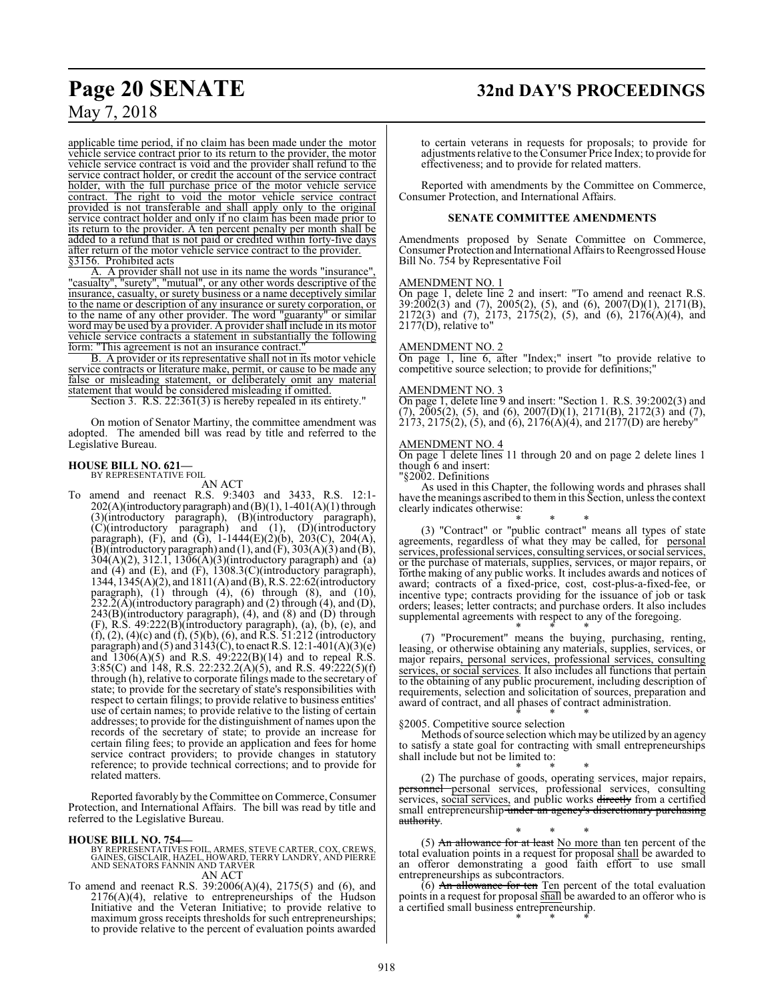## **Page 20 SENATE 32nd DAY'S PROCEEDINGS**

applicable time period, if no claim has been made under the motor vehicle service contract prior to its return to the provider, the motor vehicle service contract is void and the provider shall refund to the service contract holder, or credit the account of the service contract holder, with the full purchase price of the motor vehicle service contract. The right to void the motor vehicle service contract provided is not transferable and shall apply only to the original service contract holder and only if no claim has been made prior to its return to the provider. A ten percent penalty per month shall be added to a refund that is not paid or credited within forty-five days after return of the motor vehicle service contract to the provider. §3156. Prohibited acts

A. A provider shall not use in its name the words "insurance", "casualty", "surety", "mutual", or any other words descriptive of the insurance, casualty, or surety business or a name deceptively similar to the name or description of any insurance or surety corporation, or to the name of any other provider. The word "guaranty" or similar word may be used by a provider. A provider shall include in its motor vehicle service contracts a statement in substantially the following form: "This agreement is not an insurance contract.

B. A provider or its representative shall not in its motor vehicle service contracts or literature make, permit, or cause to be made any false or misleading statement, or deliberately omit any material statement that would be considered misleading if omitted.

Section 3. R.S. 22:361(3) is hereby repealed in its entirety."

On motion of Senator Martiny, the committee amendment was adopted. The amended bill was read by title and referred to the Legislative Bureau.

## **HOUSE BILL NO. 621—** BY REPRESENTATIVE FOIL

AN ACT

To amend and reenact R.S. 9:3403 and 3433, R.S. 12:1-  $202(A)$ (introductory paragraph) and (B)(1), 1-401(A)(1) through (3)(introductory paragraph), (B)(introductory paragraph), (C)(introductory paragraph) and (1), (D)(introductory paragraph), (F), and (G), 1-1444(E)(2)(b), 203(C), 204(A),  $(B)$ (introductory paragraph) and (1), and  $(F)$ , 303(A)(3) and  $(B)$ , 304(A)(2), 312.1, 1306(A)(3)(introductory paragraph) and (a) and (4) and (E), and (F), 1308.3(C)(introductory paragraph), 1344,  $1345(A)(2)$ , and  $1811(A)$  and  $(B)$ , R.S. 22:62(introductory paragraph), (1) through (4), (6) through (8), and (10),  $232.2(A)$ (introductory paragraph) and (2) through (4), and (D), 243(B)(introductory paragraph), (4), and (8) and (D) through (F), R.S. 49:222(B)(introductory paragraph), (a), (b), (e), and (f), (2), (4)(c) and (f), (5)(b), (6), and R.S. 51:212 (introductory paragraph) and (5) and  $3143(\text{C})$ , to enact R.S.  $12:1-401(\text{A})(3)(\text{e})$ and  $1306(A)(5)$  and R.S.  $49:222(B)(14)$  and to repeal R.S. 3:85(C) and 148, R.S. 22:232.2(A)(5), and R.S. 49:222(5)(f) through (h), relative to corporate filings made to the secretary of state; to provide for the secretary of state's responsibilities with respect to certain filings; to provide relative to business entities' use of certain names; to provide relative to the listing of certain addresses; to provide for the distinguishment of names upon the records of the secretary of state; to provide an increase for certain filing fees; to provide an application and fees for home service contract providers; to provide changes in statutory reference; to provide technical corrections; and to provide for related matters.

Reported favorably by the Committee on Commerce, Consumer Protection, and International Affairs. The bill was read by title and referred to the Legislative Bureau.

#### **HOUSE BILL NO. 754—**

BY REPRESENTATIVES FOIL, ARMES, STEVE CARTER, COX, CREWS,<br>GAINES, GISCLAIR, HAZEL, HOWARD, TERRY LANDRY, AND PIERRE<br>AND SENATORS FANNIN AND TARVER AN ACT

To amend and reenact R.S. 39:2006(A)(4), 2175(5) and (6), and 2176(A)(4), relative to entrepreneurships of the Hudson Initiative and the Veteran Initiative; to provide relative to maximum gross receipts thresholds for such entrepreneurships; to provide relative to the percent of evaluation points awarded

to certain veterans in requests for proposals; to provide for adjustments relative to the Consumer Price Index; to provide for effectiveness; and to provide for related matters.

Reported with amendments by the Committee on Commerce, Consumer Protection, and International Affairs.

#### **SENATE COMMITTEE AMENDMENTS**

Amendments proposed by Senate Committee on Commerce, Consumer Protection and International Affairs to Reengrossed House Bill No. 754 by Representative Foil

#### AMENDMENT NO. 1

On page 1, delete line 2 and insert: "To amend and reenact R.S. 39:2002(3) and (7), 2005(2), (5), and (6), 2007(D)(1), 2171(B), 2172(3) and (7), 2173, 2175(2), (5), and (6), 2176(A)(4), and 2177(D), relative to"

#### AMENDMENT NO. 2

On page 1, line 6, after "Index;" insert "to provide relative to competitive source selection; to provide for definitions;"

#### AMENDMENT NO. 3

On page 1, delete line 9 and insert: "Section 1. R.S. 39:2002(3) and  $(7)$ ,  $2005(2)$ ,  $(5)$ , and  $(6)$ ,  $2007(D)(1)$ ,  $2171(B)$ ,  $2172(3)$  and  $(7)$ ,  $2173, 2175(2), (5),$  and  $(6), 2176(A)(4),$  and  $2177(D)$  are hereby"

#### AMENDMENT NO. 4

On page 1 delete lines 11 through 20 and on page 2 delete lines 1 though 6 and insert:

"§2002. Definitions

As used in this Chapter, the following words and phrases shall have the meanings ascribed to themin this Section, unless the context clearly indicates otherwise:

\* \* \* (3) "Contract" or "public contract" means all types of state agreements, regardless of what they may be called, for personal services, professional services, consulting services, or social services, or the purchase of materials, supplies, services, or major repairs, or forthe making of any public works. It includes awards and notices of award; contracts of a fixed-price, cost, cost-plus-a-fixed-fee, or incentive type; contracts providing for the issuance of job or task orders; leases; letter contracts; and purchase orders. It also includes supplemental agreements with respect to any of the foregoing.

\* \* \* (7) "Procurement" means the buying, purchasing, renting, leasing, or otherwise obtaining any materials, supplies, services, or major repairs, personal services, professional services, consulting services, or social services. It also includes all functions that pertain to the obtaining of any public procurement, including description of requirements, selection and solicitation of sources, preparation and award of contract, and all phases of contract administration. \* \* \*

§2005. Competitive source selection

Methods ofsource selection which may be utilized by an agency to satisfy a state goal for contracting with small entrepreneurships shall include but not be limited to: \* \* \*

(2) The purchase of goods, operating services, major repairs, personnel personal services, professional services, consulting services, social services, and public works directly from a certified small entrepreneurship under an agency's discretionary purchasing authority.

\* \* \* (5) An allowance for at least No more than ten percent of the total evaluation points in a request for proposal shall be awarded to an offeror demonstrating a good faith effort to use small entrepreneurships as subcontractors.

 $(6)$  An allowance for ten Ten percent of the total evaluation points in a request for proposal shall be awarded to an offeror who is a certified small business entrepreneurship. \* \* \*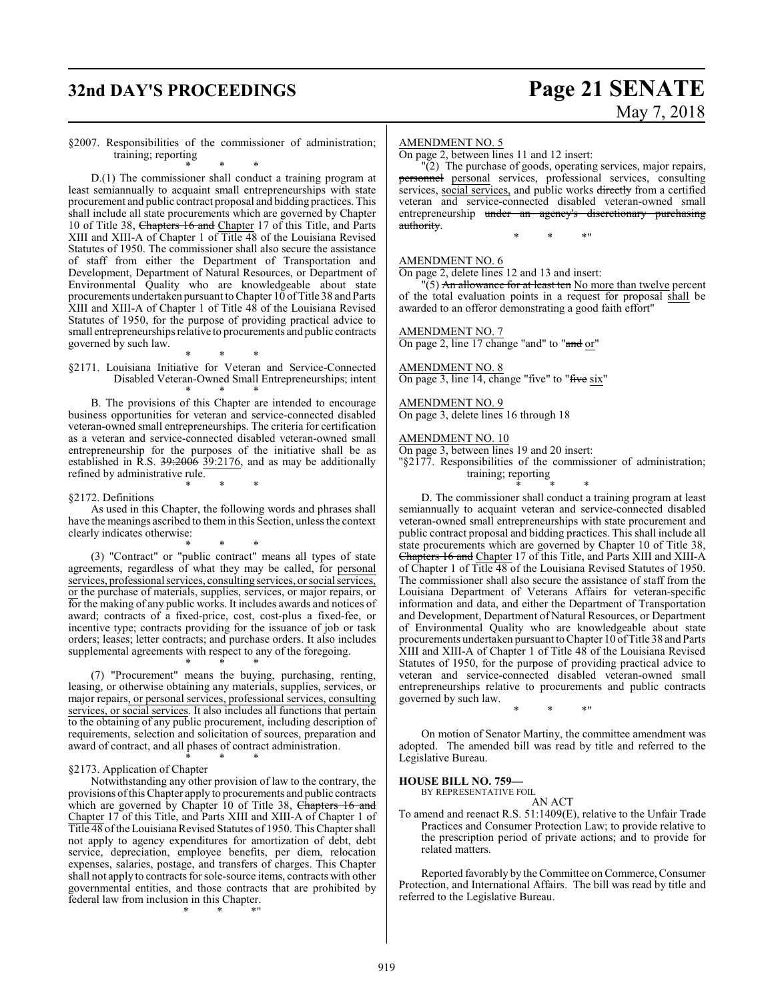## **32nd DAY'S PROCEEDINGS Page 21 SENATE**

# May 7, 2018

#### §2007. Responsibilities of the commissioner of administration; training; reporting

\* \* \* D.(1) The commissioner shall conduct a training program at least semiannually to acquaint small entrepreneurships with state procurement and public contract proposal and bidding practices. This shall include all state procurements which are governed by Chapter 10 of Title 38, Chapters 16 and Chapter 17 of this Title, and Parts XIII and XIII-A of Chapter 1 of Title 48 of the Louisiana Revised Statutes of 1950. The commissioner shall also secure the assistance of staff from either the Department of Transportation and Development, Department of Natural Resources, or Department of Environmental Quality who are knowledgeable about state procurements undertaken pursuant to Chapter 10 ofTitle 38 and Parts XIII and XIII-A of Chapter 1 of Title 48 of the Louisiana Revised Statutes of 1950, for the purpose of providing practical advice to small entrepreneurships relative to procurements and public contracts governed by such law.

\* \* \* §2171. Louisiana Initiative for Veteran and Service-Connected Disabled Veteran-Owned Small Entrepreneurships; intent \* \* \*

B. The provisions of this Chapter are intended to encourage business opportunities for veteran and service-connected disabled veteran-owned small entrepreneurships. The criteria for certification as a veteran and service-connected disabled veteran-owned small entrepreneurship for the purposes of the initiative shall be as established in R.S.  $39:2006$   $39:2176$ , and as may be additionally refined by administrative rule.

#### §2172. Definitions

As used in this Chapter, the following words and phrases shall have the meanings ascribed to themin this Section, unless the context clearly indicates otherwise:

\* \* \*

\* \* \* (3) "Contract" or "public contract" means all types of state agreements, regardless of what they may be called, for personal services, professional services, consulting services, or social services, or the purchase of materials, supplies, services, or major repairs, or for the making of any public works. It includes awards and notices of award; contracts of a fixed-price, cost, cost-plus a fixed-fee, or incentive type; contracts providing for the issuance of job or task orders; leases; letter contracts; and purchase orders. It also includes supplemental agreements with respect to any of the foregoing.

\* \* \* (7) "Procurement" means the buying, purchasing, renting, leasing, or otherwise obtaining any materials, supplies, services, or major repairs, or personal services, professional services, consulting services, or social services. It also includes all functions that pertain to the obtaining of any public procurement, including description of requirements, selection and solicitation of sources, preparation and award of contract, and all phases of contract administration.

#### \* \* \* §2173. Application of Chapter

Notwithstanding any other provision of law to the contrary, the provisions ofthis Chapter apply to procurements and public contracts which are governed by Chapter 10 of Title 38, Chapters 16 and Chapter 17 of this Title, and Parts XIII and XIII-A of Chapter 1 of Title 48 ofthe Louisiana Revised Statutes of 1950. This Chapter shall not apply to agency expenditures for amortization of debt, debt service, depreciation, employee benefits, per diem, relocation expenses, salaries, postage, and transfers of charges. This Chapter shall not apply to contracts for sole-source items, contracts with other governmental entities, and those contracts that are prohibited by federal law from inclusion in this Chapter.

\* \* \*"

#### AMENDMENT NO. 5

On page 2, between lines 11 and 12 insert:

 $\sqrt{2}$ ) The purchase of goods, operating services, major repairs, personnel personal services, professional services, consulting services, social services, and public works directly from a certified veteran and service-connected disabled veteran-owned small entrepreneurship under an agency's discretionary purchasing authority.

\* \* \*"

AMENDMENT NO. 6

On page 2, delete lines 12 and 13 and insert:

 $\Gamma(5)$  An allowance for at least ten No more than twelve percent of the total evaluation points in a request for proposal shall be awarded to an offeror demonstrating a good faith effort"

#### AMENDMENT NO. 7

On page 2, line 17 change "and" to "and or"

#### AMENDMENT NO. 8

On page 3, line 14, change "five" to "five six"

## AMENDMENT NO. 9

On page 3, delete lines 16 through 18

#### AMENDMENT NO. 10

On page 3, between lines 19 and 20 insert:

"§2177. Responsibilities of the commissioner of administration; training; reporting

\* \* \*

D. The commissioner shall conduct a training program at least semiannually to acquaint veteran and service-connected disabled veteran-owned small entrepreneurships with state procurement and public contract proposal and bidding practices. This shall include all state procurements which are governed by Chapter 10 of Title 38, Chapters 16 and Chapter 17 of this Title, and Parts XIII and XIII-A of Chapter 1 of Title 48 of the Louisiana Revised Statutes of 1950. The commissioner shall also secure the assistance of staff from the Louisiana Department of Veterans Affairs for veteran-specific information and data, and either the Department of Transportation and Development, Department of Natural Resources, or Department of Environmental Quality who are knowledgeable about state procurements undertaken pursuant toChapter 10 ofTitle 38 and Parts XIII and XIII-A of Chapter 1 of Title 48 of the Louisiana Revised Statutes of 1950, for the purpose of providing practical advice to veteran and service-connected disabled veteran-owned small entrepreneurships relative to procurements and public contracts governed by such law.

On motion of Senator Martiny, the committee amendment was adopted. The amended bill was read by title and referred to the Legislative Bureau.

\* \* \*"

#### **HOUSE BILL NO. 759—**

BY REPRESENTATIVE FOIL AN ACT

To amend and reenact R.S. 51:1409(E), relative to the Unfair Trade Practices and Consumer Protection Law; to provide relative to the prescription period of private actions; and to provide for related matters.

Reported favorably by the Committee on Commerce, Consumer Protection, and International Affairs. The bill was read by title and referred to the Legislative Bureau.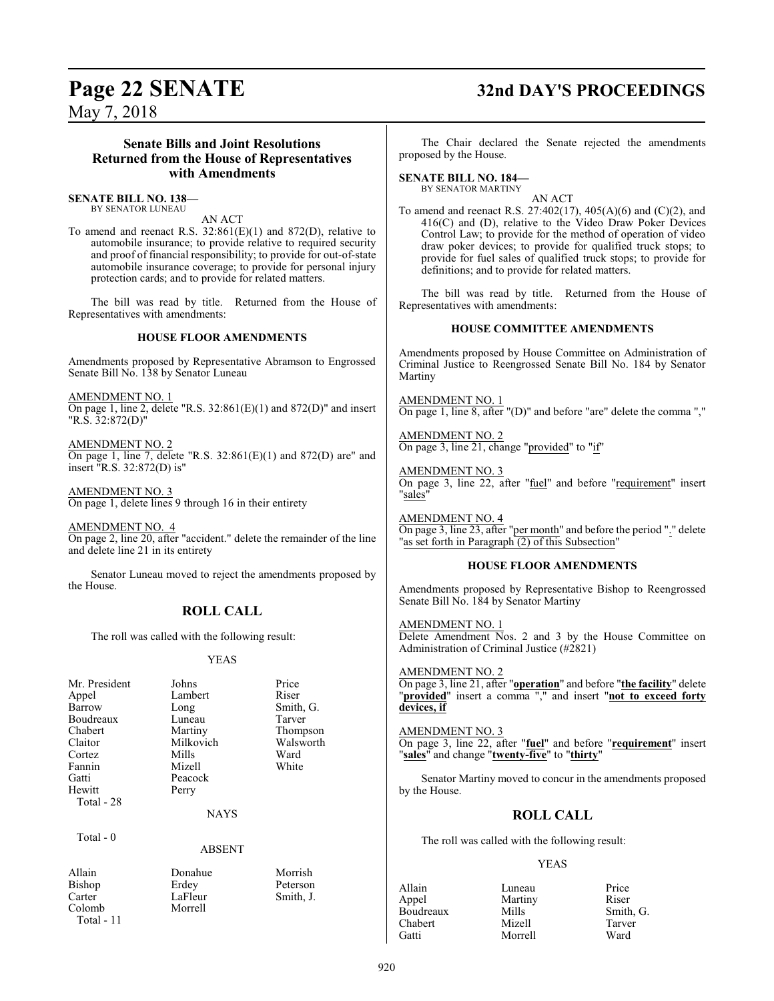## **Page 22 SENATE 32nd DAY'S PROCEEDINGS**

May 7, 2018

#### **Senate Bills and Joint Resolutions Returned from the House of Representatives with Amendments**

### **SENATE BILL NO. 138—**

BY SENATOR LUNEAU

AN ACT

To amend and reenact R.S. 32:861(E)(1) and 872(D), relative to automobile insurance; to provide relative to required security and proof of financial responsibility; to provide for out-of-state automobile insurance coverage; to provide for personal injury protection cards; and to provide for related matters.

The bill was read by title. Returned from the House of Representatives with amendments:

#### **HOUSE FLOOR AMENDMENTS**

Amendments proposed by Representative Abramson to Engrossed Senate Bill No. 138 by Senator Luneau

AMENDMENT NO. 1 On page 1, line 2, delete "R.S.  $32:861(E)(1)$  and  $872(D)$ " and insert "R.S. 32:872(D)"

AMENDMENT NO. 2 On page 1, line 7, delete "R.S. 32:861(E)(1) and 872(D) are" and insert "R.S. 32:872(D) is"

AMENDMENT NO. 3 On page 1, delete lines 9 through 16 in their entirety

AMENDMENT NO. 4 On page 2, line 20, after "accident." delete the remainder of the line and delete line 21 in its entirety

Senator Luneau moved to reject the amendments proposed by the House.

### **ROLL CALL**

The roll was called with the following result:

#### YEAS

| Mr. President | Johns     | Price     |
|---------------|-----------|-----------|
| Appel         | Lambert   | Riser     |
| Barrow        | Long      | Smith, G. |
| Boudreaux     | Luneau    | Tarver    |
| Chabert       | Martiny   | Thompson  |
| Claitor       | Milkovich | Walsworth |
| Cortez        | Mills     | Ward      |
| Fannin        | Mizell    | White     |
| Gatti         | Peacock   |           |
| Hewitt        | Perry     |           |
| Total - 28    |           |           |
|               | NAYS      |           |

Total - 0

ABSENT

| Allain       | Donahue | Morrish   |
|--------------|---------|-----------|
| Bishop       | Erdey   | Peterson  |
| Carter       | LaFleur | Smith, J. |
| Colomb       | Morrell |           |
| Total - $11$ |         |           |

The Chair declared the Senate rejected the amendments proposed by the House.

### **SENATE BILL NO. 184—**

BY SENATOR MARTINY

AN ACT To amend and reenact R.S. 27:402(17), 405(A)(6) and (C)(2), and 416(C) and (D), relative to the Video Draw Poker Devices Control Law; to provide for the method of operation of video draw poker devices; to provide for qualified truck stops; to provide for fuel sales of qualified truck stops; to provide for definitions; and to provide for related matters.

The bill was read by title. Returned from the House of Representatives with amendments:

#### **HOUSE COMMITTEE AMENDMENTS**

Amendments proposed by House Committee on Administration of Criminal Justice to Reengrossed Senate Bill No. 184 by Senator Martiny

AMENDMENT NO. 1 On page 1, line 8, after "(D)" and before "are" delete the comma ","

AMENDMENT NO. 2 On page 3, line 21, change "provided" to "if"

AMENDMENT NO. 3 On page 3, line 22, after "fuel" and before "requirement" insert "sales"

AMENDMENT NO. 4 On page 3, line 23, after "per month" and before the period "." delete "as set forth in Paragraph (2) of this Subsection"

#### **HOUSE FLOOR AMENDMENTS**

Amendments proposed by Representative Bishop to Reengrossed Senate Bill No. 184 by Senator Martiny

AMENDMENT NO. 1 Delete Amendment Nos. 2 and 3 by the House Committee on Administration of Criminal Justice (#2821)

AMENDMENT NO. 2 On page 3, line 21, after "**operation**" and before "**the facility**" delete "**provided**" insert a comma "," and insert "**not to exceed forty devices, if**

#### AMENDMENT NO. 3

On page 3, line 22, after "**fuel**" and before "**requirement**" insert "**sales**" and change "**twenty-five**" to "**thirty**"

Senator Martiny moved to concur in the amendments proposed by the House.

#### **ROLL CALL**

The roll was called with the following result:

#### YEAS

| Allain    | Luneau  | Price     |
|-----------|---------|-----------|
| Appel     | Martiny | Riser     |
| Boudreaux | Mills   | Smith, G. |
| Chabert   | Mizell  | Tarver    |
| Gatti     | Morrell | Ward      |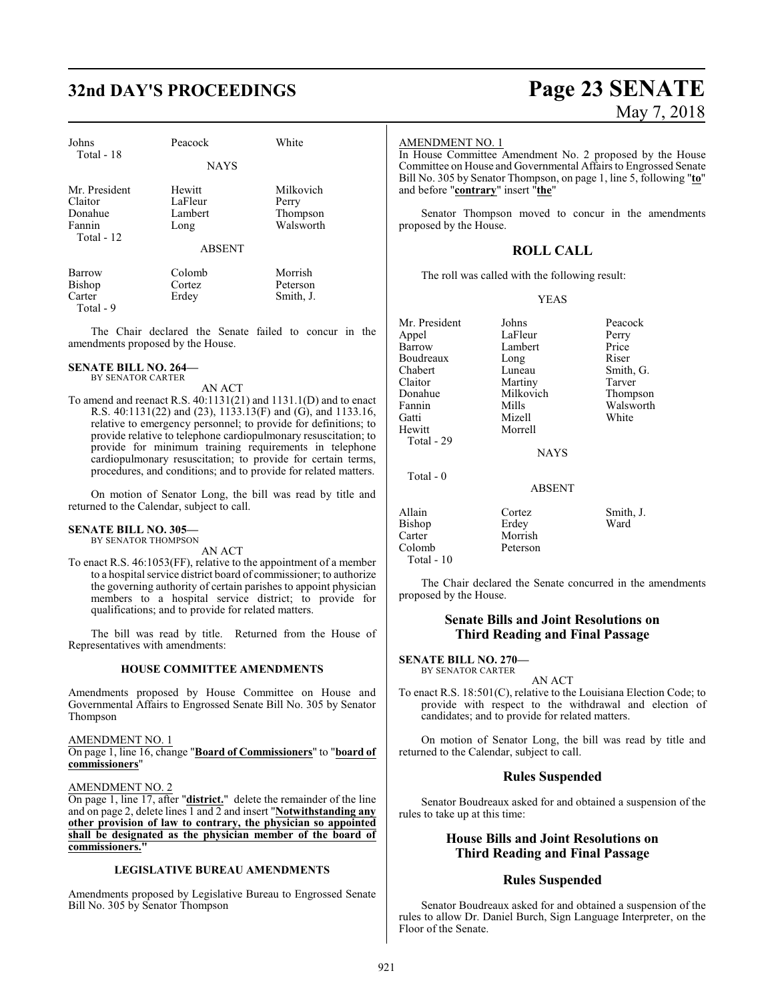## **32nd DAY'S PROCEEDINGS Page 23 SENATE**

| Johns                                                       | Peacock                              | White                                       |
|-------------------------------------------------------------|--------------------------------------|---------------------------------------------|
| Total - 18                                                  | <b>NAYS</b>                          |                                             |
| Mr. President<br>Claitor<br>Donahue<br>Fannin<br>Total - 12 | Hewitt<br>LaFleur<br>Lambert<br>Long | Milkovich<br>Perry<br>Thompson<br>Walsworth |
|                                                             | <b>ABSENT</b>                        |                                             |
| <b>Barrow</b><br>Bishop<br>Carter<br>$Total - 9$            | Colomb<br>Cortez<br>Erdey            | Morrish<br>Peterson<br>Smith, J.            |

The Chair declared the Senate failed to concur in the amendments proposed by the House.

#### **SENATE BILL NO. 264—**

BY SENATOR CARTER AN ACT

To amend and reenact R.S. 40:1131(21) and 1131.1(D) and to enact R.S. 40:1131(22) and (23), 1133.13(F) and (G), and 1133.16, relative to emergency personnel; to provide for definitions; to provide relative to telephone cardiopulmonary resuscitation; to provide for minimum training requirements in telephone cardiopulmonary resuscitation; to provide for certain terms, procedures, and conditions; and to provide for related matters.

On motion of Senator Long, the bill was read by title and returned to the Calendar, subject to call.

#### **SENATE BILL NO. 305—** BY SENATOR THOMPSON

AN ACT

To enact R.S. 46:1053(FF), relative to the appointment of a member to a hospital service district board of commissioner; to authorize the governing authority of certain parishes to appoint physician members to a hospital service district; to provide for qualifications; and to provide for related matters.

The bill was read by title. Returned from the House of Representatives with amendments:

#### **HOUSE COMMITTEE AMENDMENTS**

Amendments proposed by House Committee on House and Governmental Affairs to Engrossed Senate Bill No. 305 by Senator Thompson

#### AMENDMENT NO. 1

On page 1, line 16, change "**Board of Commissioners**" to "**board of commissioners**"

#### AMENDMENT NO. 2

On page 1, line 17, after "**district.**" delete the remainder of the line and on page 2, delete lines 1 and 2 and insert "**Notwithstanding any other provision of law to contrary, the physician so appointed shall be designated as the physician member of the board of commissioners."**

#### **LEGISLATIVE BUREAU AMENDMENTS**

Amendments proposed by Legislative Bureau to Engrossed Senate Bill No. 305 by Senator Thompson

# May 7, 2018

#### AMENDMENT NO. 1

In House Committee Amendment No. 2 proposed by the House Committee on House and Governmental Affairs to Engrossed Senate Bill No. 305 by Senator Thompson, on page 1, line 5, following "**to**" and before "**contrary**" insert "**the**"

Senator Thompson moved to concur in the amendments proposed by the House.

### **ROLL CALL**

The roll was called with the following result:

#### YEAS

Mr. President Johns Peacock<br>
Appel LaFleur Perry Appel LaFleur Perry<br>
Barrow Lambert Price Lambert Boudreaux Long Riser Chabert Luneau Smith, G. Claitor Martiny Tarver Milkovich Fannin Mills Walsworth<br>
Gatti Mizell White<br>
White Mizell<br>Morrell Hewitt Total - 29 NAYS Total - 0 ABSENT Allain Cortez Smith, J. Bishop<br>Carter Carter Morrish<br>Colomb Peterson Peterson

Total - 10

The Chair declared the Senate concurred in the amendments proposed by the House.

#### **Senate Bills and Joint Resolutions on Third Reading and Final Passage**

#### **SENATE BILL NO. 270—** BY SENATOR CARTER

AN ACT

To enact R.S. 18:501(C), relative to the Louisiana Election Code; to provide with respect to the withdrawal and election of candidates; and to provide for related matters.

On motion of Senator Long, the bill was read by title and returned to the Calendar, subject to call.

#### **Rules Suspended**

Senator Boudreaux asked for and obtained a suspension of the rules to take up at this time:

#### **House Bills and Joint Resolutions on Third Reading and Final Passage**

#### **Rules Suspended**

Senator Boudreaux asked for and obtained a suspension of the rules to allow Dr. Daniel Burch, Sign Language Interpreter, on the Floor of the Senate.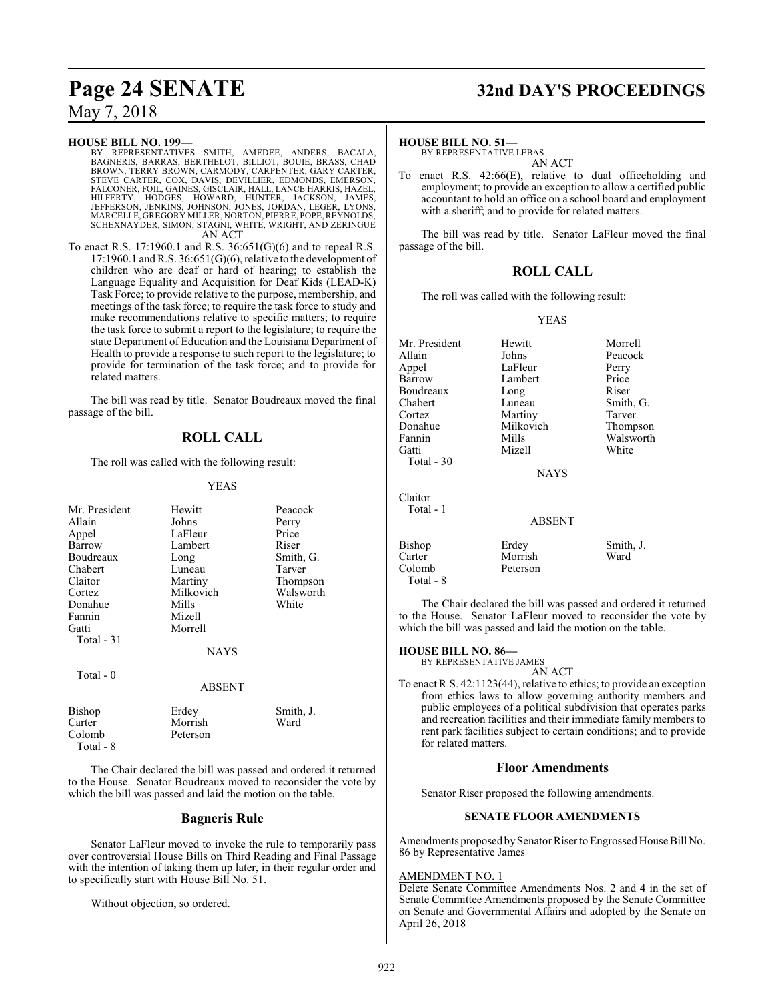#### **HOUSE BILL NO. 199—**

- BY REPRESENTATIVES SMITH, AMEDEE, ANDERS, BACALA,<br>BAGNERIS, BARRAS, BERTHELOT, BILLIOT, BOUIE, BRASS, CHAD<br>BROWN, TERRY BROWN, CARMODY, CARPENTER, GARY CARTER,<br>STEVE CARTER, COX, DAVIS, DEVILLIER, EDMONDS, EMERSON,<br>FALCONE MARCELLE, GREGORY MILLER, NORTON, PIERRE, POPE,REYNOLDS, SCHEXNAYDER, SIMON, STAGNI, WHITE, WRIGHT, AND ZERINGUE AN ACT
- To enact R.S. 17:1960.1 and R.S. 36:651(G)(6) and to repeal R.S.  $17:1960.1$  and R.S.  $36:651(G)(6)$ , relative to the development of children who are deaf or hard of hearing; to establish the Language Equality and Acquisition for Deaf Kids (LEAD-K) Task Force; to provide relative to the purpose, membership, and meetings of the task force; to require the task force to study and make recommendations relative to specific matters; to require the task force to submit a report to the legislature; to require the state Department of Education and the Louisiana Department of Health to provide a response to such report to the legislature; to provide for termination of the task force; and to provide for related matters.

The bill was read by title. Senator Boudreaux moved the final passage of the bill.

### **ROLL CALL**

The roll was called with the following result:

#### YEAS

| Mr. President | Hewitt      | Peacock   |
|---------------|-------------|-----------|
| Allain        | Johns       | Perry     |
| Appel         | LaFleur     | Price     |
| Barrow        | Lambert     | Riser     |
| Boudreaux     | Long        | Smith, G. |
| Chabert       | Luneau      | Tarver    |
| Claitor       | Martiny     | Thompson  |
| Cortez        | Milkovich   | Walsworth |
| Donahue       | Mills       | White     |
| Fannin        | Mizell      |           |
| Gatti         | Morrell     |           |
| Total $-31$   |             |           |
|               | <b>NAYS</b> |           |
| Total $-0$    |             |           |
|               | ABSENT      |           |
| Bishop        | Erdey       | Smith, J. |
| Carter        | Morrish     | Ward      |
| Colomb        | Peterson    |           |

Total - 8

The Chair declared the bill was passed and ordered it returned to the House. Senator Boudreaux moved to reconsider the vote by which the bill was passed and laid the motion on the table.

#### **Bagneris Rule**

Senator LaFleur moved to invoke the rule to temporarily pass over controversial House Bills on Third Reading and Final Passage with the intention of taking them up later, in their regular order and to specifically start with House Bill No. 51.

Without objection, so ordered.

## **Page 24 SENATE 32nd DAY'S PROCEEDINGS**

#### **HOUSE BILL NO. 51—**

BY REPRESENTATIVE LEBAS AN ACT

To enact R.S. 42:66(E), relative to dual officeholding and employment; to provide an exception to allow a certified public accountant to hold an office on a school board and employment with a sheriff; and to provide for related matters.

The bill was read by title. Senator LaFleur moved the final passage of the bill.

#### **ROLL CALL**

The roll was called with the following result:

#### YEAS

| Mr. President | Hewitt      | Morrell   |
|---------------|-------------|-----------|
|               |             |           |
| Allain        | Johns       | Peacock   |
| Appel         | LaFleur     | Perry     |
| Barrow        | Lambert     | Price     |
| Boudreaux     | Long        | Riser     |
| Chabert       | Luneau      | Smith, G. |
| Cortez        | Martiny     | Tarver    |
| Donahue       | Milkovich   | Thompson  |
| Fannin        | Mills       | Walsworth |
| Gatti         | Mizell      | White     |
| Total $-30$   |             |           |
|               | <b>NAYS</b> |           |
| Claitor       |             |           |
| Total - 1     |             |           |
|               | ABSENT      |           |
| Bishop        | Erdey       | Smith, J. |
| Carter        | Morrish     | Ward      |
| Colomb        | Peterson    |           |
|               |             |           |

The Chair declared the bill was passed and ordered it returned to the House. Senator LaFleur moved to reconsider the vote by which the bill was passed and laid the motion on the table.

#### **HOUSE BILL NO. 86—**

Total - 8

BY REPRESENTATIVE JAMES

AN ACT

To enact R.S. 42:1123(44), relative to ethics; to provide an exception from ethics laws to allow governing authority members and public employees of a political subdivision that operates parks and recreation facilities and their immediate family members to rent park facilities subject to certain conditions; and to provide for related matters.

#### **Floor Amendments**

Senator Riser proposed the following amendments.

#### **SENATE FLOOR AMENDMENTS**

Amendments proposed bySenator Riser to Engrossed House Bill No. 86 by Representative James

#### AMENDMENT NO. 1

Delete Senate Committee Amendments Nos. 2 and 4 in the set of Senate Committee Amendments proposed by the Senate Committee on Senate and Governmental Affairs and adopted by the Senate on April 26, 2018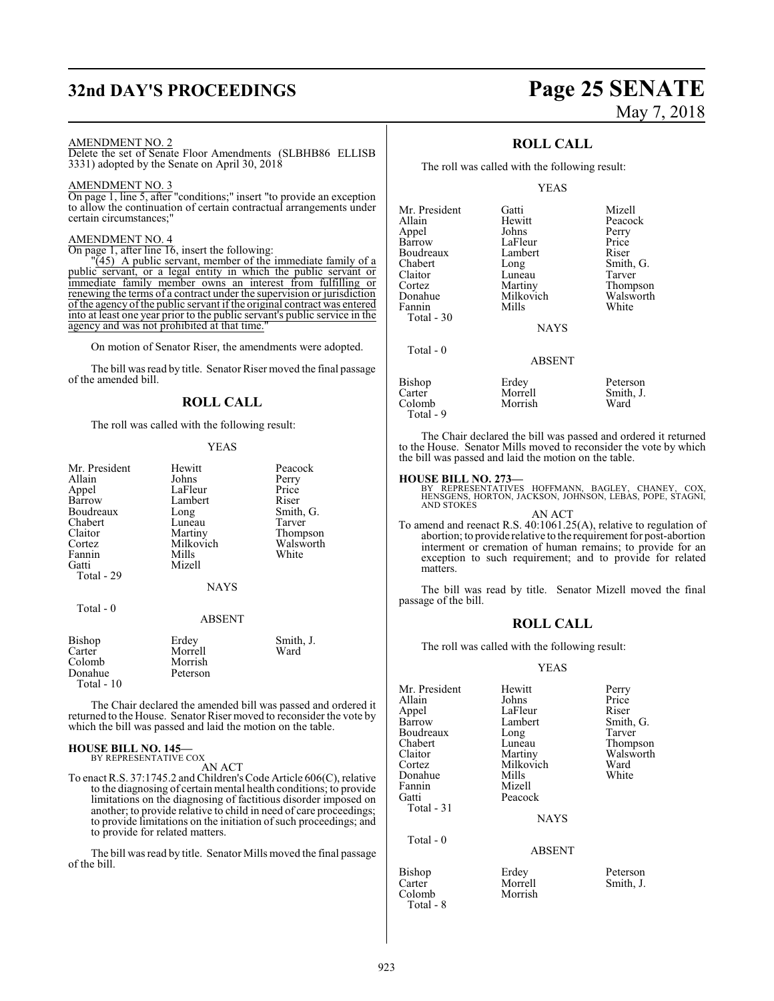## **32nd DAY'S PROCEEDINGS Page 25 SENATE**

#### AMENDMENT NO. 2

Delete the set of Senate Floor Amendments (SLBHB86 ELLISB 3331) adopted by the Senate on April 30, 2018

#### AMENDMENT NO. 3

On page 1, line 5, after "conditions;" insert "to provide an exception to allow the continuation of certain contractual arrangements under certain circumstances;"

#### AMENDMENT NO. 4

On page 1, after line 16, insert the following:

 $\sqrt{45}$  A public servant, member of the immediate family of a public servant, or a legal entity in which the public servant or immediate family member owns an interest from fulfilling or renewing the terms of a contract under the supervision or jurisdiction of the agency of the public servant if the original contract was entered into at least one year prior to the public servant's public service in the agency and was not prohibited at that time.

On motion of Senator Riser, the amendments were adopted.

The bill was read by title. Senator Riser moved the final passage of the amended bill.

#### **ROLL CALL**

The roll was called with the following result:

#### YEAS

| Mr. President<br>Allain<br>Appel<br>Barrow<br>Boudreaux<br>Chabert<br>Claitor<br>Cortez<br>Fannin<br>Gatti<br>Total - 29 | Hewitt<br>Johns<br>LaFleur<br>Lambert<br>Long<br>Luneau<br>Martiny<br>Milkovich<br>Mills<br>Mizell<br><b>NAYS</b> | Peacock<br>Perry<br>Price<br>Riser<br>Smith, G.<br>Tarver<br>Thompson<br>Walsworth<br>White |
|--------------------------------------------------------------------------------------------------------------------------|-------------------------------------------------------------------------------------------------------------------|---------------------------------------------------------------------------------------------|
| Total - 0                                                                                                                | ABSENT                                                                                                            |                                                                                             |
| Bishop<br>Carter<br>Colomb<br>Donahue<br>Total - 10                                                                      | Erdey<br>Morrell<br>Morrish<br>Peterson                                                                           | Smith, J.<br>Ward                                                                           |

The Chair declared the amended bill was passed and ordered it returned to the House. Senator Riser moved to reconsider the vote by which the bill was passed and laid the motion on the table.

#### **HOUSE BILL NO. 145—** BY REPRESENTATIVE COX

AN ACT

To enact R.S. 37:1745.2 and Children'sCode Article 606(C), relative to the diagnosing of certain mental health conditions; to provide limitations on the diagnosing of factitious disorder imposed on another; to provide relative to child in need of care proceedings; to provide limitations on the initiation of such proceedings; and to provide for related matters.

The bill was read by title. Senator Mills moved the final passage of the bill.

# May 7, 2018

#### **ROLL CALL**

The roll was called with the following result:

#### YEAS

| Mr. President | Gatti           | Mizell    |
|---------------|-----------------|-----------|
| Allain        | Hewitt          | Peacock   |
| Appel         | Johns           | Perry     |
| Barrow        | LaFleur         | Price     |
| Boudreaux     | Lambert         | Riser     |
| Chabert       | Long            | Smith, G. |
| Claitor       | Luneau          | Tarver    |
| Cortez        | Martiny         | Thompson  |
| Donahue       | Milkovich       | Walsworth |
| Fannin        | Mills           | White     |
| Total - 30    |                 |           |
|               | <b>NAYS</b>     |           |
| Total $-0$    |                 |           |
|               | <b>A D CENT</b> |           |

| Bishop    | Erdey   | Peterson  |
|-----------|---------|-----------|
| Carter    | Morrell | Smith, J. |
| Colomb    | Morrish | Ward      |
| Total - 9 |         |           |

The Chair declared the bill was passed and ordered it returned to the House. Senator Mills moved to reconsider the vote by which the bill was passed and laid the motion on the table.

#### **HOUSE BILL NO. 273—**

BY REPRESENTATIVES HOFFMANN, BAGLEY, CHANEY, COX, HENSGENS, HORTON, JACKSON, JOHNSON, LEBAS, POPE, STAGNI, AND STOKES

#### AN ACT

To amend and reenact R.S. 40:1061.25(A), relative to regulation of abortion; to provide relative to the requirement for post-abortion interment or cremation of human remains; to provide for an exception to such requirement; and to provide for related matters.

The bill was read by title. Senator Mizell moved the final passage of the bill.

#### **ROLL CALL**

The roll was called with the following result:

#### YEAS

Morrell Smith, J.<br>Morrish

| Mr. President<br>Allain<br>Appel<br>Barrow<br>Boudreaux<br>Chabert<br>Claitor<br>Cortez<br>Donahue<br>Fannin<br>Gatti<br>Total $-31$ | Hewitt<br>Johns<br>LaFleur<br>Lambert<br>Long<br>Luneau<br>Martiny<br>Milkovich<br>Mills<br>Mizell<br>Peacock<br><b>NAYS</b> | Perry<br>Price<br>Riser<br>Smith, G.<br>Tarver<br>Thompson<br>Walsworth<br>Ward<br>White |
|--------------------------------------------------------------------------------------------------------------------------------------|------------------------------------------------------------------------------------------------------------------------------|------------------------------------------------------------------------------------------|
| Total $-0$                                                                                                                           | <b>ABSENT</b>                                                                                                                |                                                                                          |
| <b>Bishop</b><br>Carter                                                                                                              | Erdey<br>Morrell                                                                                                             | Peterson<br>Smith, J.                                                                    |

Colomb Total - 8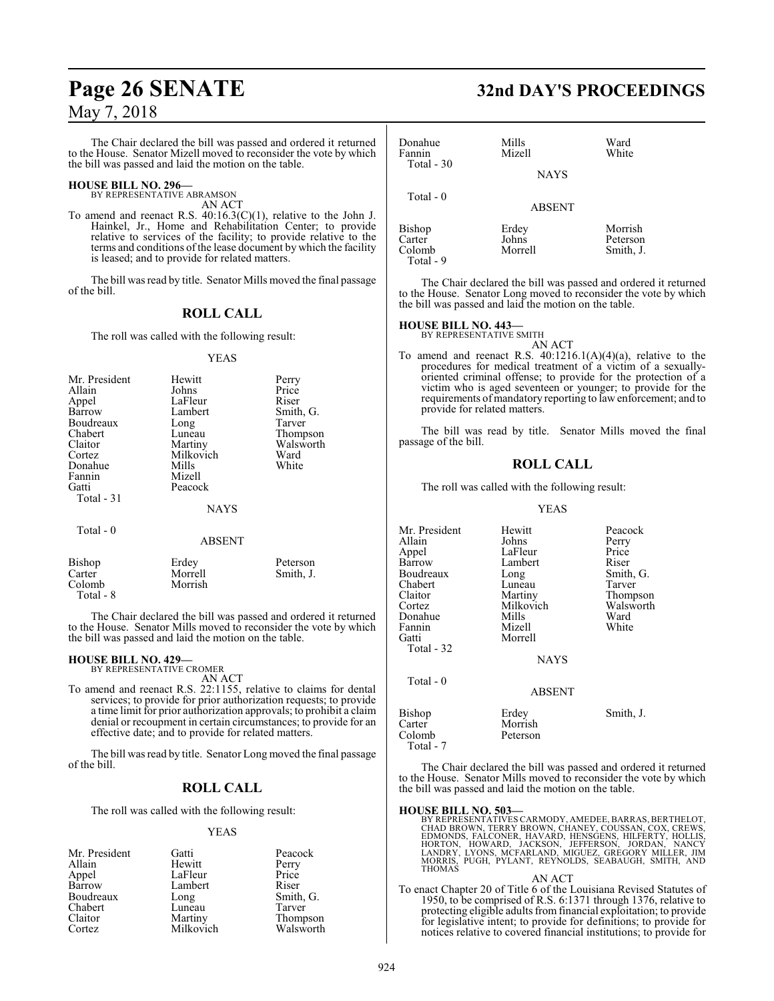The Chair declared the bill was passed and ordered it returned to the House. Senator Mizell moved to reconsider the vote by which the bill was passed and laid the motion on the table.

# **HOUSE BILL NO. 296—** BY REPRESENTATIVE ABRAMSON

AN ACT

To amend and reenact R.S. 40:16.3(C)(1), relative to the John J. Hainkel, Jr., Home and Rehabilitation Center; to provide relative to services of the facility; to provide relative to the terms and conditions ofthe lease document by which the facility is leased; and to provide for related matters.

The bill was read by title. Senator Mills moved the final passage of the bill.

### **ROLL CALL**

The roll was called with the following result:

#### YEAS

| Mr. President | Hewitt                     | Perry                 |
|---------------|----------------------------|-----------------------|
| Allain        | Johns                      | Price                 |
| Appel         | LaFleur                    | Riser                 |
| Barrow        | Lambert                    | Smith, G.             |
| Boudreaux     | Long                       | Tarver                |
| Chabert       | Luneau                     | Thompson              |
| Claitor       | Martiny                    | Walsworth             |
| Cortez        | Milkovich                  | Ward                  |
| Donahue       | Mills                      | White                 |
| Fannin        | Mizell                     |                       |
| Gatti         | Peacock                    |                       |
| Total - 31    |                            |                       |
|               | <b>NAYS</b>                |                       |
| Total - 0     |                            |                       |
|               | <b>ABSENT</b>              |                       |
| <b>Bishop</b> | Erdey                      | Peterson              |
| Cartar        | $M_{\alpha r r \alpha}$ ll | $C_{\text{min}}$ th I |

| Carter    | Morrell | Smith, J.                                                  |
|-----------|---------|------------------------------------------------------------|
| Colomb    | Morrish |                                                            |
| Total - 8 |         |                                                            |
|           |         | The Chair declared the bill was passed and ordered it retu |
|           |         |                                                            |

declared the bill was passed and ordered it returned to the House. Senator Mills moved to reconsider the vote by which the bill was passed and laid the motion on the table.

#### **HOUSE BILL NO. 429—**

BY REPRESENTATIVE CROMER

AN ACT To amend and reenact R.S. 22:1155, relative to claims for dental services; to provide for prior authorization requests; to provide a time limit for prior authorization approvals; to prohibit a claim denial or recoupment in certain circumstances; to provide for an effective date; and to provide for related matters.

The bill was read by title. Senator Long moved the final passage of the bill.

#### **ROLL CALL**

The roll was called with the following result:

#### YEAS

| Mr. President | Gatti     | Peacock   |
|---------------|-----------|-----------|
| Allain        | Hewitt    | Perry     |
| Appel         | LaFleur   | Price     |
| Barrow        | Lambert   | Riser     |
| Boudreaux     | Long      | Smith, G. |
| Chabert       | Luneau    | Tarver    |
| Claitor       | Martiny   | Thompson  |
| Cortez        | Milkovich | Walsworth |

## **Page 26 SENATE 32nd DAY'S PROCEEDINGS**

| Donahue<br>Fannin<br>Total - 30                  | Mills<br>Mizell<br><b>NAYS</b> | Ward<br>White                    |
|--------------------------------------------------|--------------------------------|----------------------------------|
| Total $-0$                                       | <b>ABSENT</b>                  |                                  |
| <b>Bishop</b><br>Carter<br>Colomb<br>$Total - 9$ | Erdey<br>Johns<br>Morrell      | Morrish<br>Peterson<br>Smith, J. |

The Chair declared the bill was passed and ordered it returned to the House. Senator Long moved to reconsider the vote by which the bill was passed and laid the motion on the table.

## **HOUSE BILL NO. 443—** BY REPRESENTATIVE SMITH

AN ACT To amend and reenact R.S.  $40:1216.1(A)(4)(a)$ , relative to the procedures for medical treatment of a victim of a sexuallyoriented criminal offense; to provide for the protection of a victim who is aged seventeen or younger; to provide for the requirements of mandatory reporting to law enforcement; and to provide for related matters.

The bill was read by title. Senator Mills moved the final passage of the bill.

#### **ROLL CALL**

The roll was called with the following result:

#### YEAS

| Mr. President<br>Allain<br>Appel<br>Barrow<br>Boudreaux<br>Chabert<br>Claitor<br>Cortez<br>Donahue<br>Fannin<br>Gatti<br>Total - 32 | Hewitt<br>Johns<br>LaFleur<br>Lambert<br>Long<br>Luneau<br>Martiny<br>Milkovich<br>Mills<br>Mizell<br>Morrell<br><b>NAYS</b> | Peacock<br>Perry<br>Price<br>Riser<br>Smith, G.<br>Tarver<br>Thompson<br>Walsworth<br>Ward<br>White |
|-------------------------------------------------------------------------------------------------------------------------------------|------------------------------------------------------------------------------------------------------------------------------|-----------------------------------------------------------------------------------------------------|
| Total - 0                                                                                                                           | <b>ABSENT</b>                                                                                                                |                                                                                                     |
| <b>Bishop</b><br>Carter<br>Colomb<br>Total - 7                                                                                      | Erdey<br>Morrish<br>Peterson                                                                                                 | Smith, J.                                                                                           |

The Chair declared the bill was passed and ordered it returned to the House. Senator Mills moved to reconsider the vote by which the bill was passed and laid the motion on the table.

#### **HOUSE BILL NO. 503—**

BY REPRESENTATIVES CARMODY, AMEDEE, BARRAS, BERTHELOT,<br>CHAD BROWN, TERRY BROWN, CHANEY, COUSSAN, COX, CREWS,<br>EDMONDS, FALCONER, HAVARD, HENSGENS, HILFERTY, HOLLIS,<br>HORTON, HOWARD, JACKSON, JEFFERSON, JORDAN, NANCY<br>LANDRY,

AN ACT To enact Chapter 20 of Title 6 of the Louisiana Revised Statutes of 1950, to be comprised of R.S. 6:1371 through 1376, relative to protecting eligible adults fromfinancial exploitation; to provide for legislative intent; to provide for definitions; to provide for notices relative to covered financial institutions; to provide for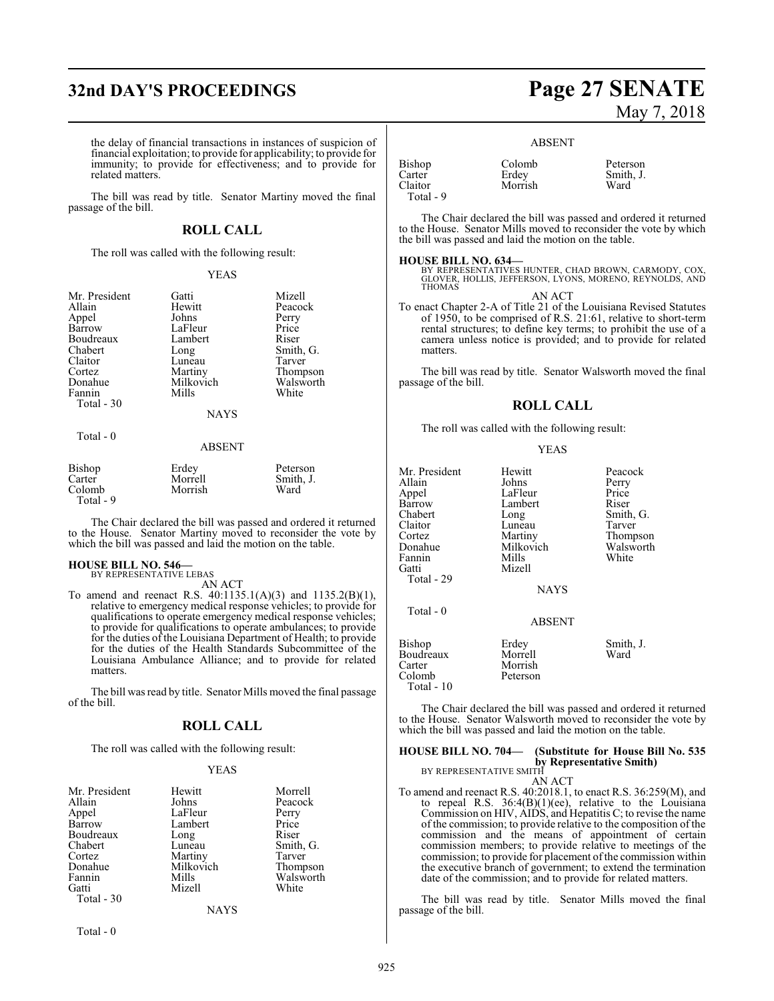## **32nd DAY'S PROCEEDINGS Page 27 SENATE**

the delay of financial transactions in instances of suspicion of financial exploitation; to provide for applicability; to provide for immunity; to provide for effectiveness; and to provide for related matters.

The bill was read by title. Senator Martiny moved the final passage of the bill.

#### **ROLL CALL**

The roll was called with the following result:

#### YEAS

| Mr. President<br>Allain<br>Appel<br>Barrow<br>Boudreaux<br>Chabert<br>Claitor<br>Cortez<br>Donahue<br>Fannin<br>Total - 30 | Gatti<br>Hewitt<br>Johns<br>LaFleur<br>Lambert<br>Long<br>Luneau<br>Martiny<br>Milkovich<br>Mills | Mizell<br>Peacock<br>Perry<br>Price<br>Riser<br>Smith, G.<br>Tarver<br>Thompson<br>Walsworth<br>White |
|----------------------------------------------------------------------------------------------------------------------------|---------------------------------------------------------------------------------------------------|-------------------------------------------------------------------------------------------------------|
|                                                                                                                            | <b>NAYS</b>                                                                                       |                                                                                                       |
| Total - 0                                                                                                                  | <b>ABSENT</b>                                                                                     |                                                                                                       |

| Bishop    | Erdey   | Peterson  |
|-----------|---------|-----------|
| Carter    | Morrell | Smith, J. |
| Colomb    | Morrish | Ward      |
| Total - 9 |         |           |

The Chair declared the bill was passed and ordered it returned to the House. Senator Martiny moved to reconsider the vote by which the bill was passed and laid the motion on the table.

## **HOUSE BILL NO. 546—** BY REPRESENTATIVE LEBAS

AN ACT

To amend and reenact R.S. 40:1135.1(A)(3) and 1135.2(B)(1), relative to emergency medical response vehicles; to provide for qualifications to operate emergency medical response vehicles; to provide for qualifications to operate ambulances; to provide for the duties of the Louisiana Department of Health; to provide for the duties of the Health Standards Subcommittee of the Louisiana Ambulance Alliance; and to provide for related matters.

The bill was read by title. Senator Mills moved the final passage of the bill.

#### **ROLL CALL**

The roll was called with the following result:

#### YEAS

| Mr. President | Hewitt    | Morrell   |
|---------------|-----------|-----------|
| Allain        | Johns     | Peacock   |
| Appel         | LaFleur   | Perry     |
| Barrow        | Lambert   | Price     |
| Boudreaux     | Long      | Riser     |
| Chabert       | Luneau    | Smith, G. |
| Cortez        | Martiny   | Tarver    |
| Donahue       | Milkovich | Thompson  |
| Fannin        | Mills     | Walsworth |
| Gatti         | Mizell    | White     |
| Total - 30    |           |           |
|               | NAYS      |           |

Total - 0

# May 7, 2018

ABSENT

| Bishop    | Colomb  | Peterson  |
|-----------|---------|-----------|
| Carter    | Erdey   | Smith, J. |
| Claitor   | Morrish | Ward      |
| Total - 9 |         |           |

The Chair declared the bill was passed and ordered it returned to the House. Senator Mills moved to reconsider the vote by which the bill was passed and laid the motion on the table.

**HOUSE BILL NO. 634—** BY REPRESENTATIVES HUNTER, CHAD BROWN, CARMODY, COX, GLOVER, HOLLIS, JEFFERSON, LYONS, MORENO, REYNOLDS, AND THOMAS

AN ACT To enact Chapter 2-A of Title 21 of the Louisiana Revised Statutes of 1950, to be comprised of R.S. 21:61, relative to short-term rental structures; to define key terms; to prohibit the use of a camera unless notice is provided; and to provide for related matters.

The bill was read by title. Senator Walsworth moved the final passage of the bill.

#### **ROLL CALL**

The roll was called with the following result:

#### YEAS

| Mr. President<br>Allain<br>Appel<br>Barrow<br>Chabert<br>Claitor | Hewitt<br>Johns<br>LaFleur<br>Lambert<br>Long | Peacock<br>Perry<br>Price<br>Riser<br>Smith, G. |
|------------------------------------------------------------------|-----------------------------------------------|-------------------------------------------------|
| Cortez                                                           | Luneau<br>Martiny                             | Tarver<br>Thompson                              |
| Donahue<br>Fannin<br>Gatti                                       | Milkovich<br>Mills<br>Mizell                  | Walsworth<br>White                              |
| Total - 29                                                       | <b>NAYS</b>                                   |                                                 |
| Total - 0                                                        | <b>ABSENT</b>                                 |                                                 |
| Bishop<br>Boudreaux<br>Carter<br>Colomb<br>Total - 10            | Erdey<br>Morrell<br>Morrish<br>Peterson       | Smith, J.<br>Ward                               |

The Chair declared the bill was passed and ordered it returned to the House. Senator Walsworth moved to reconsider the vote by which the bill was passed and laid the motion on the table.

## **HOUSE BILL NO. 704— (Substitute for House Bill No. 535 by Representative Smith)**<br>BY REPRESENTATIVE SMITH

AN ACT

To amend and reenact R.S. 40:2018.1, to enact R.S. 36:259(M), and to repeal R.S. 36:4(B)(1)(ee), relative to the Louisiana Commission on HIV, AIDS, and Hepatitis C; to revise the name of the commission; to provide relative to the composition of the commission and the means of appointment of certain commission members; to provide relative to meetings of the commission; to provide for placement of the commission within the executive branch of government; to extend the termination date of the commission; and to provide for related matters.

The bill was read by title. Senator Mills moved the final passage of the bill.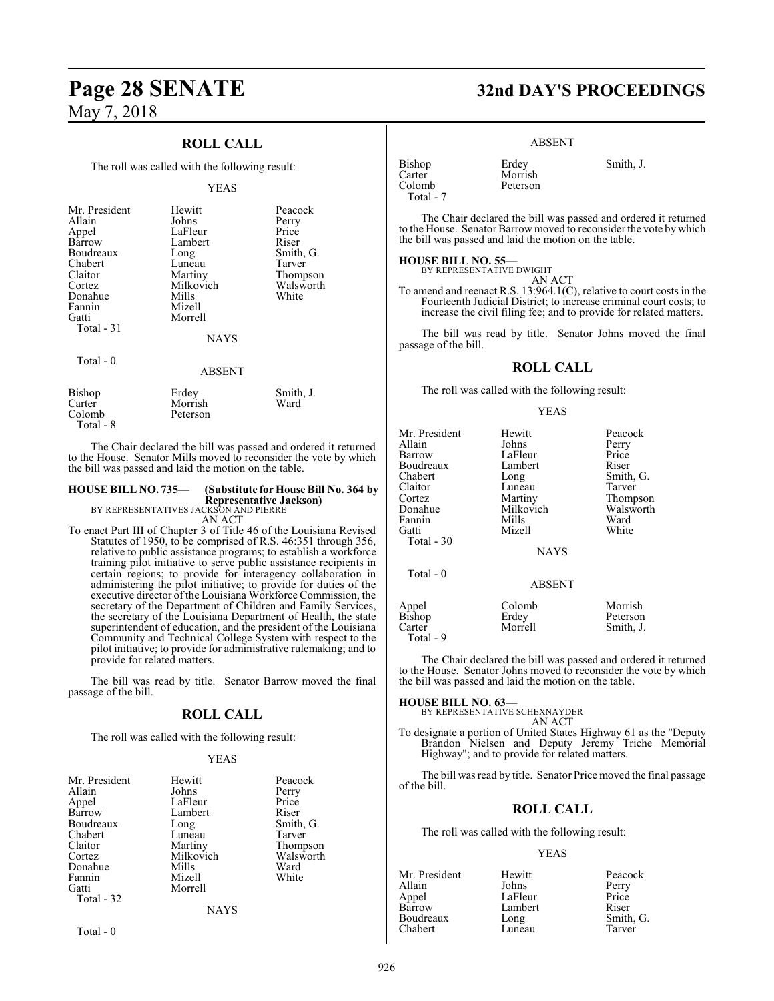### **ROLL CALL**

The roll was called with the following result:

#### YEAS

| Mr. President<br>Allain<br>Appel<br>Barrow<br>Boudreaux<br>Chabert<br>Claitor<br>Cortez<br>Donahue<br>Fannin<br>Gatti<br>Total $-31$<br>Total $-0$ | Hewitt<br>Johns<br>LaFleur<br>Lambert<br>Long<br>Luneau<br>Martiny<br>Milkovich<br>Mills<br>Mizell<br>Morrell<br><b>NAYS</b><br><b>ABSENT</b> | Peacock<br>Perry<br>Price<br>Riser<br>Smith, G.<br>Tarver<br>Thompson<br>Walsworth<br>White |
|----------------------------------------------------------------------------------------------------------------------------------------------------|-----------------------------------------------------------------------------------------------------------------------------------------------|---------------------------------------------------------------------------------------------|
| Bishop                                                                                                                                             | Erdey                                                                                                                                         | Smith, J.                                                                                   |
| Carter                                                                                                                                             | Morrish                                                                                                                                       | Ward                                                                                        |

 Total - 8 The Chair declared the bill was passed and ordered it returned to the House. Senator Mills moved to reconsider the vote by which

the bill was passed and laid the motion on the table.

Colomb Peterson

## **HOUSE BILL NO. 735— (Substitute for House Bill No. 364 by Representative Jackson)** BY REPRESENTATIVES JACKSON AND PIERRE

AN ACT

To enact Part III of Chapter 3 of Title 46 of the Louisiana Revised Statutes of 1950, to be comprised of R.S. 46:351 through 356, relative to public assistance programs; to establish a workforce training pilot initiative to serve public assistance recipients in certain regions; to provide for interagency collaboration in administering the pilot initiative; to provide for duties of the executive director of the Louisiana Workforce Commission, the secretary of the Department of Children and Family Services, the secretary of the Louisiana Department of Health, the state superintendent of education, and the president of the Louisiana Community and Technical College System with respect to the pilot initiative; to provide for administrative rulemaking; and to provide for related matters.

The bill was read by title. Senator Barrow moved the final passage of the bill.

#### **ROLL CALL**

The roll was called with the following result:

#### YEAS

| Mr. President | Hewitt      | Peacock   |
|---------------|-------------|-----------|
| Allain        | Johns       | Perry     |
| Appel         | LaFleur     | Price     |
| Barrow        | Lambert     | Riser     |
| Boudreaux     | Long        | Smith, G. |
| Chabert       | Luneau      | Tarver    |
| Claitor       | Martiny     | Thompson  |
| Cortez        | Milkovich   | Walsworth |
| Donahue       | Mills       | Ward      |
| Fannin        | Mizell      | White     |
| Gatti         | Morrell     |           |
| Total - 32    |             |           |
|               | <b>NAYS</b> |           |

Total - 0

**Page 28 SENATE 32nd DAY'S PROCEEDINGS**

#### ABSENT

Peterson

Bishop Erdey Smith, J. Carter Morrish<br>Colomb Peterson Total - 7

The Chair declared the bill was passed and ordered it returned to the House. Senator Barrow moved to reconsider the vote by which the bill was passed and laid the motion on the table.

#### **HOUSE BILL NO. 55—**

BY REPRESENTATIVE DWIGHT AN ACT

To amend and reenact R.S. 13:964.1(C), relative to court costs in the Fourteenth Judicial District; to increase criminal court costs; to increase the civil filing fee; and to provide for related matters.

The bill was read by title. Senator Johns moved the final passage of the bill.

#### **ROLL CALL**

The roll was called with the following result:

#### YEAS

| Mr. President | Hewitt        | Peacock   |
|---------------|---------------|-----------|
| Allain        | Johns         | Perry     |
| Barrow        | LaFleur       | Price     |
| Boudreaux     | Lambert       | Riser     |
| Chabert       | Long          | Smith, G. |
| Claitor       | Luneau        | Tarver    |
| Cortez        | Martiny       | Thompson  |
| Donahue       | Milkovich     | Walsworth |
| Fannin        | Mills         | Ward      |
| Gatti         | Mizell        | White     |
| Total - 30    |               |           |
|               | <b>NAYS</b>   |           |
| Total - 0     |               |           |
|               | <b>ABSENT</b> |           |
| Appel         | Colomb        | Morrish   |
| Bishop        | Erdey         | Peterson  |
| Carter        | Morrell       | Smith, J. |
| Total - 9     |               |           |

The Chair declared the bill was passed and ordered it returned to the House. Senator Johns moved to reconsider the vote by which the bill was passed and laid the motion on the table.

## **HOUSE BILL NO. 63—** BY REPRESENTATIVE SCHEXNAYDER

AN ACT

To designate a portion of United States Highway 61 as the "Deputy Brandon Nielsen and Deputy Jeremy Triche Memorial Highway"; and to provide for related matters.

The bill was read by title. Senator Price moved the final passage of the bill.

#### **ROLL CALL**

The roll was called with the following result:

#### YEAS

| Mr. President | Hewitt  | Peacock   |
|---------------|---------|-----------|
| Allain        | Johns   | Perry     |
| Appel         | LaFleur | Price     |
| Barrow        | Lambert | Riser     |
| Boudreaux     | Long    | Smith, G. |
| Chabert       | Luneau  | Tarver    |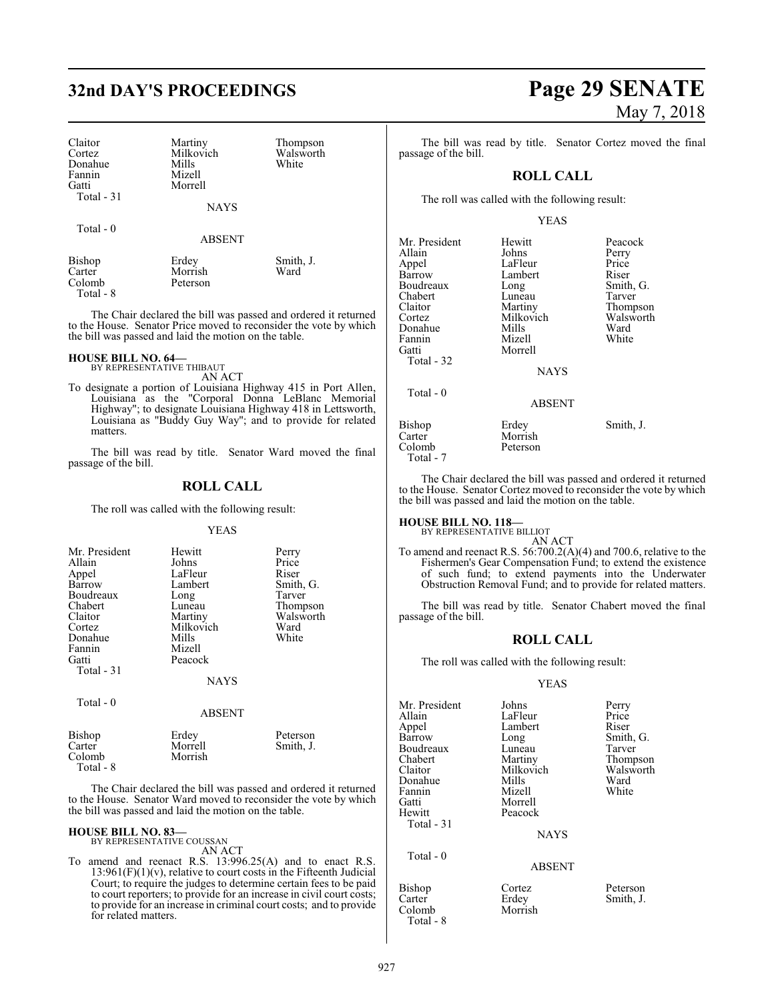| Claitor<br>Cortez<br>Donahue<br>Fannin<br>Gatti<br>Total - 31 | Martiny<br>Milkovich<br>Mills<br>Mizell<br>Morrell<br><b>NAYS</b> | Thompson<br>Walsworth<br>White |
|---------------------------------------------------------------|-------------------------------------------------------------------|--------------------------------|
| Total $-0$                                                    | <b>ABSENT</b>                                                     |                                |
| <b>Bishop</b><br>Carter<br>Colomb                             | Erdey<br>Morrish<br>Peterson                                      | Smith, J.<br>Ward              |

The Chair declared the bill was passed and ordered it returned to the House. Senator Price moved to reconsider the vote by which the bill was passed and laid the motion on the table.

## **HOUSE BILL NO. 64—** BY REPRESENTATIVE THIBAUT

Total - 8

AN ACT

To designate a portion of Louisiana Highway 415 in Port Allen, Louisiana as the "Corporal Donna LeBlanc Memorial Highway"; to designate Louisiana Highway 418 in Lettsworth, Louisiana as "Buddy Guy Way"; and to provide for related matters.

The bill was read by title. Senator Ward moved the final passage of the bill.

#### **ROLL CALL**

The roll was called with the following result:

#### YEAS

| Mr. President<br>Allain<br>Appel | Hewitt<br>Johns<br>LaFleur | Perry<br>Price<br>Riser |
|----------------------------------|----------------------------|-------------------------|
| Barrow                           | Lambert                    | Smith, G.               |
| Boudreaux                        | Long                       | Tarver                  |
| Chabert                          | Luneau                     | Thompson                |
| Claitor                          | Martiny                    | Walsworth               |
| Cortez                           | Milkovich                  | Ward                    |
| Donahue                          | Mills                      | White                   |
| Fannin                           | Mizell                     |                         |
| Gatti                            | Peacock                    |                         |
| Total $-31$                      |                            |                         |
|                                  | <b>NAYS</b>                |                         |
| Total - 0                        | <b>ABSENT</b>              |                         |
|                                  |                            |                         |

| Bishop    | Erdey   | Peterson  |
|-----------|---------|-----------|
| Carter    | Morrell | Smith, J. |
| Colomb    | Morrish |           |
| Total - 8 |         |           |
|           |         |           |

The Chair declared the bill was passed and ordered it returned to the House. Senator Ward moved to reconsider the vote by which the bill was passed and laid the motion on the table.

## **HOUSE BILL NO. 83—** BY REPRESENTATIVE COUSSAN

AN ACT

To amend and reenact R.S. 13:996.25(A) and to enact R.S.  $13:961(F)(1)(v)$ , relative to court costs in the Fifteenth Judicial Court; to require the judges to determine certain fees to be paid to court reporters; to provide for an increase in civil court costs; to provide for an increase in criminal court costs; and to provide for related matters.

# **32nd DAY'S PROCEEDINGS Page 29 SENATE** May 7, 2018

Tarver Thompson Walsworth<br>Ward

The bill was read by title. Senator Cortez moved the final passage of the bill.

#### **ROLL CALL**

The roll was called with the following result:

#### YEAS

| Mr. President | Hewitt        | Peacock   |
|---------------|---------------|-----------|
| Allain        | Johns         | Perry     |
| Appel         | LaFleur       | Price     |
| Barrow        | Lambert       | Riser     |
| Boudreaux     | Long          | Smith, G. |
| Chabert       | Luneau        | Tarver    |
| Claitor       | Martiny       | Thompson  |
| Cortez        | Milkovich     | Walswort  |
| Donahue       | Mills         | Ward      |
| Fannin        | Mizell        | White     |
| Gatti         | Morrell       |           |
| Total - 32    |               |           |
|               | <b>NAYS</b>   |           |
| Total - 0     |               |           |
|               | <b>ABSENT</b> |           |
| Bishop        | Erdey         | Smith, J. |
| Carter        | Morrish       |           |
| Colomb        | Peterson      |           |
| Total - 7     |               |           |

The Chair declared the bill was passed and ordered it returned to the House. Senator Cortez moved to reconsider the vote by which the bill was passed and laid the motion on the table.

## **HOUSE BILL NO. 118—** BY REPRESENTATIVE BILLIOT

AN ACT To amend and reenact R.S. 56:700.2(A)(4) and 700.6, relative to the Fishermen's Gear Compensation Fund; to extend the existence of such fund; to extend payments into the Underwater Obstruction Removal Fund; and to provide for related matters.

The bill was read by title. Senator Chabert moved the final passage of the bill.

#### **ROLL CALL**

The roll was called with the following result:

#### YEAS

| Mr. President | Johns         | Perry     |
|---------------|---------------|-----------|
| Allain        | LaFleur       | Price     |
| Appel         | Lambert       | Riser     |
| Barrow        | Long          | Smith, G. |
| Boudreaux     | Luneau        | Tarver    |
| Chabert       | Martiny       | Thompson  |
| Claitor       | Milkovich     | Walsworth |
| Donahue       | Mills         | Ward      |
| Fannin        | Mizell        | White     |
| Gatti         | Morrell       |           |
| Hewitt        | Peacock       |           |
| Total - 31    |               |           |
|               | <b>NAYS</b>   |           |
| Total $-0$    |               |           |
|               | <b>ABSENT</b> |           |
| Bishop        | Cortez        | Peterson  |
| Carter        | Erdey         | Smith, J. |
| Colomb        | Morrish       |           |

Total - 8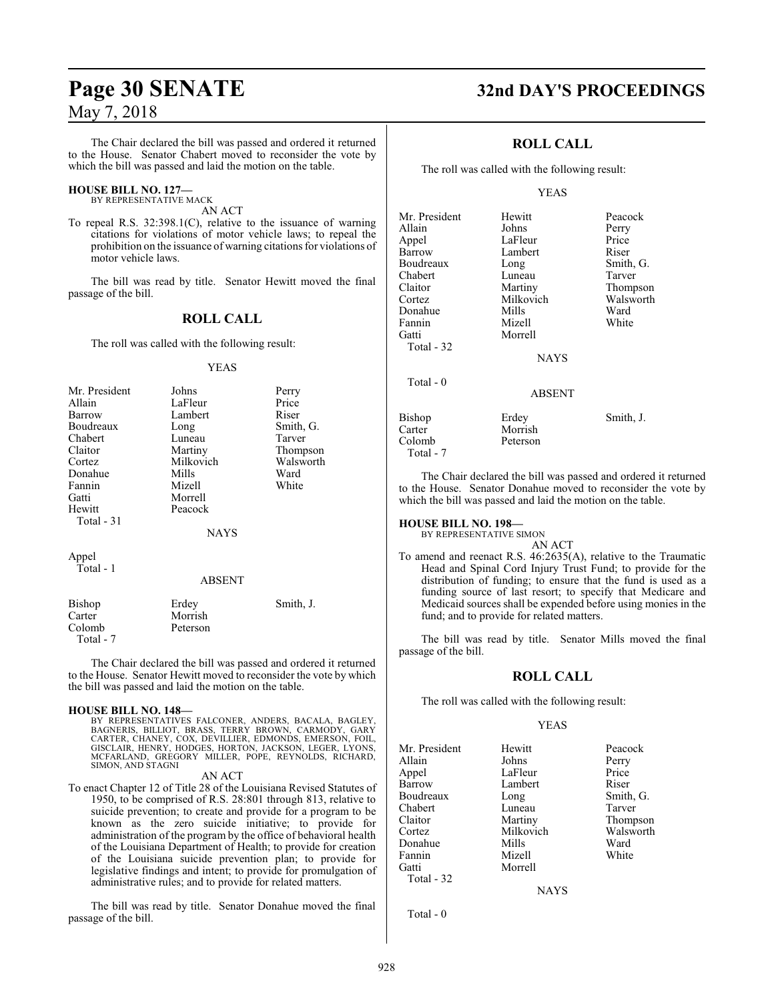The Chair declared the bill was passed and ordered it returned to the House. Senator Chabert moved to reconsider the vote by which the bill was passed and laid the motion on the table.

#### **HOUSE BILL NO. 127—**

BY REPRESENTATIVE MACK AN ACT

To repeal R.S. 32:398.1(C), relative to the issuance of warning citations for violations of motor vehicle laws; to repeal the prohibition on the issuance of warning citations for violations of motor vehicle laws.

The bill was read by title. Senator Hewitt moved the final passage of the bill.

#### **ROLL CALL**

The roll was called with the following result:

#### YEAS

| Mr. President | Johns     | Perry     |
|---------------|-----------|-----------|
| Allain        | LaFleur   | Price     |
| Barrow        | Lambert   | Riser     |
| Boudreaux     | Long      | Smith, G. |
| Chabert       | Luneau    | Tarver    |
| Claitor       | Martiny   | Thompson  |
| Cortez        | Milkovich | Walsworth |
| Donahue       | Mills     | Ward      |
| Fannin        | Mizell    | White     |
| Gatti         | Morrell   |           |
| Hewitt        | Peacock   |           |
| Total $-31$   |           |           |
|               | NAYS      |           |

Appel Total - 1

#### ABSENT

| Bishop    | Erdey    | Smith, J. |
|-----------|----------|-----------|
| Carter    | Morrish  |           |
| Colomb    | Peterson |           |
| Total - 7 |          |           |

The Chair declared the bill was passed and ordered it returned to the House. Senator Hewitt moved to reconsider the vote by which the bill was passed and laid the motion on the table.

#### **HOUSE BILL NO. 148—**

BY REPRESENTATIVES FALCONER, ANDERS, BACALA, BAGLEY,<br>BAGNERIS, BILLIOT, BRASS, TERRY BROWN, CARMODY, GART<br>CARTER, CHANEY, COX, DEVILLIER, EDMONDS, EMERSON, FOIL,<br>GISCLAIR, HENRY, HODGES, HORTON, JACKSON, LEGER, LYONS, MCFARLAND, GREGORY MILLER, POPE, REYNOLDS, RICHARD, SIMON, AND STAGNI

AN ACT

To enact Chapter 12 of Title 28 of the Louisiana Revised Statutes of 1950, to be comprised of R.S. 28:801 through 813, relative to suicide prevention; to create and provide for a program to be known as the zero suicide initiative; to provide for administration of the program by the office of behavioral health of the Louisiana Department of Health; to provide for creation of the Louisiana suicide prevention plan; to provide for legislative findings and intent; to provide for promulgation of administrative rules; and to provide for related matters.

The bill was read by title. Senator Donahue moved the final passage of the bill.

## **Page 30 SENATE 32nd DAY'S PROCEEDINGS**

### **ROLL CALL**

The roll was called with the following result:

#### YEAS

| Mr. President | Hewitt        | Peacock   |
|---------------|---------------|-----------|
| Allain        | Johns         | Perry     |
| Appel         | LaFleur       | Price     |
| Barrow        | Lambert       | Riser     |
| Boudreaux     | Long          | Smith, G. |
| Chabert       | Luneau        | Tarver    |
| Claitor       | Martiny       | Thompson  |
| Cortez        | Milkovich     | Walsworth |
| Donahue       | Mills         | Ward      |
| Fannin        | Mizell        | White     |
| Gatti         | Morrell       |           |
| Total - 32    |               |           |
|               | <b>NAYS</b>   |           |
| Total $-0$    |               |           |
|               | <b>ABSENT</b> |           |
| Bishop        | Erdey         | Smith, J. |
| Carter        | Morrish       |           |
| Colomb        | Peterson      |           |
| Total - 7     |               |           |

The Chair declared the bill was passed and ordered it returned to the House. Senator Donahue moved to reconsider the vote by which the bill was passed and laid the motion on the table.

#### **HOUSE BILL NO. 198—**

BY REPRESENTATIVE SIMON

AN ACT

To amend and reenact R.S. 46:2635(A), relative to the Traumatic Head and Spinal Cord Injury Trust Fund; to provide for the distribution of funding; to ensure that the fund is used as a funding source of last resort; to specify that Medicare and Medicaid sources shall be expended before using monies in the fund; and to provide for related matters.

The bill was read by title. Senator Mills moved the final passage of the bill.

#### **ROLL CALL**

The roll was called with the following result:

#### YEAS

| Mr. President | Hewitt    | Peacock   |
|---------------|-----------|-----------|
| Allain        | Johns     | Perry     |
| Appel         | LaFleur   | Price     |
| Barrow        | Lambert   | Riser     |
| Boudreaux     | Long      | Smith, G. |
| Chabert       | Luneau    | Tarver    |
| Claitor       | Martiny   | Thompson  |
| Cortez        | Milkovich | Walsworth |
| Donahue       | Mills     | Ward      |
| Fannin        | Mizell    | White     |
| Gatti         | Morrell   |           |
| Total - 32    |           |           |

NAYS

Total - 0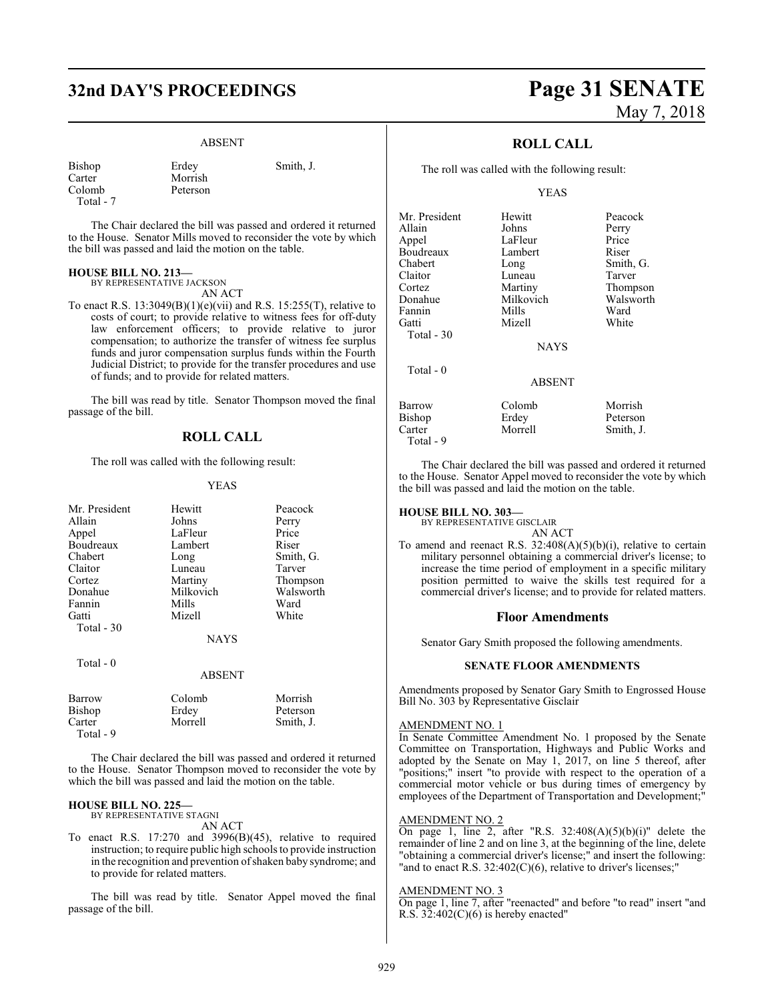## **32nd DAY'S PROCEEDINGS Page 31 SENATE**

#### ABSENT

| Bishop    | Erdey    | Smith, J. |
|-----------|----------|-----------|
| Carter    | Morrish  |           |
| Colomb    | Peterson |           |
| Total - 7 |          |           |

The Chair declared the bill was passed and ordered it returned to the House. Senator Mills moved to reconsider the vote by which the bill was passed and laid the motion on the table.

#### **HOUSE BILL NO. 213—**

BY REPRESENTATIVE JACKSON AN ACT

To enact R.S. 13:3049(B)(1)(e)(vii) and R.S. 15:255(T), relative to costs of court; to provide relative to witness fees for off-duty law enforcement officers; to provide relative to juror compensation; to authorize the transfer of witness fee surplus funds and juror compensation surplus funds within the Fourth Judicial District; to provide for the transfer procedures and use

The bill was read by title. Senator Thompson moved the final passage of the bill.

#### **ROLL CALL**

The roll was called with the following result:

of funds; and to provide for related matters.

#### YEAS

| Mr. President<br>Allain | Hewitt<br>Johns | Peacock<br>Perry |
|-------------------------|-----------------|------------------|
| Appel                   | LaFleur         | Price            |
| Boudreaux               | Lambert         | Riser            |
| Chabert                 | Long            | Smith, G.        |
| Claitor                 | Luneau          | Tarver           |
| Cortez                  | Martiny         | Thompson         |
| Donahue                 | Milkovich       | Walsworth        |
| Fannin                  | Mills           | Ward             |
| Gatti                   | Mizell          | White            |
| Total $-30$             |                 |                  |
|                         | <b>NAYS</b>     |                  |
| Total $-0$              |                 |                  |
|                         | <b>ABSENT</b>   |                  |
| <b>Barrow</b>           | Colomb          | Morrish          |
| Bishop                  | Erdey           | Peterson         |
| Carter                  | Morrell         | Smith, J.        |

Total - 9

The Chair declared the bill was passed and ordered it returned to the House. Senator Thompson moved to reconsider the vote by which the bill was passed and laid the motion on the table.

#### **HOUSE BILL NO. 225—**

BY REPRESENTATIVE STAGNI AN ACT

To enact R.S. 17:270 and 3996(B)(45), relative to required instruction; to require public high schools to provide instruction in the recognition and prevention of shaken baby syndrome; and to provide for related matters.

The bill was read by title. Senator Appel moved the final passage of the bill.

# May 7, 2018

### **ROLL CALL**

The roll was called with the following result:

#### YEAS

| Mr. President | Hewitt        | Peacock   |
|---------------|---------------|-----------|
| Allain        | Johns         | Perry     |
| Appel         | LaFleur       | Price     |
| Boudreaux     | Lambert       | Riser     |
| Chabert       | Long          | Smith, G. |
| Claitor       | Luneau        | Tarver    |
| Cortez        | Martiny       | Thompson  |
| Donahue       | Milkovich     | Walsworth |
| Fannin        | Mills         | Ward      |
| Gatti         | Mizell        | White     |
| Total - 30    |               |           |
|               | <b>NAYS</b>   |           |
|               |               |           |
| Total - 0     |               |           |
|               | <b>ABSENT</b> |           |
| Barrow        | Colomb        | Morrish   |
| Bishop        | Erdey         | Peterson  |
| Carter        | Morrell       | Smith, J. |
|               |               |           |

The Chair declared the bill was passed and ordered it returned to the House. Senator Appel moved to reconsider the vote by which the bill was passed and laid the motion on the table.

#### **HOUSE BILL NO. 303—**

Total - 9

BY REPRESENTATIVE GISCLAIR AN ACT

To amend and reenact R.S.  $32:408(A)(5)(b)(i)$ , relative to certain military personnel obtaining a commercial driver's license; to increase the time period of employment in a specific military position permitted to waive the skills test required for a commercial driver's license; and to provide for related matters.

#### **Floor Amendments**

Senator Gary Smith proposed the following amendments.

#### **SENATE FLOOR AMENDMENTS**

Amendments proposed by Senator Gary Smith to Engrossed House Bill No. 303 by Representative Gisclair

#### AMENDMENT NO. 1

In Senate Committee Amendment No. 1 proposed by the Senate Committee on Transportation, Highways and Public Works and adopted by the Senate on May 1, 2017, on line 5 thereof, after "positions;" insert "to provide with respect to the operation of a commercial motor vehicle or bus during times of emergency by employees of the Department of Transportation and Development;"

#### AMENDMENT NO. 2

On page 1, line 2, after "R.S.  $32:408(A)(5)(b)(i)$ " delete the remainder of line 2 and on line 3, at the beginning of the line, delete "obtaining a commercial driver's license;" and insert the following: "and to enact R.S. 32:402(C)(6), relative to driver's licenses;"

#### AMENDMENT NO. 3

On page 1, line 7, after "reenacted" and before "to read" insert "and R.S.  $32:402(C)(6)$  is hereby enacted"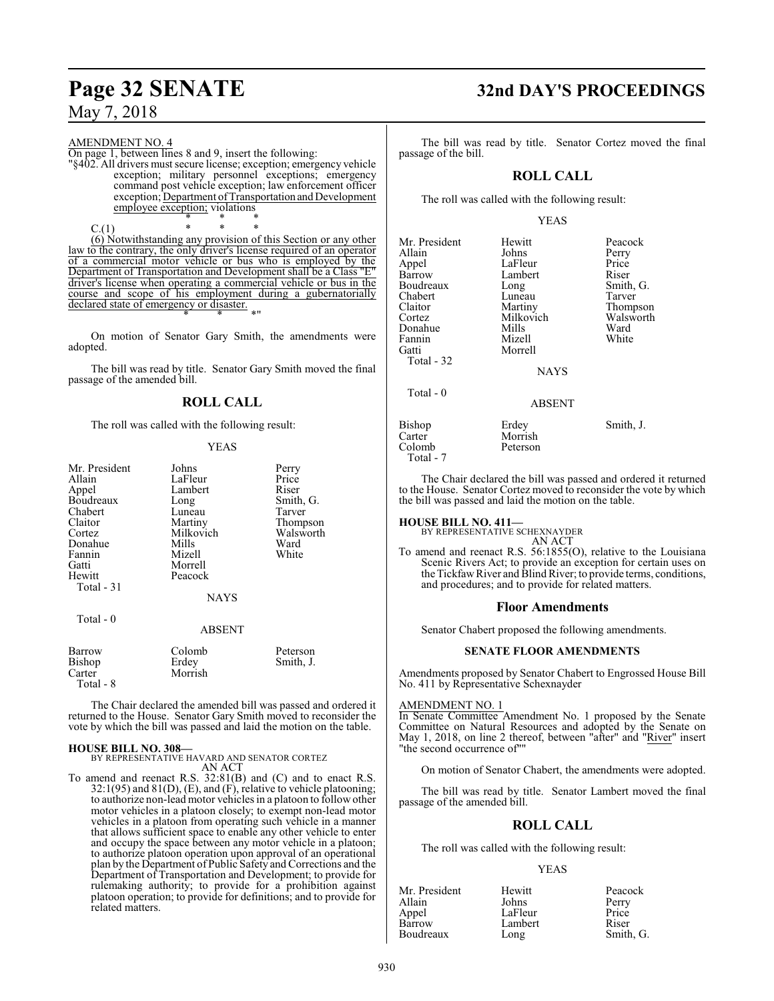AMENDMENT NO. 4 On page 1, between lines 8 and 9, insert the following:

"§402. All drivers must secure license; exception; emergency vehicle exception; military personnel exceptions; emergency command post vehicle exception; law enforcement officer exception; Department of Transportation and Development employee exception; violations \* \* \*

 $C.(1)$  \* \* (6) Notwithstanding any provision of this Section or any other law to the contrary, the only driver's license required of an operator of a commercial motor vehicle or bus who is employed by the Department of Transportation and Development shall be a Class "E" driver's license when operating a commercial vehicle or bus in the course and scope of his employment during a gubernatorially declared state of emergency or disaster. \* \* \*"

On motion of Senator Gary Smith, the amendments were adopted.

The bill was read by title. Senator Gary Smith moved the final passage of the amended bill.

### **ROLL CALL**

The roll was called with the following result:

#### YEAS

| Mr. President | Johns         | Perry     |
|---------------|---------------|-----------|
| Allain        | LaFleur       | Price     |
| Appel         | Lambert       | Riser     |
| Boudreaux     | Long          | Smith, G. |
| Chabert       | Luneau        | Tarver    |
| Claitor       | Martiny       | Thompson  |
| Cortez        | Milkovich     | Walsworth |
| Donahue       | Mills         | Ward      |
| Fannin        | Mizell        | White     |
| Gatti         | Morrell       |           |
| Hewitt        | Peacock       |           |
| Total - 31    |               |           |
|               | <b>NAYS</b>   |           |
| Total - 0     |               |           |
|               | <b>ABSENT</b> |           |
| Barrow        | Colomb        | Peterson  |
| Bishop        | Erdev         | Smith, J. |

Bishop Erdey Smith, J. Carter Morrish Total - 8

The Chair declared the amended bill was passed and ordered it returned to the House. Senator Gary Smith moved to reconsider the vote by which the bill was passed and laid the motion on the table.

#### **HOUSE BILL NO. 308—**

BY REPRESENTATIVE HAVARD AND SENATOR CORTEZ AN ACT

To amend and reenact R.S. 32:81(B) and (C) and to enact R.S.  $32:1(95)$  and  $81(D)$ , (E), and (F), relative to vehicle platooning; to authorize non-lead motor vehicles in a platoon to follow other motor vehicles in a platoon closely; to exempt non-lead motor vehicles in a platoon from operating such vehicle in a manner that allows sufficient space to enable any other vehicle to enter and occupy the space between any motor vehicle in a platoon; to authorize platoon operation upon approval of an operational plan by the Department of Public Safety and Corrections and the Department of Transportation and Development; to provide for rulemaking authority; to provide for a prohibition against platoon operation; to provide for definitions; and to provide for related matters.

## **Page 32 SENATE 32nd DAY'S PROCEEDINGS**

The bill was read by title. Senator Cortez moved the final passage of the bill.

### **ROLL CALL**

The roll was called with the following result:

#### YEAS

| Mr. President | Hewitt        | Peacock   |
|---------------|---------------|-----------|
| Allain        | Johns         | Perry     |
| Appel         | LaFleur       | Price     |
| Barrow        | Lambert       | Riser     |
| Boudreaux     | Long          | Smith, G. |
| Chabert       | Luneau        | Tarver    |
| Claitor       | Martiny       | Thompson  |
| Cortez        | Milkovich     | Walsworth |
| Donahue       | Mills         | Ward      |
| Fannin        | Mizell        | White     |
| Gatti         | Morrell       |           |
| Total - 32    |               |           |
|               | <b>NAYS</b>   |           |
| Total $-0$    |               |           |
|               | <b>ABSENT</b> |           |
| Bishop        | Erdey         | Smith, J. |
| Carter        | Morrish       |           |

The Chair declared the bill was passed and ordered it returned to the House. Senator Cortez moved to reconsider the vote by which the bill was passed and laid the motion on the table.

## **HOUSE BILL NO. 411—** BY REPRESENTATIVE SCHEXNAYDER

Colomb Peterson

Total - 7

AN ACT

To amend and reenact R.S. 56:1855(O), relative to the Louisiana Scenic Rivers Act; to provide an exception for certain uses on the Tickfaw River and Blind River; to provide terms, conditions, and procedures; and to provide for related matters.

#### **Floor Amendments**

Senator Chabert proposed the following amendments.

#### **SENATE FLOOR AMENDMENTS**

Amendments proposed by Senator Chabert to Engrossed House Bill No. 411 by Representative Schexnayder

#### AMENDMENT NO. 1

In Senate Committee Amendment No. 1 proposed by the Senate Committee on Natural Resources and adopted by the Senate on May 1, 2018, on line 2 thereof, between "after" and "River" insert "the second occurrence of""

On motion of Senator Chabert, the amendments were adopted.

The bill was read by title. Senator Lambert moved the final passage of the amended bill.

### **ROLL CALL**

The roll was called with the following result:

#### YEAS

| Mr. President | Hewitt  | Peacock   |
|---------------|---------|-----------|
| Allain        | Johns   | Perry     |
| Appel         | LaFleur | Price     |
| Barrow        | Lambert | Riser     |
| Boudreaux     | Long    | Smith, G. |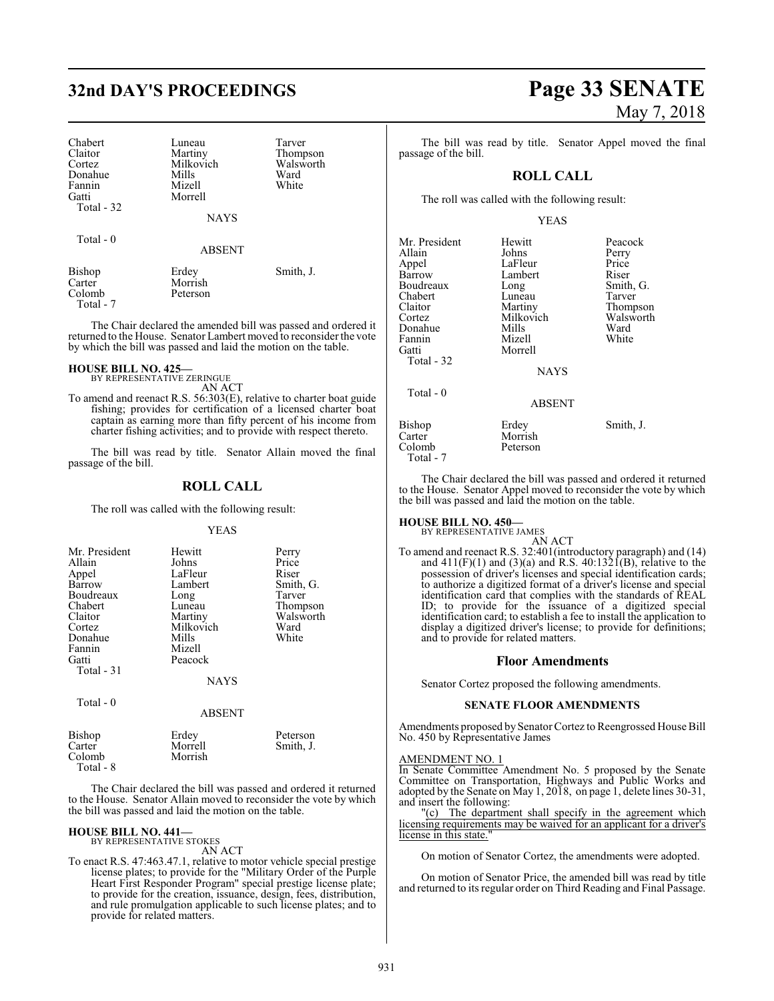# **32nd DAY'S PROCEEDINGS Page 33 SENATE**

| Chabert    | Luneau        | Tarver    |
|------------|---------------|-----------|
| Claitor    | Martiny       | Thompson  |
| Cortez     | Milkovich     | Walsworth |
| Donahue    | Mills         | Ward      |
| Fannin     | Mizell        | White     |
| Gatti      | Morrell       |           |
| Total - 32 |               |           |
|            | <b>NAYS</b>   |           |
| Total - 0  |               |           |
|            | <b>ABSENT</b> |           |
| Bishop     | Erdey         | Smith, J. |

Peterson

The Chair declared the amended bill was passed and ordered it returned to the House. Senator Lambert moved to reconsider the vote by which the bill was passed and laid the motion on the table.

## **HOUSE BILL NO. 425—** BY REPRESENTATIVE ZERINGUE

Carter Morrish<br>Colomb Peterson

Total - 7

AN ACT

To amend and reenact R.S. 56:303(E), relative to charter boat guide fishing; provides for certification of a licensed charter boat captain as earning more than fifty percent of his income from charter fishing activities; and to provide with respect thereto.

The bill was read by title. Senator Allain moved the final passage of the bill.

#### **ROLL CALL**

The roll was called with the following result:

#### YEAS

| Mr. President<br>Allain<br>Appel<br>Barrow<br>Boudreaux<br>Chabert<br>Claitor<br>Cortez<br>Donahue<br>Fannin<br>Gatti | Hewitt<br>Johns<br>LaFleur<br>Lambert<br>Long<br>Luneau<br>Martiny<br>Milkovich<br>Mills<br>Mizell<br>Peacock | Perry<br>Price<br>Riser<br>Smith, G.<br>Tarver<br>Thompson<br>Walsworth<br>Ward<br>White |
|-----------------------------------------------------------------------------------------------------------------------|---------------------------------------------------------------------------------------------------------------|------------------------------------------------------------------------------------------|
| Total - 31<br>Total - 0                                                                                               | <b>NAYS</b><br><b>ABSENT</b>                                                                                  |                                                                                          |

| Bishop<br>Carter<br>Colomb<br>Total - 8 | Erdey<br>Morrell<br>Morrish | Peterson<br>Smith, J. |
|-----------------------------------------|-----------------------------|-----------------------|
|                                         |                             |                       |

The Chair declared the bill was passed and ordered it returned to the House. Senator Allain moved to reconsider the vote by which the bill was passed and laid the motion on the table.

## **HOUSE BILL NO. 441—** BY REPRESENTATIVE STOKES

AN ACT

To enact R.S. 47:463.47.1, relative to motor vehicle special prestige license plates; to provide for the "Military Order of the Purple Heart First Responder Program" special prestige license plate; to provide for the creation, issuance, design, fees, distribution, and rule promulgation applicable to such license plates; and to provide for related matters.

# May 7, 2018

The bill was read by title. Senator Appel moved the final passage of the bill.

#### **ROLL CALL**

The roll was called with the following result:

#### YEAS

| Mr. President<br>Allain<br>Appel<br>Barrow<br>Boudreaux<br>Chabert<br>Claitor<br>Cortez<br>Donahue | Hewitt<br>Johns<br>LaFleur<br>Lambert<br>Long<br>Luneau<br>Martiny<br>Milkovich<br>Mills | Peacock<br>Perry<br>Price<br>Riser<br>Smith, G.<br>Tarver<br>Thompson<br>Walsworth<br>Ward |
|----------------------------------------------------------------------------------------------------|------------------------------------------------------------------------------------------|--------------------------------------------------------------------------------------------|
| Fannin                                                                                             | Mizell                                                                                   | White                                                                                      |
| Gatti<br>Total - 32                                                                                | Morrell<br><b>NAYS</b>                                                                   |                                                                                            |
| Total - 0                                                                                          | <b>ABSENT</b>                                                                            |                                                                                            |
| <b>Bishop</b><br>Carter<br>Colomb<br>Total - 7                                                     | Erdey<br>Morrish<br>Peterson                                                             | Smith, J.                                                                                  |

The Chair declared the bill was passed and ordered it returned to the House. Senator Appel moved to reconsider the vote by which the bill was passed and laid the motion on the table.

## **HOUSE BILL NO. 450—** BY REPRESENTATIVE JAMES

AN ACT To amend and reenact R.S. 32:401(introductory paragraph) and (14) and  $411(F)(1)$  and  $(3)(a)$  and R.S.  $40:1321(F)$ , relative to the possession of driver's licenses and special identification cards; to authorize a digitized format of a driver's license and special identification card that complies with the standards of REAL ID; to provide for the issuance of a digitized special identification card; to establish a fee to install the application to display a digitized driver's license; to provide for definitions; and to provide for related matters.

#### **Floor Amendments**

Senator Cortez proposed the following amendments.

#### **SENATE FLOOR AMENDMENTS**

Amendments proposed by Senator Cortez to Reengrossed House Bill No. 450 by Representative James

#### AMENDMENT NO. 1

In Senate Committee Amendment No. 5 proposed by the Senate Committee on Transportation, Highways and Public Works and adopted by the Senate on May 1, 2018, on page 1, delete lines 30-31, and insert the following:

"(c) The department shall specify in the agreement which licensing requirements may be waived for an applicant for a driver's license in this state.

On motion of Senator Cortez, the amendments were adopted.

On motion of Senator Price, the amended bill was read by title and returned to its regular order on Third Reading and Final Passage.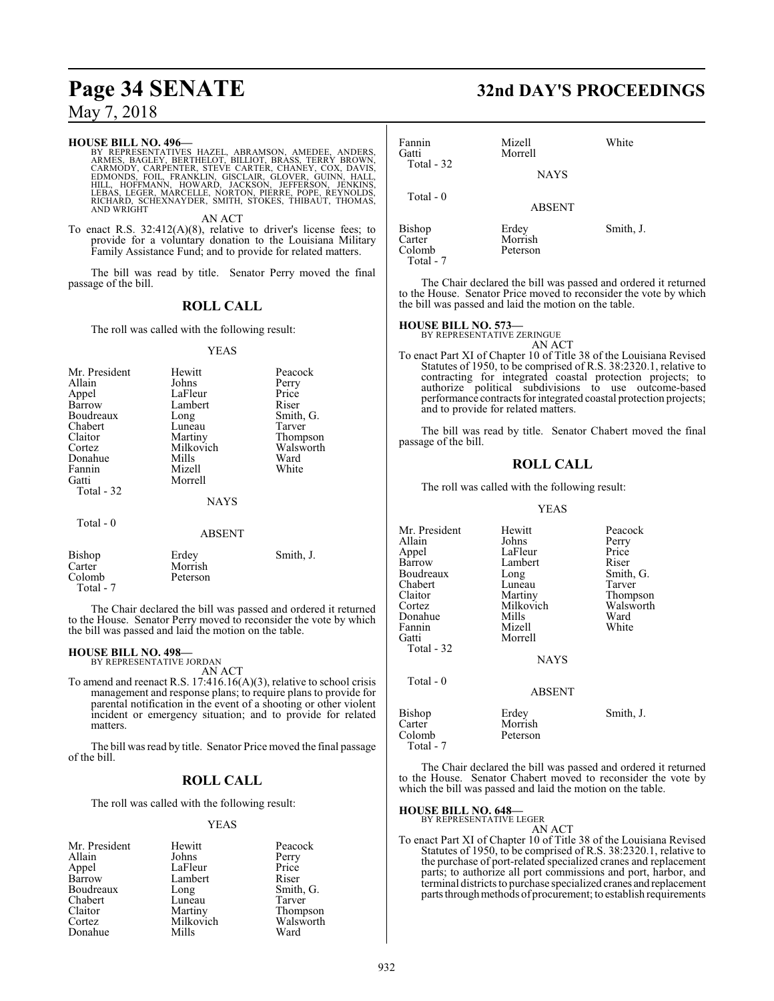#### **HOUSE BILL NO. 496—**

BY REPRESENTATIVES HAZEL, ABRAMSON, AMEDEE, ANDERS,<br>ARMES, BAGLEY, BERTHELOT, BILLIOT, BRASS, TERRY BROWN,<br>CARMODY, CARPENTER, STEVE CARTER, CHANEY, COX, DAVIS,<br>EDMONDS, FOIL, FRANKLIN, GISCLAIR, GLOVER, GUINN, HALL,<br>HILL, AND WRIGHT

AN ACT

To enact R.S. 32:412(A)(8), relative to driver's license fees; to provide for a voluntary donation to the Louisiana Military Family Assistance Fund; and to provide for related matters.

The bill was read by title. Senator Perry moved the final passage of the bill.

### **ROLL CALL**

The roll was called with the following result:

#### YEAS

| Mr. President<br>Allain<br>Appel<br>Barrow<br>Boudreaux<br>Chabert<br>Claitor<br>Cortez<br>Donahue<br>Fannin<br>Gatti<br>Total - 32 | Hewitt<br>Johns<br>LaFleur<br>Lambert<br>Long<br>Luneau<br>Martiny<br>Milkovich<br>Mills<br>Mizell<br>Morrell<br><b>NAYS</b> | Peacock<br>Perry<br>Price<br>Riser<br>Smith, G.<br>Tarver<br>Thompson<br>Walsworth<br>Ward<br>White |
|-------------------------------------------------------------------------------------------------------------------------------------|------------------------------------------------------------------------------------------------------------------------------|-----------------------------------------------------------------------------------------------------|
| Total $-0$                                                                                                                          | <b>ABSENT</b>                                                                                                                |                                                                                                     |
| Bishop<br>Carter<br>Colomb                                                                                                          | Erdey<br>Morrish<br>Peterson                                                                                                 | Smith, J.                                                                                           |

Total - 7

The Chair declared the bill was passed and ordered it returned to the House. Senator Perry moved to reconsider the vote by which the bill was passed and laid the motion on the table.

## **HOUSE BILL NO. 498—** BY REPRESENTATIVE JORDAN

AN ACT

To amend and reenact R.S. 17:416.16(A)(3), relative to school crisis management and response plans; to require plans to provide for parental notification in the event of a shooting or other violent incident or emergency situation; and to provide for related matters.

The bill was read by title. Senator Price moved the final passage of the bill.

#### **ROLL CALL**

The roll was called with the following result:

#### YEAS

| Mr. President | Hewitt    | Peacock   |
|---------------|-----------|-----------|
| Allain        | Johns     | Perry     |
| Appel         | LaFleur   | Price     |
| Barrow        | Lambert   | Riser     |
| Boudreaux     | Long      | Smith, G. |
| Chabert       | Luneau    | Tarver    |
| Claitor       | Martiny   | Thompson  |
| Cortez        | Milkovich | Walsworth |
| Donahue       | Mills     | Ward      |

## **Page 34 SENATE 32nd DAY'S PROCEEDINGS**

| Fannin<br>Gatti<br>Total $-32$          | Mizell<br>Morrell<br><b>NAYS</b> | White     |
|-----------------------------------------|----------------------------------|-----------|
| Total $-0$                              | <b>ABSENT</b>                    |           |
| Bishop<br>Carter<br>Colomb<br>Total - 7 | Erdey<br>Morrish<br>Peterson     | Smith, J. |

The Chair declared the bill was passed and ordered it returned to the House. Senator Price moved to reconsider the vote by which the bill was passed and laid the motion on the table.

## **HOUSE BILL NO. 573—** BY REPRESENTATIVE ZERINGUE

AN ACT To enact Part XI of Chapter 10 of Title 38 of the Louisiana Revised Statutes of 1950, to be comprised of R.S. 38:2320.1, relative to contracting for integrated coastal protection projects; to authorize political subdivisions to use outcome-based performance contracts for integrated coastal protection projects; and to provide for related matters.

The bill was read by title. Senator Chabert moved the final passage of the bill.

#### **ROLL CALL**

The roll was called with the following result:

#### YEAS

| Mr. President<br>Allain<br>Appel<br>Barrow<br>Boudreaux<br>Chabert<br>Claitor<br>Cortez<br>Donahue<br>Fannin | Hewitt<br>Johns<br>LaFleur<br>Lambert<br>Long<br>Luneau<br>Martiny<br>Milkovich<br>Mills<br>Mizell | Peacock<br>Perry<br>Price<br>Riser<br>Smith, G.<br>Tarver<br>Thompson<br>Walsworth<br>Ward<br>White |
|--------------------------------------------------------------------------------------------------------------|----------------------------------------------------------------------------------------------------|-----------------------------------------------------------------------------------------------------|
| Gatti<br>Total - 32                                                                                          | Morrell<br><b>NAYS</b>                                                                             |                                                                                                     |
| Total $-0$                                                                                                   | <b>ABSENT</b>                                                                                      |                                                                                                     |
| Bishop<br>Carter<br>Colomb                                                                                   | Erdey<br>Morrish<br>Peterson                                                                       | Smith, J.                                                                                           |

The Chair declared the bill was passed and ordered it returned to the House. Senator Chabert moved to reconsider the vote by which the bill was passed and laid the motion on the table.

#### **HOUSE BILL NO. 648—**

Total - 7

BY REPRESENTATIVE LEGER

AN ACT To enact Part XI of Chapter 10 of Title 38 of the Louisiana Revised Statutes of 1950, to be comprised of R.S. 38:2320.1, relative to the purchase of port-related specialized cranes and replacement parts; to authorize all port commissions and port, harbor, and terminal districts to purchase specialized cranes and replacement parts through methods of procurement; to establish requirements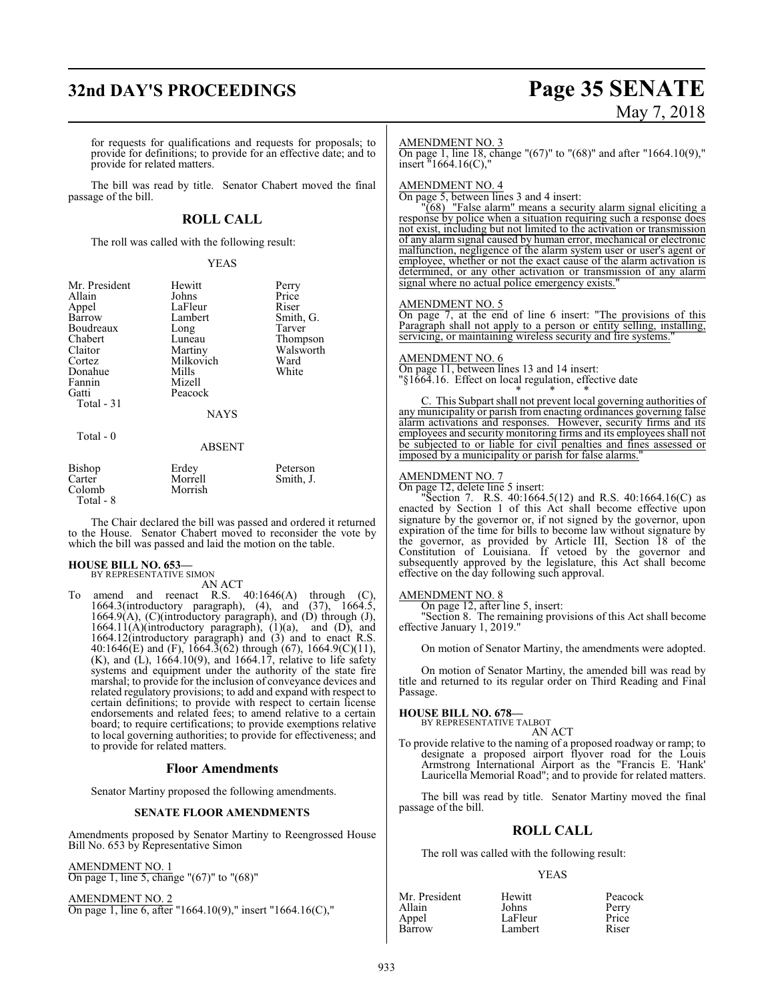## **32nd DAY'S PROCEEDINGS Page 35 SENATE**

# May 7, 2018

for requests for qualifications and requests for proposals; to provide for definitions; to provide for an effective date; and to provide for related matters.

The bill was read by title. Senator Chabert moved the final passage of the bill.

#### **ROLL CALL**

The roll was called with the following result:

#### YEAS

| Mr. President<br>Allain<br>Appel<br>Barrow<br>Boudreaux<br>Chabert<br>Claitor<br>Cortez<br>Donahue<br>Fannin<br>Gatti | Hewitt<br>Johns<br>LaFleur<br>Lambert<br>Long<br>Luneau<br>Martiny<br>Milkovich<br>Mills<br>Mizell<br>Peacock | Perry<br>Price<br>Riser<br>Smith, G.<br>Tarver<br>Thompson<br>Walsworth<br>Ward<br>White |
|-----------------------------------------------------------------------------------------------------------------------|---------------------------------------------------------------------------------------------------------------|------------------------------------------------------------------------------------------|
| Total - 31                                                                                                            | <b>NAYS</b>                                                                                                   |                                                                                          |
| Total $-0$                                                                                                            | <b>ABSENT</b>                                                                                                 |                                                                                          |
| Bishop<br>Carter                                                                                                      | Erdey<br>Morrell                                                                                              | Peterson<br>Smith, J.                                                                    |

The Chair declared the bill was passed and ordered it returned to the House. Senator Chabert moved to reconsider the vote by which the bill was passed and laid the motion on the table.

## **HOUSE BILL NO. 653—** BY REPRESENTATIVE SIMON

Colomb Morrish

Total - 8

AN ACT

To amend and reenact R.S. 40:1646(A) through (C), 1664.3(introductory paragraph), (4), and (37), 1664.5, 1664.9(A), (C)(introductory paragraph), and (D) through (J),  $1664.11(A)$ (introductory paragraph),  $(1)(a)$ , and  $(D)$ , and 1664.12(introductory paragraph) and (3) and to enact R.S. 40:1646(E) and (F), 1664.3(62) through (67), 1664.9(C)(11),  $(K)$ , and  $(L)$ , 1664.10(9), and 1664.17, relative to life safety systems and equipment under the authority of the state fire marshal; to provide for the inclusion of conveyance devices and related regulatory provisions; to add and expand with respect to certain definitions; to provide with respect to certain license endorsements and related fees; to amend relative to a certain board; to require certifications; to provide exemptions relative to local governing authorities; to provide for effectiveness; and to provide for related matters.

#### **Floor Amendments**

Senator Martiny proposed the following amendments.

#### **SENATE FLOOR AMENDMENTS**

Amendments proposed by Senator Martiny to Reengrossed House Bill No. 653 by Representative Simon

#### AMENDMENT NO. 1

On page 1, line 5, change "(67)" to "(68)"

AMENDMENT NO. 2 On page 1, line 6, after "1664.10(9)," insert "1664.16(C),"

#### AMENDMENT NO. 3

On page 1, line 18, change "(67)" to "(68)" and after "1664.10(9)," insert "1664.16(C),"

#### AMENDMENT NO. 4

On page 5, between lines 3 and 4 insert:

"(68) "False alarm" means a security alarm signal eliciting a response by police when a situation requiring such a response does not exist, including but not limited to the activation or transmission of any alarm signal caused by human error, mechanical or electronic malfunction, negligence of the alarm system user or user's agent or employee, whether or not the exact cause of the alarm activation is determined, or any other activation or transmission of any alarm signal where no actual police emergency exists.

#### AMENDMENT NO. 5

On page 7, at the end of line 6 insert: "The provisions of this Paragraph shall not apply to a person or entity selling, installing, servicing, or maintaining wireless security and fire systems.

#### AMENDMENT NO. 6

On page 11, between lines 13 and 14 insert: "§1664.16. Effect on local regulation, effective date

\* \* \* C. This Subpart shall not prevent local governing authorities of any municipality or parish from enacting ordinances governing false alarm activations and responses. However, security firms and its employees and security monitoring firms and its employees shall not be subjected to or liable for civil penalties and fines assessed or imposed by a municipality or parish for false alarms.

#### AMENDMENT NO. 7

On page 12, delete line 5 insert:

"Section 7. R.S. 40:1664.5(12) and R.S. 40:1664.16(C) as enacted by Section 1 of this Act shall become effective upon signature by the governor or, if not signed by the governor, upon expiration of the time for bills to become law without signature by the governor, as provided by Article III, Section 18 of the Constitution of Louisiana. If vetoed by the governor and subsequently approved by the legislature, this Act shall become effective on the day following such approval.

#### AMENDMENT NO. 8

On page 12, after line 5, insert:

"Section 8. The remaining provisions of this Act shall become effective January 1, 2019."

On motion of Senator Martiny, the amendments were adopted.

On motion of Senator Martiny, the amended bill was read by title and returned to its regular order on Third Reading and Final Passage.

**HOUSE BILL NO. 678—** BY REPRESENTATIVE TALBOT AN ACT

To provide relative to the naming of a proposed roadway or ramp; to designate a proposed airport flyover road for the Louis Armstrong International Airport as the "Francis E. 'Hank' Lauricella Memorial Road"; and to provide for related matters.

The bill was read by title. Senator Martiny moved the final passage of the bill.

#### **ROLL CALL**

The roll was called with the following result:

#### YEAS

| Mr. President | Hewitt  | Peacock |
|---------------|---------|---------|
| Allain        | Johns   | Perry   |
| Appel         | LaFleur | Price   |
| Barrow        | Lambert | Riser   |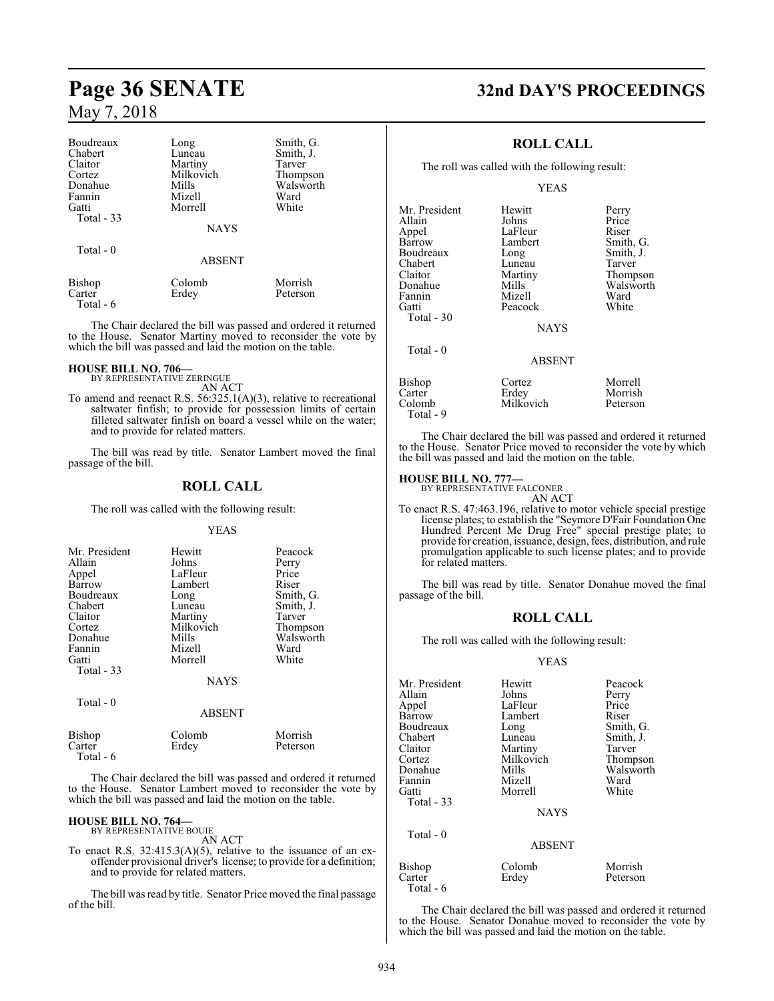| Boudreaux           | Long          | Smith, G. |
|---------------------|---------------|-----------|
| Chabert             | Luneau        | Smith, J. |
| Claitor             | Martiny       | Tarver    |
| Cortez              | Milkovich     | Thompson  |
| Donahue             | Mills         | Walsworth |
| Fannin              | Mizell        | Ward      |
| Gatti               | Morrell       | White     |
| Total - 33          |               |           |
|                     | <b>NAYS</b>   |           |
| Total - 0           |               |           |
|                     | <b>ABSENT</b> |           |
| Bishop              | Colomb        | Morrish   |
| Carter<br>Total - 6 | Erdey         | Peterson  |

The Chair declared the bill was passed and ordered it returned to the House. Senator Martiny moved to reconsider the vote by which the bill was passed and laid the motion on the table.

## **HOUSE BILL NO. 706—** BY REPRESENTATIVE ZERINGUE

AN ACT

To amend and reenact R.S. 56:325.1(A)(3), relative to recreational saltwater finfish; to provide for possession limits of certain filleted saltwater finfish on board a vessel while on the water; and to provide for related matters.

The bill was read by title. Senator Lambert moved the final passage of the bill.

#### **ROLL CALL**

The roll was called with the following result:

#### YEAS

| Mr. President<br>Allain<br>Appel<br>Barrow<br>Boudreaux<br>Chabert<br>Claitor<br>Cortez<br>Donahue<br>Fannin<br>Gatti<br>Total $-33$ | Hewitt<br>Johns<br>LaFleur<br>Lambert<br>Long<br>Luneau<br>Martiny<br>Milkovich<br>Mills<br>Mizell<br>Morrell<br><b>NAYS</b> | Peacock<br>Perry<br>Price<br>Riser<br>Smith, G.<br>Smith, J.<br>Tarver<br>Thompson<br>Walsworth<br>Ward<br>White |
|--------------------------------------------------------------------------------------------------------------------------------------|------------------------------------------------------------------------------------------------------------------------------|------------------------------------------------------------------------------------------------------------------|
| Total - $0$                                                                                                                          | <b>ABSENT</b>                                                                                                                |                                                                                                                  |
| Bishop                                                                                                                               | Colomb                                                                                                                       | Morrish                                                                                                          |

Carter Erdey Peterson

The Chair declared the bill was passed and ordered it returned to the House. Senator Lambert moved to reconsider the vote by which the bill was passed and laid the motion on the table.

#### **HOUSE BILL NO. 764—** BY REPRESENTATIVE BOUIE

Total - 6

AN ACT

To enact R.S.  $32:415.3(A)(5)$ , relative to the issuance of an exoffender provisional driver's license; to provide for a definition; and to provide for related matters.

The bill was read by title. Senator Price moved the final passage of the bill.

## **Page 36 SENATE 32nd DAY'S PROCEEDINGS**

#### **ROLL CALL**

The roll was called with the following result:

#### YEAS

| Mr. President | Hewitt        | Perry     |
|---------------|---------------|-----------|
| Allain        | Johns         | Price     |
| Appel         | LaFleur       | Riser     |
| Barrow        | Lambert       | Smith, G. |
| Boudreaux     | Long          | Smith, J. |
| Chabert       | Luneau        | Tarver    |
| Claitor       | Martiny       | Thompson  |
| Donahue       | Mills         | Walsworth |
| Fannin        | Mizell        | Ward      |
| Gatti         | Peacock       | White     |
| Total - 30    |               |           |
|               | <b>NAYS</b>   |           |
| Total - 0     |               |           |
|               | <b>ABSENT</b> |           |
|               |               |           |

| 1 vui                                   | <b>ABSENT</b>                |                                |
|-----------------------------------------|------------------------------|--------------------------------|
| Bishop<br>Carter<br>Colomb<br>Total - 9 | Cortez<br>Erdey<br>Milkovich | Morrell<br>Morrish<br>Peterson |

The Chair declared the bill was passed and ordered it returned to the House. Senator Price moved to reconsider the vote by which the bill was passed and laid the motion on the table.

#### **HOUSE BILL NO. 777—**

BY REPRESENTATIVE FALCONER

AN ACT

To enact R.S. 47:463.196, relative to motor vehicle special prestige license plates; to establish the "Seymore D'Fair Foundation One Hundred Percent Me Drug Free" special prestige plate; to provide for creation, issuance, design, fees, distribution, and rule promulgation applicable to such license plates; and to provide for related matters.

The bill was read by title. Senator Donahue moved the final passage of the bill.

#### **ROLL CALL**

The roll was called with the following result:

#### YEAS

| Mr. President<br>Allain<br>Appel<br>Barrow<br>Boudreaux<br>Chabert<br>Claitor<br>Cortez<br>Donahue<br>Fannin<br>Gatti<br>Total $-33$ | Hewitt<br>Johns<br>LaFleur<br>Lambert<br>Long<br>Luneau<br>Martiny<br>Milkovich<br>Mills<br>Mizell<br>Morrell<br><b>NAYS</b> | Peacock<br>Perry<br>Price<br>Riser<br>Smith, G.<br>Smith, J.<br>Tarver<br>Thompson<br>Walsworth<br>Ward<br>White |
|--------------------------------------------------------------------------------------------------------------------------------------|------------------------------------------------------------------------------------------------------------------------------|------------------------------------------------------------------------------------------------------------------|
| Total $-0$                                                                                                                           | <b>ABSENT</b>                                                                                                                |                                                                                                                  |
| Bishop<br>Carter                                                                                                                     | Colomb<br>Erdey                                                                                                              | Morrish<br>Peterson                                                                                              |

The Chair declared the bill was passed and ordered it returned to the House. Senator Donahue moved to reconsider the vote by which the bill was passed and laid the motion on the table.

Total - 6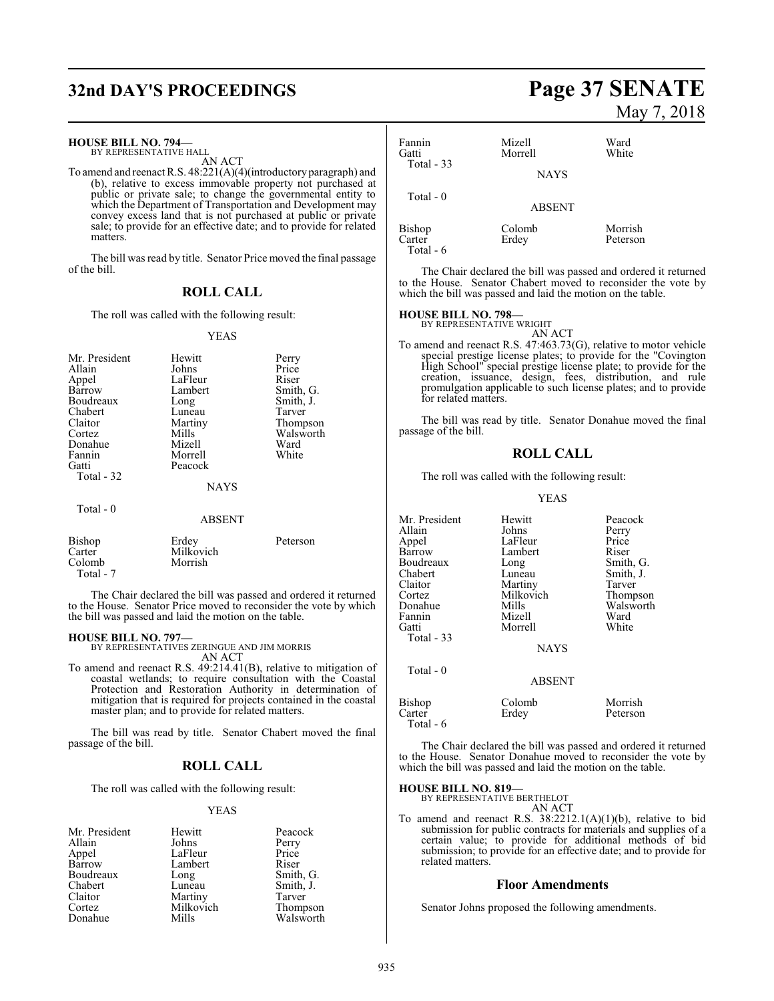## **32nd DAY'S PROCEEDINGS Page 37 SENATE**

#### **HOUSE BILL NO. 794—**

BY REPRESENTATIVE HALL AN ACT

To amend and reenact R.S. 48:221(A)(4)(introductory paragraph) and (b), relative to excess immovable property not purchased at public or private sale; to change the governmental entity to which the Department of Transportation and Development may convey excess land that is not purchased at public or private sale; to provide for an effective date; and to provide for related matters.

The bill was read by title. Senator Price moved the final passage of the bill.

#### **ROLL CALL**

The roll was called with the following result:

#### YEAS

| Mr. President<br>Allain<br>Appel<br>Barrow<br>Boudreaux<br>Chabert<br>Claitor<br>Cortez<br>Donahue<br>Fannin<br>Gatti<br>Total - 32 | Hewitt<br>Johns<br>LaFleur<br>Lambert<br>Long<br>Luneau<br>Martiny<br>Mills<br>Mizell<br>Morrell<br>Peacock<br><b>NAYS</b> | Perry<br>Price<br>Riser<br>Smith, G.<br>Smith, J.<br>Tarver<br>Thompson<br>Walsworth<br>Ward<br>White |
|-------------------------------------------------------------------------------------------------------------------------------------|----------------------------------------------------------------------------------------------------------------------------|-------------------------------------------------------------------------------------------------------|
| Total - 0                                                                                                                           | <b>ABSENT</b>                                                                                                              |                                                                                                       |
| Bishop                                                                                                                              | Erdey                                                                                                                      | Peterson                                                                                              |

Carter Milkovich<br>Colomb Morrish Colomb Total - 7

The Chair declared the bill was passed and ordered it returned to the House. Senator Price moved to reconsider the vote by which the bill was passed and laid the motion on the table.

#### **HOUSE BILL NO. 797—**

BY REPRESENTATIVES ZERINGUE AND JIM MORRIS AN ACT

To amend and reenact R.S. 49:214.41(B), relative to mitigation of coastal wetlands; to require consultation with the Coastal Protection and Restoration Authority in determination of mitigation that is required for projects contained in the coastal master plan; and to provide for related matters.

The bill was read by title. Senator Chabert moved the final passage of the bill.

#### **ROLL CALL**

The roll was called with the following result:

#### YEAS

| Mr. President | Hewitt    | Peaco |
|---------------|-----------|-------|
| Allain        | Johns     | Perry |
| Appel         | LaFleur   | Price |
| <b>Barrow</b> | Lambert   | Riser |
| Boudreaux     | Long      | Smith |
| Chabert       | Luneau    | Smith |
| Claitor       | Martiny   | Tarve |
| Cortez        | Milkovich | Thom  |
| Donahue       | Mills     | Wals  |

Peacock<br>Perry Smith, G. Smith, J. Photo Martin Tarver<br>
Thomas Thompson Walsworth

## May 7, 2018

| Fannin<br>Gatti               | Mizell<br>Morrell | Ward<br>White       |
|-------------------------------|-------------------|---------------------|
| Total $-33$                   | <b>NAYS</b>       |                     |
| Total $-0$                    | <b>ABSENT</b>     |                     |
| Bishop<br>Carter<br>Total - 6 | Colomb<br>Erdey   | Morrish<br>Peterson |

The Chair declared the bill was passed and ordered it returned to the House. Senator Chabert moved to reconsider the vote by which the bill was passed and laid the motion on the table.

## **HOUSE BILL NO. 798—** BY REPRESENTATIVE WRIGHT

AN ACT

To amend and reenact R.S. 47:463.73(G), relative to motor vehicle special prestige license plates; to provide for the "Covington High School" special prestige license plate; to provide for the creation, issuance, design, fees, distribution, and rule promulgation applicable to such license plates; and to provide for related matters.

The bill was read by title. Senator Donahue moved the final passage of the bill.

#### **ROLL CALL**

The roll was called with the following result:

#### YEAS

| Mr. President<br>Allain<br>Appel<br>Barrow<br>Boudreaux<br>Chabert<br>Claitor<br>Cortez<br>Donahue<br>Fannin<br>Gatti<br>Total $-33$ | Hewitt<br>Johns<br>LaFleur<br>Lambert<br>Long<br>Luneau<br>Martiny<br>Milkovich<br>Mills<br>Mizell<br>Morrell<br><b>NAYS</b> | Peacock<br>Perry<br>Price<br>Riser<br>Smith, G.<br>Smith, J.<br>Tarver<br>Thompson<br>Walsworth<br>Ward<br>White |
|--------------------------------------------------------------------------------------------------------------------------------------|------------------------------------------------------------------------------------------------------------------------------|------------------------------------------------------------------------------------------------------------------|
| Total $-0$                                                                                                                           | <b>ABSENT</b>                                                                                                                |                                                                                                                  |
| Bishop<br>Carter<br>Total - 6                                                                                                        | Colomb<br>Erdey                                                                                                              | Morrish<br>Peterson                                                                                              |

The Chair declared the bill was passed and ordered it returned to the House. Senator Donahue moved to reconsider the vote by which the bill was passed and laid the motion on the table.

## **HOUSE BILL NO. 819—** BY REPRESENTATIVE BERTHELOT

AN ACT

To amend and reenact R.S. 38:2212.1(A)(1)(b), relative to bid submission for public contracts for materials and supplies of a certain value; to provide for additional methods of bid submission; to provide for an effective date; and to provide for related matters.

#### **Floor Amendments**

Senator Johns proposed the following amendments.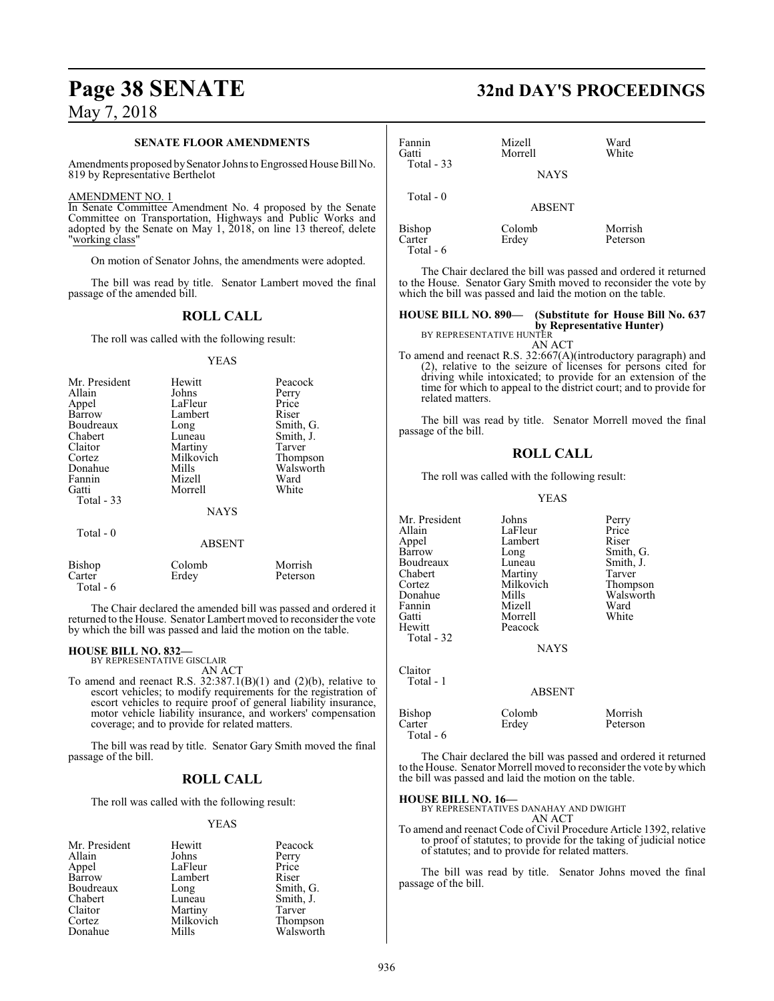#### **SENATE FLOOR AMENDMENTS**

Amendments proposed bySenator Johns to Engrossed House Bill No. 819 by Representative Berthelot

#### AMENDMENT NO. 1

In Senate Committee Amendment No. 4 proposed by the Senate Committee on Transportation, Highways and Public Works and adopted by the Senate on May 1, 2018, on line 13 thereof, delete "working class"

On motion of Senator Johns, the amendments were adopted.

The bill was read by title. Senator Lambert moved the final passage of the amended bill.

#### **ROLL CALL**

The roll was called with the following result:

#### YEAS

| Mr. President | Hewitt        | Peacock   |
|---------------|---------------|-----------|
| Allain        | Johns         | Perry     |
| Appel         | LaFleur       | Price     |
| Barrow        | Lambert       | Riser     |
| Boudreaux     | Long          | Smith, G. |
| Chabert       | Luneau        | Smith, J. |
| Claitor       | Martiny       | Tarver    |
| Cortez        | Milkovich     | Thompson  |
| Donahue       | Mills         | Walsworth |
| Fannin        | Mizell        | Ward      |
| Gatti         | Morrell       | White     |
| Total - 33    | <b>NAYS</b>   |           |
| Total - 0     | <b>ABSENT</b> |           |
| Bishop        | Colomb        | Morrish   |
| Carter        | Erdey         | Peterson  |

The Chair declared the amended bill was passed and ordered it returned to the House. Senator Lambert moved to reconsider the vote by which the bill was passed and laid the motion on the table.

#### **HOUSE BILL NO. 832—** BY REPRESENTATIVE GISCLAIR

Total - 6

AN ACT

To amend and reenact R.S.  $32:387.1(B)(1)$  and  $(2)(b)$ , relative to escort vehicles; to modify requirements for the registration of escort vehicles to require proof of general liability insurance, motor vehicle liability insurance, and workers' compensation coverage; and to provide for related matters.

The bill was read by title. Senator Gary Smith moved the final passage of the bill.

#### **ROLL CALL**

The roll was called with the following result:

#### YEAS

| Mr. President | Hewitt    | Peacock   |
|---------------|-----------|-----------|
| Allain        | Johns     | Perry     |
| Appel         | LaFleur   | Price     |
| Barrow        | Lambert   | Riser     |
| Boudreaux     | Long      | Smith, G. |
| Chabert       | Luneau    | Smith, J. |
| Claitor       | Martiny   | Tarver    |
| Cortez        | Milkovich | Thompson  |
| Donahue       | Mills     | Walsworth |

## **Page 38 SENATE 32nd DAY'S PROCEEDINGS**

| Fannin<br>Gatti<br>Total $-33$       | Mizell<br>Morrell | Ward<br>White       |
|--------------------------------------|-------------------|---------------------|
|                                      | <b>NAYS</b>       |                     |
| Total $-0$                           | <b>ABSENT</b>     |                     |
| <b>Bishop</b><br>Carter<br>Total - 6 | Colomb<br>Erdey   | Morrish<br>Peterson |

The Chair declared the bill was passed and ordered it returned to the House. Senator Gary Smith moved to reconsider the vote by which the bill was passed and laid the motion on the table.

#### **HOUSE BILL NO. 890— (Substitute for House Bill No. 637 by Representative Hunter)**

BY REPRESENTATIVE HUNTER

AN ACT To amend and reenact R.S. 32:667(A)(introductory paragraph) and (2), relative to the seizure of licenses for persons cited for driving while intoxicated; to provide for an extension of the time for which to appeal to the district court; and to provide for related matters.

The bill was read by title. Senator Morrell moved the final passage of the bill.

#### **ROLL CALL**

The roll was called with the following result:

#### YEAS

| Mr. President<br>Allain<br>Appel<br><b>Barrow</b><br>Boudreaux<br>Chabert<br>Cortez<br>Donahue<br>Fannin<br>Gatti<br>Hewitt<br>Total - 32 | Johns<br>LaFleur<br>Lambert<br>Long<br>Luneau<br>Martiny<br>Milkovich<br>Mills<br>Mizell<br>Morrell<br>Peacock<br><b>NAYS</b> | Perry<br>Price<br>Riser<br>Smith, G.<br>Smith, J.<br>Tarver<br>Thompson<br>Walsworth<br>Ward<br>White |
|-------------------------------------------------------------------------------------------------------------------------------------------|-------------------------------------------------------------------------------------------------------------------------------|-------------------------------------------------------------------------------------------------------|
| Claitor<br>Total - 1                                                                                                                      | <b>ABSENT</b>                                                                                                                 |                                                                                                       |
| Bishop<br>Carter<br>Total - 6                                                                                                             | Colomb<br>Erdey                                                                                                               | Morrish<br>Peterson                                                                                   |

The Chair declared the bill was passed and ordered it returned to the House. Senator Morrell moved to reconsider the vote bywhich the bill was passed and laid the motion on the table.

**HOUSE BILL NO. 16—** BY REPRESENTATIVES DANAHAY AND DWIGHT

AN ACT To amend and reenact Code of Civil Procedure Article 1392, relative to proof of statutes; to provide for the taking of judicial notice of statutes; and to provide for related matters.

The bill was read by title. Senator Johns moved the final passage of the bill.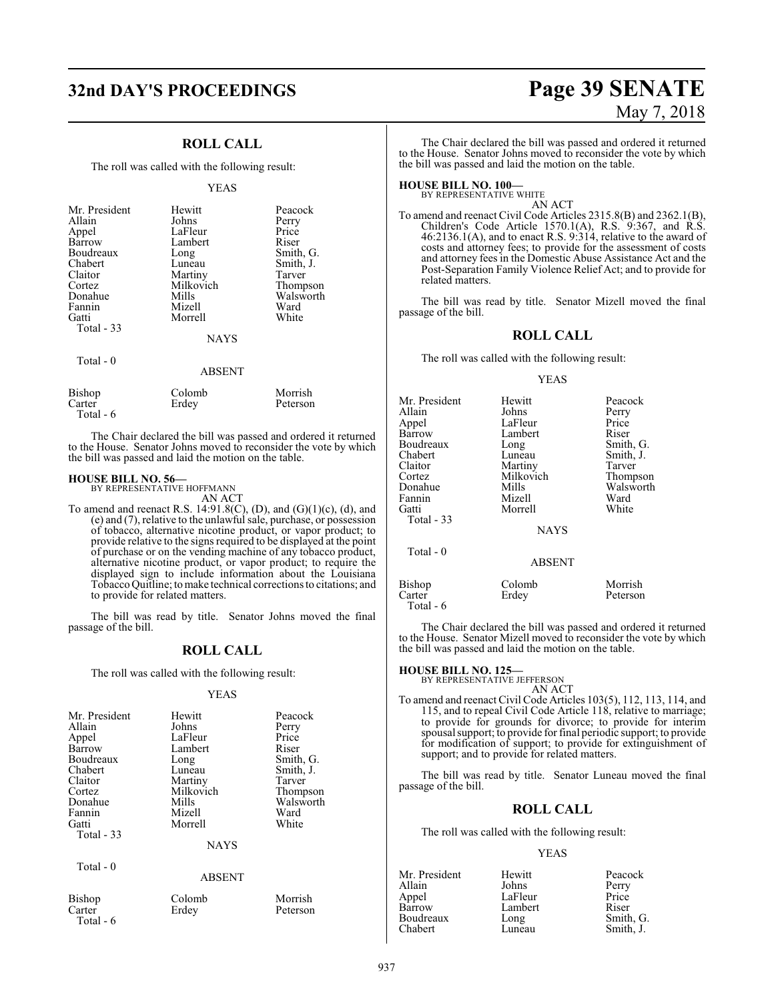### **ROLL CALL**

The roll was called with the following result:

#### YEAS

| Mr. President<br>Allain<br>Appel<br>Barrow<br>Boudreaux<br>Chabert<br>Claitor<br>Cortez<br>Donahue<br>Fannin<br>Gatti<br>Total - 33 | Hewitt<br>Johns<br>LaFleur<br>Lambert<br>Long<br>Luneau<br>Martiny<br>Milkovich<br>Mills<br>Mizell<br>Morrell<br><b>NAYS</b> | Peacock<br>Perry<br>Price<br>Riser<br>Smith, G.<br>Smith, J.<br>Tarver<br>Thompson<br>Walsworth<br>Ward<br>White |
|-------------------------------------------------------------------------------------------------------------------------------------|------------------------------------------------------------------------------------------------------------------------------|------------------------------------------------------------------------------------------------------------------|
| $Total - 0$                                                                                                                         | <b>ABSENT</b>                                                                                                                |                                                                                                                  |

| Bishop    | Colomb | Morrish  |
|-----------|--------|----------|
| Carter    | Erdey  | Peterson |
| Total - 6 |        |          |

The Chair declared the bill was passed and ordered it returned to the House. Senator Johns moved to reconsider the vote by which the bill was passed and laid the motion on the table.

**HOUSE BILL NO. 56—** BY REPRESENTATIVE HOFFMANN AN ACT

To amend and reenact R.S. 14:91.8(C), (D), and  $(G)(1)(c)$ , (d), and (e) and (7), relative to the unlawful sale, purchase, or possession of tobacco, alternative nicotine product, or vapor product; to provide relative to the signs required to be displayed at the point of purchase or on the vending machine of any tobacco product, alternative nicotine product, or vapor product; to require the displayed sign to include information about the Louisiana TobaccoQuitline; tomake technical corrections to citations; and to provide for related matters.

The bill was read by title. Senator Johns moved the final passage of the bill.

#### **ROLL CALL**

The roll was called with the following result:

#### YEAS

| Mr. President<br>Allain<br>Appel<br>Barrow<br>Boudreaux<br>Chabert<br>Claitor<br>Cortez<br>Donahue<br>Fannin<br>Gatti<br>Total $-33$ | Hewitt<br>Johns<br>LaFleur<br>Lambert<br>Long<br>Luneau<br>Martiny<br>Milkovich<br>Mills<br>Mizell<br>Morrell<br><b>NAYS</b> | Peacock<br>Perry<br>Price<br>Riser<br>Smith, G.<br>Smith, J.<br>Tarver<br>Thompson<br>Walsworth<br>Ward<br>White |
|--------------------------------------------------------------------------------------------------------------------------------------|------------------------------------------------------------------------------------------------------------------------------|------------------------------------------------------------------------------------------------------------------|
|                                                                                                                                      |                                                                                                                              |                                                                                                                  |
| Total - 0                                                                                                                            | ABSENT                                                                                                                       |                                                                                                                  |

| Bishop    |  |
|-----------|--|
| Carter    |  |
| Total - 6 |  |

| Colo |
|------|
| Erde |
|      |

external comb Morrish ey Peterson

# **32nd DAY'S PROCEEDINGS Page 39 SENATE** May 7, 2018

The Chair declared the bill was passed and ordered it returned to the House. Senator Johns moved to reconsider the vote by which the bill was passed and laid the motion on the table.

## **HOUSE BILL NO. 100—** BY REPRESENTATIVE WHITE

AN ACT

To amend and reenact Civil Code Articles 2315.8(B) and 2362.1(B), Children's Code Article 1570.1(A), R.S. 9:367, and R.S. 46:2136.1(A), and to enact R.S. 9:314, relative to the award of costs and attorney fees; to provide for the assessment of costs and attorney fees in the Domestic Abuse Assistance Act and the Post-Separation Family Violence Relief Act; and to provide for related matters.

The bill was read by title. Senator Mizell moved the final passage of the bill.

#### **ROLL CALL**

The roll was called with the following result:

#### YEAS

| Mr. President<br>Allain<br>Appel<br>Barrow<br>Boudreaux<br>Chabert<br>Claitor<br>Cortez<br>Donahue<br>Fannin<br>Gatti<br>Total $-33$ | Hewitt<br>Johns<br>LaFleur<br>Lambert<br>Long<br>Luneau<br>Martiny<br>Milkovich<br>Mills<br>Mizell<br>Morrell<br><b>NAYS</b> | Peacock<br>Perry<br>Price<br>Riser<br>Smith, G.<br>Smith, J.<br>Tarver<br>Thompson<br>Walsworth<br>Ward<br>White |
|--------------------------------------------------------------------------------------------------------------------------------------|------------------------------------------------------------------------------------------------------------------------------|------------------------------------------------------------------------------------------------------------------|
| Total $-0$                                                                                                                           | <b>ABSENT</b>                                                                                                                |                                                                                                                  |
| Bishop<br>Carter                                                                                                                     | Colomb<br>Erdey                                                                                                              | Morrish<br>Peterson                                                                                              |

The Chair declared the bill was passed and ordered it returned to the House. Senator Mizell moved to reconsider the vote by which the bill was passed and laid the motion on the table.

#### **HOUSE BILL NO. 125—**

Total - 6

BY REPRESENTATIVE JEFFERSON

#### AN ACT

To amend and reenact Civil Code Articles 103(5), 112, 113, 114, and 115, and to repeal Civil Code Article 118, relative to marriage; to provide for grounds for divorce; to provide for interim spousal support; to provide for final periodic support; to provide for modification of support; to provide for extinguishment of support; and to provide for related matters.

The bill was read by title. Senator Luneau moved the final passage of the bill.

#### **ROLL CALL**

The roll was called with the following result:

#### YEAS

| Mr. President | Hewitt  | Peacock   |
|---------------|---------|-----------|
| Allain        | Johns   | Perry     |
| Appel         | LaFleur | Price     |
| Barrow        | Lambert | Riser     |
| Boudreaux     | Long    | Smith, G. |
| Chabert       | Luneau  | Smith, J. |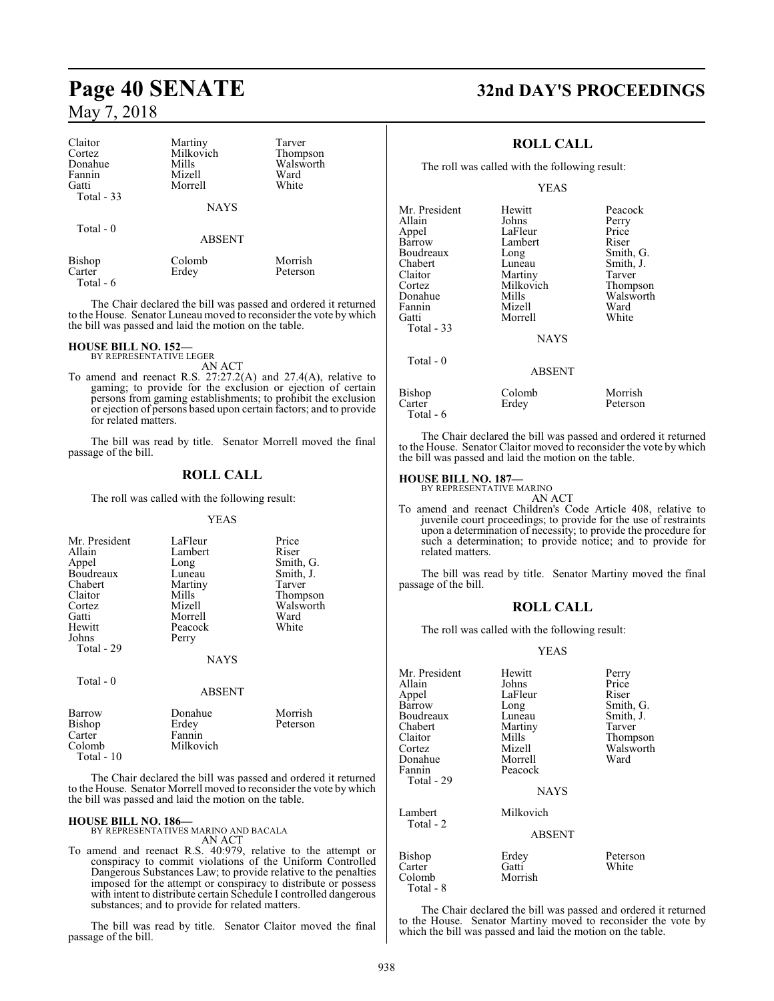| Claitor<br>Cortez<br>Donahue<br>Fannin<br>Gatti<br>Total - 33 | Martiny<br>Milkovich<br>Mills<br>Mizell<br>Morrell<br><b>NAYS</b> | Tarver<br>Thompson<br>Walsworth<br>Ward<br>White |
|---------------------------------------------------------------|-------------------------------------------------------------------|--------------------------------------------------|
| Total $-0$                                                    | <b>ABSENT</b>                                                     |                                                  |
| Bishop<br>Carter                                              | Colomb<br>Erdey                                                   | Morrish<br>Peterson                              |

Total - 6

The Chair declared the bill was passed and ordered it returned to the House. Senator Luneau moved to reconsider the vote by which the bill was passed and laid the motion on the table.

#### **HOUSE BILL NO. 152—**

BY REPRESENTATIVE LEGER AN ACT

To amend and reenact R.S. 27:27.2(A) and 27.4(A), relative to gaming; to provide for the exclusion or ejection of certain persons from gaming establishments; to prohibit the exclusion or ejection of persons based upon certain factors; and to provide for related matters.

The bill was read by title. Senator Morrell moved the final passage of the bill.

#### **ROLL CALL**

The roll was called with the following result:

#### YEAS

| Mr. President | LaFleur       | Price     |
|---------------|---------------|-----------|
| Allain        | Lambert       | Riser     |
| Appel         | Long          | Smith, G. |
| Boudreaux     | Luneau        | Smith, J. |
| Chabert       | Martiny       | Tarver    |
| Claitor       | Mills         | Thompson  |
| Cortez        | Mizell        | Walsworth |
| Gatti         | Morrell       | Ward      |
| Hewitt        | Peacock       | White     |
| Johns         | Perry         |           |
| Total - 29    |               |           |
|               | <b>NAYS</b>   |           |
|               |               |           |
| Total - 0     |               |           |
|               | <b>ABSENT</b> |           |
| Barrow        | Donahue       | Morrish   |
| <b>Bishop</b> | Erdey         | Peterson  |
| Carter        | Fannin        |           |
| Colomb        | Milkovich     |           |

The Chair declared the bill was passed and ordered it returned to the House. Senator Morrell moved to reconsider the vote by which the bill was passed and laid the motion on the table.

Total - 10

**HOUSE BILL NO. 186—** BY REPRESENTATIVES MARINO AND BACALA AN ACT

To amend and reenact R.S. 40:979, relative to the attempt or conspiracy to commit violations of the Uniform Controlled Dangerous Substances Law; to provide relative to the penalties imposed for the attempt or conspiracy to distribute or possess with intent to distribute certain Schedule I controlled dangerous substances; and to provide for related matters.

The bill was read by title. Senator Claitor moved the final passage of the bill.

## **Page 40 SENATE 32nd DAY'S PROCEEDINGS**

#### **ROLL CALL**

The roll was called with the following result:

YEAS

| Mr. President | Hewitt        | Peacock   |
|---------------|---------------|-----------|
|               |               |           |
| Allain        | Johns         | Perry     |
| Appel         | LaFleur       | Price     |
| <b>Barrow</b> | Lambert       | Riser     |
| Boudreaux     | Long          | Smith, G. |
| Chabert       | Luneau        | Smith, J. |
| Claitor       | Martiny       | Tarver    |
| Cortez        | Milkovich     | Thompson  |
| Donahue       | Mills         | Walsworth |
| Fannin        | Mizell        | Ward      |
| Gatti         | Morrell       | White     |
| Total - 33    |               |           |
|               | <b>NAYS</b>   |           |
| Total $-0$    |               |           |
|               | <b>ABSENT</b> |           |
| Bishop        | Colomb        | Morrish   |
| Carter        | Erdey         | Peterson  |
|               |               |           |

Total - 6

The Chair declared the bill was passed and ordered it returned to the House. Senator Claitor moved to reconsider the vote by which the bill was passed and laid the motion on the table.

#### **HOUSE BILL NO. 187—**

BY REPRESENTATIVE MARINO AN ACT

To amend and reenact Children's Code Article 408, relative to juvenile court proceedings; to provide for the use of restraints upon a determination of necessity; to provide the procedure for such a determination; to provide notice; and to provide for related matters.

The bill was read by title. Senator Martiny moved the final passage of the bill.

#### **ROLL CALL**

The roll was called with the following result:

#### YEAS

| Mr. President | Hewitt        | Perry     |
|---------------|---------------|-----------|
| Allain        | Johns         | Price     |
| Appel         | LaFleur       | Riser     |
| Barrow        | Long          | Smith, G. |
| Boudreaux     | Luneau        | Smith, J. |
| Chabert       | Martiny       | Tarver    |
| Claitor       | Mills         | Thompson  |
| Cortez        | Mizell        | Walsworth |
| Donahue       | Morrell       | Ward      |
| Fannin        | Peacock       |           |
| Total - 29    |               |           |
|               | <b>NAYS</b>   |           |
| Lambert       | Milkovich     |           |
| Total - 2     | <b>ABSENT</b> |           |
|               |               |           |
| Bishop        | Erdey         | Peterson  |
| Carter        | Gatti         | White     |
| Colomb        | Morrish       |           |

The Chair declared the bill was passed and ordered it returned to the House. Senator Martiny moved to reconsider the vote by which the bill was passed and laid the motion on the table.

Total - 8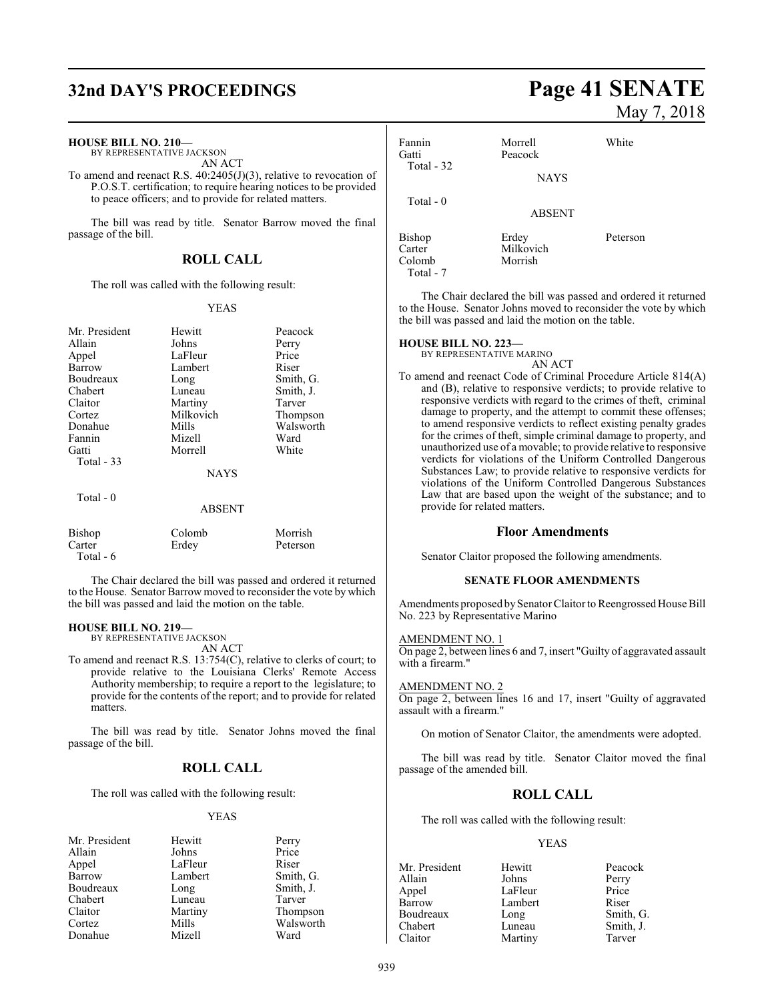## **32nd DAY'S PROCEEDINGS Page 41 SENATE**

#### **HOUSE BILL NO. 210—**

BY REPRESENTATIVE JACKSON AN ACT

To amend and reenact R.S. 40:2405(J)(3), relative to revocation of P.O.S.T. certification; to require hearing notices to be provided to peace officers; and to provide for related matters.

The bill was read by title. Senator Barrow moved the final passage of the bill.

#### **ROLL CALL**

The roll was called with the following result:

#### YEAS

| Mr. President     | Hewitt      | Peacock   |
|-------------------|-------------|-----------|
| Allain            | Johns       | Perry     |
| Appel             | LaFleur     | Price     |
| Barrow            | Lambert     | Riser     |
| Boudreaux         | Long        | Smith, G. |
| Chabert           | Luneau      | Smith, J. |
| Claitor           | Martiny     | Tarver    |
| Cortez            | Milkovich   | Thompson  |
| Donahue           | Mills       | Walsworth |
| Fannin            | Mizell      | Ward      |
| Gatti             | Morrell     | White     |
| <b>Total - 33</b> |             |           |
|                   | <b>NAYS</b> |           |
| Total $-0$        |             |           |
|                   | ABSENT      |           |
| Bishop            | Colomb      | Morrish   |
| Carter            | Erdey       | Peterson  |
| Total - 6         |             |           |

The Chair declared the bill was passed and ordered it returned to the House. Senator Barrow moved to reconsider the vote by which the bill was passed and laid the motion on the table.

#### **HOUSE BILL NO. 219—**

BY REPRESENTATIVE JACKSON

AN ACT

To amend and reenact R.S. 13:754(C), relative to clerks of court; to provide relative to the Louisiana Clerks' Remote Access Authority membership; to require a report to the legislature; to provide for the contents of the report; and to provide for related matters.

The bill was read by title. Senator Johns moved the final passage of the bill.

#### **ROLL CALL**

The roll was called with the following result:

#### YEAS

| Mr. President | Hewitt  | Perry |
|---------------|---------|-------|
| Allain        | Johns   | Price |
| Appel         | LaFleur | Riser |
| Barrow        | Lambert | Smith |
| Boudreaux     | Long    | Smith |
| Chabert       | Luneau  | Tarve |
| Claitor       | Martiny | Thom  |
| Cortez        | Mills   | Walsy |
| Donahue       | Mizell  | Ward  |
|               |         |       |

ambert Smith, G. bought Smith, J. uneau Tarver<br>Charles Thomp Experiment School of Thompson<br>Contains Martin Walsworth Walsworth

# May 7, 2018

| Fannin<br>Gatti<br>Total - 32 | Morrell<br>Peacock<br><b>NAYS</b> | White    |
|-------------------------------|-----------------------------------|----------|
| Total $-0$                    | <b>ABSENT</b>                     |          |
| Bishop<br>Carter<br>Colomb    | Erdey<br>Milkovich<br>Morrish     | Peterson |

The Chair declared the bill was passed and ordered it returned to the House. Senator Johns moved to reconsider the vote by which the bill was passed and laid the motion on the table.

#### **HOUSE BILL NO. 223—**

Total - 7

BY REPRESENTATIVE MARINO AN ACT

To amend and reenact Code of Criminal Procedure Article 814(A) and (B), relative to responsive verdicts; to provide relative to responsive verdicts with regard to the crimes of theft, criminal damage to property, and the attempt to commit these offenses; to amend responsive verdicts to reflect existing penalty grades for the crimes of theft, simple criminal damage to property, and unauthorized use of a movable; to provide relative to responsive verdicts for violations of the Uniform Controlled Dangerous Substances Law; to provide relative to responsive verdicts for violations of the Uniform Controlled Dangerous Substances Law that are based upon the weight of the substance; and to provide for related matters.

#### **Floor Amendments**

Senator Claitor proposed the following amendments.

#### **SENATE FLOOR AMENDMENTS**

Amendments proposed bySenator Claitor to Reengrossed House Bill No. 223 by Representative Marino

#### AMENDMENT NO. 1

On page 2, between lines 6 and 7, insert "Guilty of aggravated assault with a firearm."

#### AMENDMENT NO. 2

On page 2, between lines 16 and 17, insert "Guilty of aggravated assault with a firearm."

On motion of Senator Claitor, the amendments were adopted.

The bill was read by title. Senator Claitor moved the final passage of the amended bill.

#### **ROLL CALL**

The roll was called with the following result:

#### YEAS

Mr. President Hewitt Peacock Allain Johns Perry<br>
Appel LaFleur Price Appel LaFleur<br>Barrow Lambert Lambert Riser<br>
Long Smith, G. Boudreaux Chabert Luneau Smith, J.<br>Claitor Martiny Tarver Martiny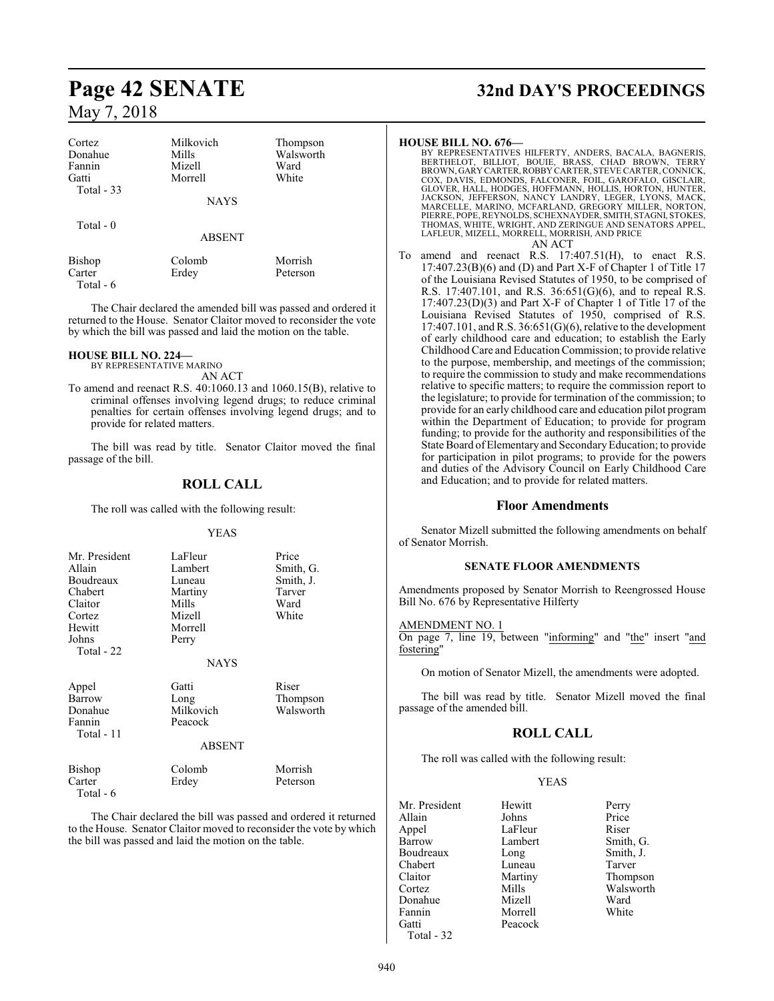| Cortez<br>Donahue<br>Fannin<br>Gatti<br>Total $-33$ | Milkovich<br>Mills<br>Mizell<br>Morrell | Thompson<br>Walsworth<br>Ward<br>White |
|-----------------------------------------------------|-----------------------------------------|----------------------------------------|
|                                                     | <b>NAYS</b>                             |                                        |
| Total $-0$                                          | <b>ABSENT</b>                           |                                        |
| <b>Bishop</b><br>Carter<br>Total $-6$               | Colomb<br>Erdey                         | Morrish<br>Peterson                    |

The Chair declared the amended bill was passed and ordered it returned to the House. Senator Claitor moved to reconsider the vote by which the bill was passed and laid the motion on the table.

#### **HOUSE BILL NO. 224—**

Total - 6

BY REPRESENTATIVE MARINO AN ACT

To amend and reenact R.S. 40:1060.13 and 1060.15(B), relative to criminal offenses involving legend drugs; to reduce criminal penalties for certain offenses involving legend drugs; and to provide for related matters.

The bill was read by title. Senator Claitor moved the final passage of the bill.

#### **ROLL CALL**

The roll was called with the following result:

#### YEAS

| Mr. President<br>Allain<br>Boudreaux<br>Chabert<br>Claitor<br>Cortez<br>Hewitt<br>Johns<br>Total - 22 | LaFleur<br>Lambert<br>Luneau<br>Martiny<br>Mills<br>Mizell<br>Morrell<br>Perry<br><b>NAYS</b> | Price<br>Smith, G.<br>Smith, J.<br>Tarver<br>Ward<br>White |
|-------------------------------------------------------------------------------------------------------|-----------------------------------------------------------------------------------------------|------------------------------------------------------------|
| Appel<br>Barrow<br>Donahue<br>Fannin<br>Total - 11                                                    | Gatti<br>Long<br>Milkovich<br>Peacock<br><b>ABSENT</b>                                        | Riser<br>Thompson<br>Walsworth                             |
| Bishop<br>Carter                                                                                      | Colomb<br>Erdey                                                                               | Morrish<br>Peterson                                        |

The Chair declared the bill was passed and ordered it returned to the House. Senator Claitor moved to reconsider the vote by which the bill was passed and laid the motion on the table.

## **Page 42 SENATE 32nd DAY'S PROCEEDINGS**

#### **HOUSE BILL NO. 676—**

- BY REPRESENTATIVES HILFERTY, ANDERS, BACALA, BAGNERIS,<br>BERTHELOT, BILLIOT, BOUIE, BRASS, CHAD BROWN, TERRY<br>BROWN,GARY CARTER,ROBBY CARTER,STEVE CARTER,CONNICK,<br>COX, DAVIS, EDMONDS, FALCONER, FOIL, GAROFALO, GISCLAIR,<br>GLOVE PIERRE, POPE,REYNOLDS, SCHEXNAYDER, SMITH, STAGNI, STOKES, THOMAS, WHITE, WRIGHT, AND ZERINGUE AND SENATORS APPEL, LAFLEUR, MIZELL, MORRELL, MORRISH, AND PRICE AN ACT
- To amend and reenact R.S. 17:407.51(H), to enact R.S.  $17:407.23(B)(6)$  and (D) and Part X-F of Chapter 1 of Title 17 of the Louisiana Revised Statutes of 1950, to be comprised of R.S. 17:407.101, and R.S. 36:651(G)(6), and to repeal R.S. 17:407.23(D)(3) and Part X-F of Chapter 1 of Title 17 of the Louisiana Revised Statutes of 1950, comprised of R.S. 17:407.101, and R.S. 36:651(G)(6), relative to the development of early childhood care and education; to establish the Early Childhood Care and EducationCommission; to provide relative to the purpose, membership, and meetings of the commission; to require the commission to study and make recommendations relative to specific matters; to require the commission report to the legislature; to provide for termination of the commission; to provide for an early childhood care and education pilot program within the Department of Education; to provide for program funding; to provide for the authority and responsibilities of the State Board of Elementary and Secondary Education; to provide for participation in pilot programs; to provide for the powers and duties of the Advisory Council on Early Childhood Care and Education; and to provide for related matters.

#### **Floor Amendments**

Senator Mizell submitted the following amendments on behalf of Senator Morrish.

#### **SENATE FLOOR AMENDMENTS**

Amendments proposed by Senator Morrish to Reengrossed House Bill No. 676 by Representative Hilferty

#### AMENDMENT NO. 1

On page 7, line 19, between "informing" and "the" insert "and fostering"

On motion of Senator Mizell, the amendments were adopted.

The bill was read by title. Senator Mizell moved the final passage of the amended bill.

#### **ROLL CALL**

The roll was called with the following result:

#### YEAS

| Mr. President | Hewitt  | Perry     |
|---------------|---------|-----------|
| Allain        | Johns   | Price     |
|               |         |           |
| Appel         | LaFleur | Riser     |
| Barrow        | Lambert | Smith, G. |
| Boudreaux     | Long    | Smith, J. |
| Chabert       | Luneau  | Tarver    |
| Claitor       | Martiny | Thompson  |
| Cortez        | Mills   | Walsworth |
| Donahue       | Mizell  | Ward      |
| Fannin        | Morrell | White     |
| Gatti         | Peacock |           |
| $Total - 32$  |         |           |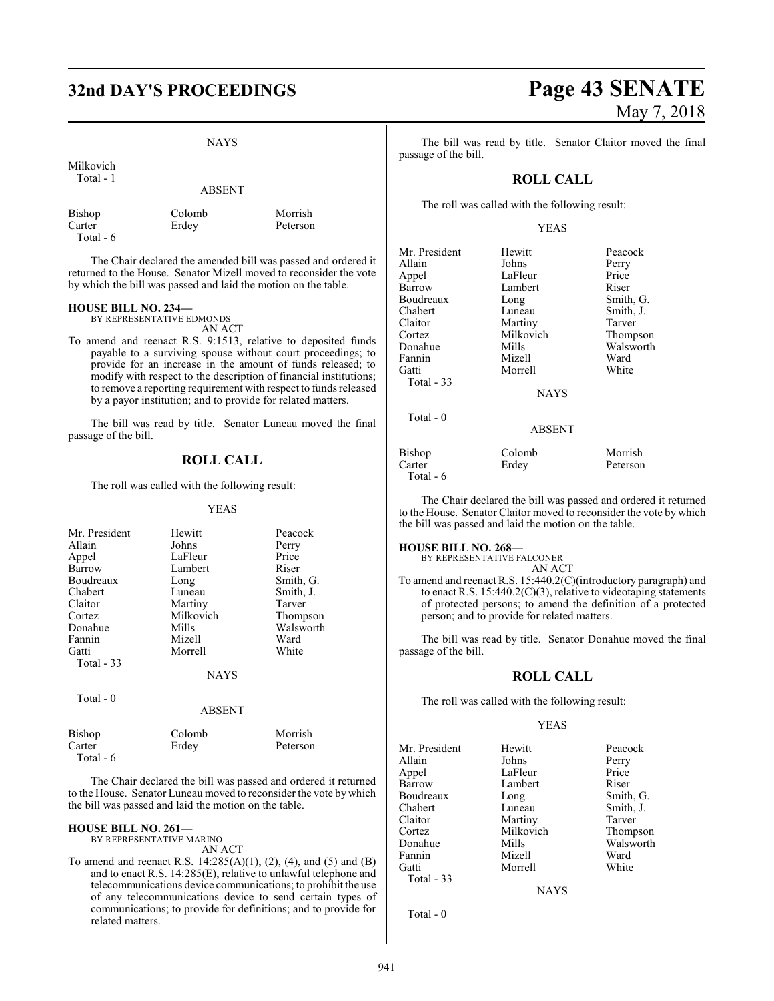#### NAYS

Milkovich Total - 1

#### ABSENT

| Bishop    | Colomb |
|-----------|--------|
| Carter    | Erdey  |
| Total - 6 |        |

b Morrish

Peterson

The Chair declared the amended bill was passed and ordered it returned to the House. Senator Mizell moved to reconsider the vote by which the bill was passed and laid the motion on the table.

#### **HOUSE BILL NO. 234—**

BY REPRESENTATIVE EDMONDS AN ACT

To amend and reenact R.S. 9:1513, relative to deposited funds payable to a surviving spouse without court proceedings; to provide for an increase in the amount of funds released; to modify with respect to the description of financial institutions; to remove a reporting requirement with respect to funds released by a payor institution; and to provide for related matters.

The bill was read by title. Senator Luneau moved the final passage of the bill.

#### **ROLL CALL**

The roll was called with the following result:

#### YEAS

| Mr. President | Hewitt        | Peacock   |
|---------------|---------------|-----------|
| Allain        | Johns         | Perry     |
| Appel         | LaFleur       | Price     |
| Barrow        | Lambert       | Riser     |
| Boudreaux     | Long          | Smith, G. |
| Chabert       | Luneau        | Smith, J. |
| Claitor       | Martiny       | Tarver    |
| Cortez        | Milkovich     | Thompson  |
| Donahue       | Mills         | Walsworth |
| Fannin        | Mizell        | Ward      |
| Gatti         | Morrell       | White     |
| Total $-33$   |               |           |
|               | <b>NAYS</b>   |           |
| Total $-0$    |               |           |
|               | <b>ABSENT</b> |           |
| Bishop        | Colomb        | Morrish   |

| The Chair declared the bill was passed and ordered it returned     |
|--------------------------------------------------------------------|
| to the House. Senator Luneau moved to reconsider the vote by which |
| the bill was passed and laid the motion on the table.              |

#### **HOUSE BILL NO. 261—**

Total - 6

BY REPRESENTATIVE MARINO AN ACT

Carter Erdey Peterson

To amend and reenact R.S. 14:285(A)(1), (2), (4), and (5) and (B) and to enact R.S. 14:285(E), relative to unlawful telephone and telecommunications device communications; to prohibit the use of any telecommunications device to send certain types of communications; to provide for definitions; and to provide for related matters.

The bill was read by title. Senator Claitor moved the final passage of the bill.

#### **ROLL CALL**

The roll was called with the following result:

#### YEAS

| Mr. President | Hewitt        | Peacock   |
|---------------|---------------|-----------|
| Allain        | Johns         | Perry     |
| Appel         | LaFleur       | Price     |
| Barrow        | Lambert       | Riser     |
| Boudreaux     | Long          | Smith, G. |
| Chabert       | Luneau        | Smith, J. |
| Claitor       | Martiny       | Tarver    |
| Cortez        | Milkovich     | Thompson  |
| Donahue       | Mills         | Walsworth |
| Fannin        | Mizell        | Ward      |
| Gatti         | Morrell       | White     |
| Total - 33    |               |           |
|               | <b>NAYS</b>   |           |
| Total $-0$    |               |           |
|               | <b>ABSENT</b> |           |
| Bishop        | Colomb        | Morrish   |
| Carter        | Erdey         | Peterson  |
| Total - 6     |               |           |

The Chair declared the bill was passed and ordered it returned to the House. Senator Claitor moved to reconsider the vote by which the bill was passed and laid the motion on the table.

#### **HOUSE BILL NO. 268—**

BY REPRESENTATIVE FALCONER

AN ACT To amend and reenact R.S. 15:440.2(C)(introductory paragraph) and to enact R.S. 15:440.2(C)(3), relative to videotaping statements of protected persons; to amend the definition of a protected person; and to provide for related matters.

The bill was read by title. Senator Donahue moved the final passage of the bill.

#### **ROLL CALL**

The roll was called with the following result:

#### YEAS

Mr. President Hewitt Peacock<br>Allain Johns Perry Allain Johns Perry Appel LaFleur Price<br>
Barrow Lambert Riser Boudreaux Long<br>
Chabert Luneau Chabert Luneau Smith, J.<br>
Claitor Martiny Tarver Claitor Martiny<br>Cortez Milkovich Cortez Milkovich Thompson Fannin Mizell Ward<br>Gatti Morrell White Morrell Total - 33

Lambert Riser<br>
Long Smith, G. Mills Walsworth<br>
Nizell Ward

NAYS

Total - 0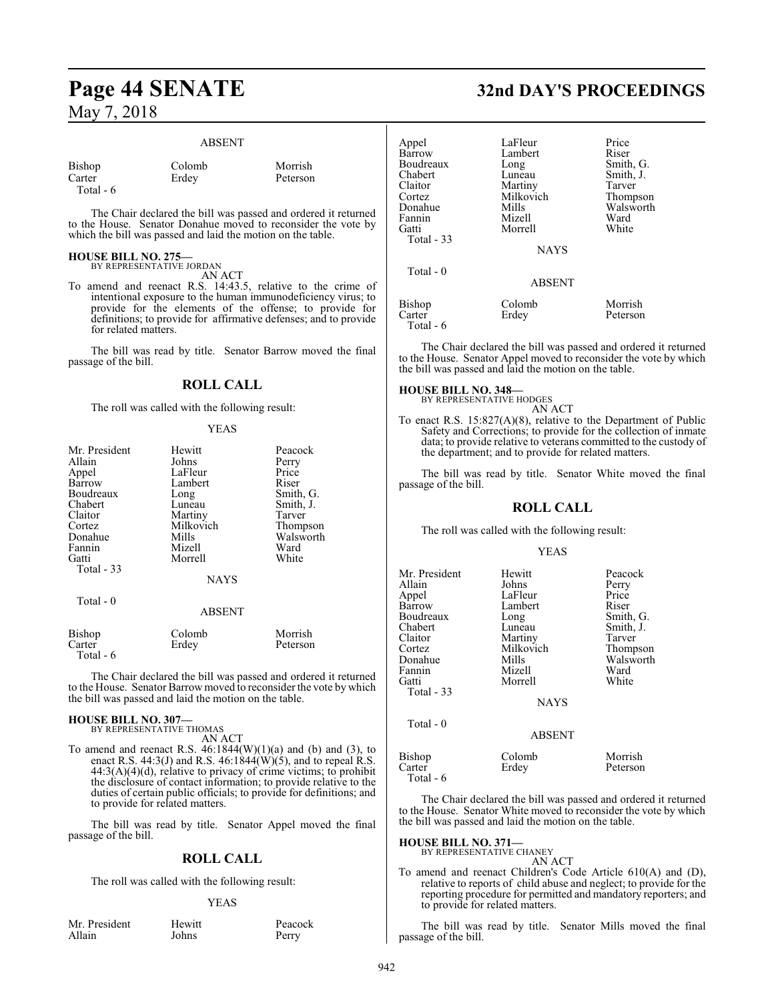#### ABSENT

| Bishop    | Colomb | Morrish  |
|-----------|--------|----------|
| Carter    | Erdey  | Peterson |
| Total - 6 |        |          |

The Chair declared the bill was passed and ordered it returned to the House. Senator Donahue moved to reconsider the vote by which the bill was passed and laid the motion on the table.

#### **HOUSE BILL NO. 275—** BY REPRESENTATIVE JORDAN

AN ACT

To amend and reenact R.S. 14:43.5, relative to the crime of intentional exposure to the human immunodeficiency virus; to provide for the elements of the offense; to provide for definitions; to provide for affirmative defenses; and to provide for related matters.

The bill was read by title. Senator Barrow moved the final passage of the bill.

#### **ROLL CALL**

The roll was called with the following result:

#### YEAS

| Mr. President       | Hewitt        | Peacock   |
|---------------------|---------------|-----------|
| Allain              | Johns         | Perry     |
| Appel               | LaFleur       | Price     |
| Barrow              | Lambert       | Riser     |
| Boudreaux           | Long          | Smith, G. |
| Chabert             | Luneau        | Smith, J. |
| Claitor             | Martiny       | Tarver    |
| Cortez              | Milkovich     | Thompson  |
| Donahue             | Mills         | Walsworth |
| Fannin              | Mizell        | Ward      |
| Gatti               | Morrell       | White     |
| Total $-33$         |               |           |
|                     | <b>NAYS</b>   |           |
| Total - 0           |               |           |
|                     | <b>ABSENT</b> |           |
| Bishop              | Colomb        | Morrish   |
| Carter<br>Total - 6 | Erdey         | Peterson  |

The Chair declared the bill was passed and ordered it returned to the House. Senator Barrow moved to reconsider the vote by which the bill was passed and laid the motion on the table.

#### **HOUSE BILL NO. 307—** BY REPRESENTATIVE THOMAS

AN ACT

To amend and reenact R.S.  $46:1844(W)(1)(a)$  and (b) and (3), to enact R.S. 44:3(J) and R.S. 46:1844( $\dot{W}$ )(5), and to repeal R.S.  $44:3(A)(4)(d)$ , relative to privacy of crime victims; to prohibit the disclosure of contact information; to provide relative to the duties of certain public officials; to provide for definitions; and to provide for related matters.

The bill was read by title. Senator Appel moved the final passage of the bill.

#### **ROLL CALL**

The roll was called with the following result:

#### **YEAS**

Peacock Perry

| Mr. President | Hewitt |
|---------------|--------|
| Allain        | Johns  |

## **Page 44 SENATE 32nd DAY'S PROCEEDINGS**

| Appel<br>Barrow<br>Boudreaux<br>Chabert<br>Claitor<br>Cortez<br>Donahue<br>Fannin<br>Gatti<br>Total $-33$<br>Total $-0$ | LaFleur<br>Lambert<br>Long<br>Luneau<br>Martiny<br>Milkovich<br>Mills<br>Mizell<br>Morrell<br><b>NAYS</b> | Price<br>Riser<br>Smith, G.<br>Smith, J.<br>Tarver<br>Thompson<br>Walsworth<br>Ward<br>White |
|-------------------------------------------------------------------------------------------------------------------------|-----------------------------------------------------------------------------------------------------------|----------------------------------------------------------------------------------------------|
|                                                                                                                         | <b>ABSENT</b>                                                                                             |                                                                                              |
| Bishop<br>Carter<br>Total - 6                                                                                           | Colomb<br>Erdey                                                                                           | Morrish<br>Peterson                                                                          |

The Chair declared the bill was passed and ordered it returned to the House. Senator Appel moved to reconsider the vote by which the bill was passed and laid the motion on the table.

#### **HOUSE BILL NO. 348—**

BY REPRESENTATIVE HODGES AN ACT

To enact R.S. 15:827(A)(8), relative to the Department of Public Safety and Corrections; to provide for the collection of inmate data; to provide relative to veterans committed to the custody of the department; and to provide for related matters.

The bill was read by title. Senator White moved the final passage of the bill.

#### **ROLL CALL**

The roll was called with the following result:

#### YEAS

| Mr. President<br>Allain<br>Appel<br>Barrow<br>Boudreaux<br>Chabert<br>Claitor<br>Cortez<br>Donahue<br>Fannin | Hewitt<br>Johns<br>LaFleur<br>Lambert<br>Long<br>Luneau<br>Martiny<br>Milkovich<br>Mills<br>Mizell | Peacock<br>Perry<br>Price<br>Riser<br>Smith, G.<br>Smith, J.<br>Tarver<br>Thompson<br>Walsworth<br>Ward |
|--------------------------------------------------------------------------------------------------------------|----------------------------------------------------------------------------------------------------|---------------------------------------------------------------------------------------------------------|
|                                                                                                              |                                                                                                    |                                                                                                         |
| Gatti                                                                                                        | Morrell                                                                                            | White                                                                                                   |
| <b>Total - 33</b>                                                                                            |                                                                                                    |                                                                                                         |
|                                                                                                              | <b>NAYS</b>                                                                                        |                                                                                                         |
| Total $-0$                                                                                                   | <b>ARSENT</b>                                                                                      |                                                                                                         |

Bishop Colomb Morrish<br>Carter Erdey Petersor Peterson Total - 6

The Chair declared the bill was passed and ordered it returned to the House. Senator White moved to reconsider the vote by which the bill was passed and laid the motion on the table.

**HOUSE BILL NO. 371—** BY REPRESENTATIVE CHANEY

AN ACT To amend and reenact Children's Code Article 610(A) and (D), relative to reports of child abuse and neglect; to provide for the reporting procedure for permitted and mandatory reporters; and to provide for related matters.

The bill was read by title. Senator Mills moved the final passage of the bill.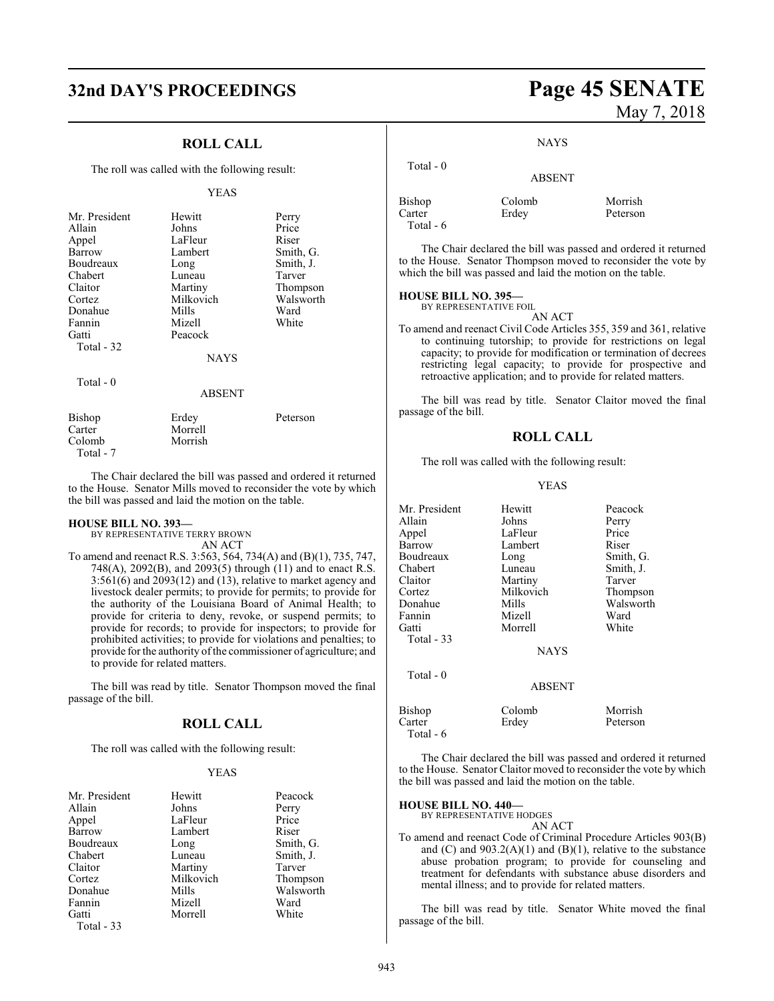## **32nd DAY'S PROCEEDINGS Page 45 SENATE**

#### **ROLL CALL**

The roll was called with the following result:

#### YEAS

| Mr. President<br>Allain<br>Appel<br>Barrow<br>Boudreaux<br>Chabert<br>Claitor<br>Cortez<br>Donahue<br>Fannin<br>Gatti | Hewitt<br>Johns<br>LaFleur<br>Lambert<br>Long<br>Luneau<br>Martiny<br>Milkovich<br>Mills<br>Mizell<br>Peacock | Perry<br>Price<br>Riser<br>Smith, G.<br>Smith, J.<br>Tarver<br>Thompson<br>Walsworth<br>Ward<br>White |
|-----------------------------------------------------------------------------------------------------------------------|---------------------------------------------------------------------------------------------------------------|-------------------------------------------------------------------------------------------------------|
| Total - 32                                                                                                            |                                                                                                               |                                                                                                       |
|                                                                                                                       | <b>NAYS</b>                                                                                                   |                                                                                                       |
| Total - 0                                                                                                             | <b>ABSENT</b>                                                                                                 |                                                                                                       |
| Bishop<br>Carter                                                                                                      | Erdey<br>Morrell                                                                                              | Peterson                                                                                              |

The Chair declared the bill was passed and ordered it returned to the House. Senator Mills moved to reconsider the vote by which the bill was passed and laid the motion on the table.

#### **HOUSE BILL NO. 393—**

Colomb Morrish

Total - 7

BY REPRESENTATIVE TERRY BROWN AN ACT

To amend and reenact R.S. 3:563, 564, 734(A) and (B)(1), 735, 747, 748(A), 2092(B), and 2093(5) through (11) and to enact R.S. 3:561(6) and 2093(12) and (13), relative to market agency and livestock dealer permits; to provide for permits; to provide for the authority of the Louisiana Board of Animal Health; to provide for criteria to deny, revoke, or suspend permits; to provide for records; to provide for inspectors; to provide for prohibited activities; to provide for violations and penalties; to provide for the authority of the commissioner of agriculture; and to provide for related matters.

The bill was read by title. Senator Thompson moved the final passage of the bill.

### **ROLL CALL**

The roll was called with the following result:

#### YEAS

| Mr. President | Hewitt    | Peacock   |
|---------------|-----------|-----------|
| Allain        | Johns     | Perry     |
| Appel         | LaFleur   | Price     |
| Barrow        | Lambert   | Riser     |
| Boudreaux     | Long      | Smith, G. |
| Chabert       | Luneau    | Smith, J. |
| Claitor       | Martiny   | Tarver    |
| Cortez        | Milkovich | Thompson  |
| Donahue       | Mills     | Walsworth |
| Fannin        | Mizell    | Ward      |
| Gatti         | Morrell   | White     |
| Total - 33    |           |           |

# May 7, 2018

#### **NAYS**

| Total $-0$          | <b>ABSENT</b> |          |
|---------------------|---------------|----------|
| <b>Bishop</b>       | Colomb        | Morrish  |
| Carter<br>Total - 6 | Erdey         | Peterson |

The Chair declared the bill was passed and ordered it returned to the House. Senator Thompson moved to reconsider the vote by which the bill was passed and laid the motion on the table.

#### **HOUSE BILL NO. 395—** BY REPRESENTATIVE FOIL

AN ACT

To amend and reenact Civil Code Articles 355, 359 and 361, relative to continuing tutorship; to provide for restrictions on legal capacity; to provide for modification or termination of decrees restricting legal capacity; to provide for prospective and retroactive application; and to provide for related matters.

The bill was read by title. Senator Claitor moved the final passage of the bill.

#### **ROLL CALL**

The roll was called with the following result:

#### YEAS

| Mr. President                 | Hewitt          | Peacock             |
|-------------------------------|-----------------|---------------------|
| Allain                        | Johns           | Perry               |
| Appel                         | LaFleur         | Price               |
| Barrow                        | Lambert         | Riser               |
| Boudreaux                     | Long            | Smith, G.           |
| Chabert                       | Luneau          | Smith, J.           |
| Claitor                       | Martiny         | Tarver              |
| Cortez                        | Milkovich       | Thompson            |
| Donahue                       | Mills           | Walsworth           |
| Fannin                        | Mizell          | Ward                |
| Gatti                         | Morrell         | White               |
| Total $-33$                   |                 |                     |
|                               | <b>NAYS</b>     |                     |
| Total - 0                     |                 |                     |
|                               | <b>ABSENT</b>   |                     |
| Bishop<br>Carter<br>Total - 6 | Colomb<br>Erdey | Morrish<br>Peterson |
|                               |                 |                     |

The Chair declared the bill was passed and ordered it returned to the House. Senator Claitor moved to reconsider the vote by which the bill was passed and laid the motion on the table.

#### **HOUSE BILL NO. 440—**

BY REPRESENTATIVE HODGES AN ACT

To amend and reenact Code of Criminal Procedure Articles 903(B) and  $(C)$  and  $903.2(A)(1)$  and  $(B)(1)$ , relative to the substance abuse probation program; to provide for counseling and treatment for defendants with substance abuse disorders and mental illness; and to provide for related matters.

The bill was read by title. Senator White moved the final passage of the bill.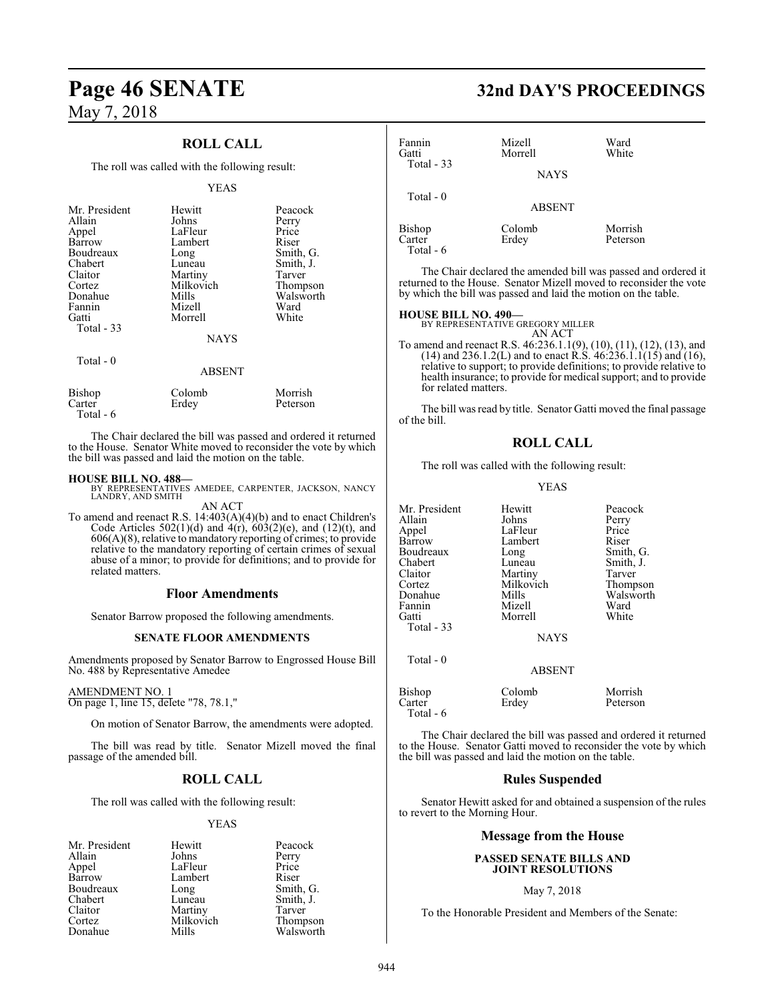### **ROLL CALL**

The roll was called with the following result:

#### YEAS

| Mr. President<br>Allain<br>Appel<br>Barrow<br>Boudreaux<br>Chabert<br>Claitor<br>Cortez<br>Donahue<br>Fannin | Hewitt<br>Johns<br>LaFleur<br>Lambert<br>Long<br>Luneau<br>Martiny<br>Milkovich<br>Mills<br>Mizell | Peacock<br>Perry<br>Price<br>Riser<br>Smith, G.<br>Smith, J.<br>Tarver<br>Thompson<br>Walsworth<br>Ward |
|--------------------------------------------------------------------------------------------------------------|----------------------------------------------------------------------------------------------------|---------------------------------------------------------------------------------------------------------|
| Gatti<br>Total $-33$                                                                                         | Morrell<br><b>NAYS</b>                                                                             | White                                                                                                   |
| Total $-0$                                                                                                   | <b>ABSENT</b>                                                                                      |                                                                                                         |
| $\mathbf{D}^*$ 1                                                                                             | $\sim$ 1 1                                                                                         | $\mathbf{M}$ $\mathbf{I}$                                                                               |

| Bishop    | Colomb | Morrish  |
|-----------|--------|----------|
| Carter    | Erdey  | Peterson |
| Total - 6 |        |          |

The Chair declared the bill was passed and ordered it returned to the House. Senator White moved to reconsider the vote by which the bill was passed and laid the motion on the table.

#### **HOUSE BILL NO. 488—**

BY REPRESENTATIVES AMEDEE, CARPENTER, JACKSON, NANCY LANDRY, AND SMITH AN ACT

To amend and reenact R.S. 14:403(A)(4)(b) and to enact Children's Code Articles  $502(1)(d)$  and  $4(r)$ ,  $603(2)(e)$ , and  $(12)(t)$ , and 606(A)(8), relative to mandatory reporting of crimes; to provide relative to the mandatory reporting of certain crimes of sexual abuse of a minor; to provide for definitions; and to provide for related matters.

#### **Floor Amendments**

Senator Barrow proposed the following amendments.

#### **SENATE FLOOR AMENDMENTS**

Amendments proposed by Senator Barrow to Engrossed House Bill No. 488 by Representative Amedee

#### AMENDMENT NO. 1

On page 1, line 15, delete "78, 78.1,"

On motion of Senator Barrow, the amendments were adopted.

The bill was read by title. Senator Mizell moved the final passage of the amended bill.

### **ROLL CALL**

The roll was called with the following result:

#### YEAS

| Mr. President | Hewitt    | Peacock               |
|---------------|-----------|-----------------------|
| Allain        | Johns     | Perry                 |
| Appel         | LaFleur   | Price                 |
| Barrow        | Lambert   | Riser                 |
| Boudreaux     | Long      | Smith, G.             |
| Chabert       | Luneau    | Smith, J.             |
| Claitor       | Martiny   | Tarver                |
| Cortez        | Milkovich |                       |
| Donahue       | Mills     | Thompson<br>Walsworth |

## **Page 46 SENATE 32nd DAY'S PROCEEDINGS**

| Fannin<br>Gatti<br>Total $-33$         | Mizell<br>Morrell<br><b>NAYS</b> | Ward<br>White       |  |
|----------------------------------------|----------------------------------|---------------------|--|
| Total $-0$                             | <b>ABSENT</b>                    |                     |  |
| <b>Bishop</b><br>Carter<br>$Total - 6$ | Colomb<br>Erdey                  | Morrish<br>Peterson |  |

The Chair declared the amended bill was passed and ordered it returned to the House. Senator Mizell moved to reconsider the vote by which the bill was passed and laid the motion on the table.

**HOUSE BILL NO. 490—** BY REPRESENTATIVE GREGORY MILLER

AN ACT To amend and reenact R.S. 46:236.1.1(9), (10), (11), (12), (13), and  $(14)$  and 236.1.2(L) and to enact R.S.  $46:236.1.1(15)$  and  $(16)$ , relative to support; to provide definitions; to provide relative to health insurance; to provide for medical support; and to provide for related matters.

The bill was read by title. Senator Gatti moved the final passage of the bill.

#### **ROLL CALL**

The roll was called with the following result:

#### YEAS

| Mr. President | Hewitt        | Peacock   |
|---------------|---------------|-----------|
| Allain        | Johns         | Perry     |
| Appel         | LaFleur       | Price     |
| <b>Barrow</b> | Lambert       | Riser     |
| Boudreaux     | Long          | Smith, G. |
| Chabert       | Luneau        | Smith, J. |
| Claitor       | Martiny       | Tarver    |
| Cortez        | Milkovich     | Thompson  |
| Donahue       | Mills         | Walsworth |
| Fannin        | Mizell        | Ward      |
| Gatti         | Morrell       | White     |
| Total - 33    |               |           |
|               | <b>NAYS</b>   |           |
| Total - 0     |               |           |
|               | <b>ABSENT</b> |           |
| Bishop        | Colomb        | Morrish   |
| Carter        | Erdey         | Peterson  |
|               |               |           |

The Chair declared the bill was passed and ordered it returned to the House. Senator Gatti moved to reconsider the vote by which the bill was passed and laid the motion on the table.

#### **Rules Suspended**

Senator Hewitt asked for and obtained a suspension of the rules to revert to the Morning Hour.

#### **Message from the House**

#### **PASSED SENATE BILLS AND JOINT RESOLUTIONS**

#### May 7, 2018

To the Honorable President and Members of the Senate:

Total - 6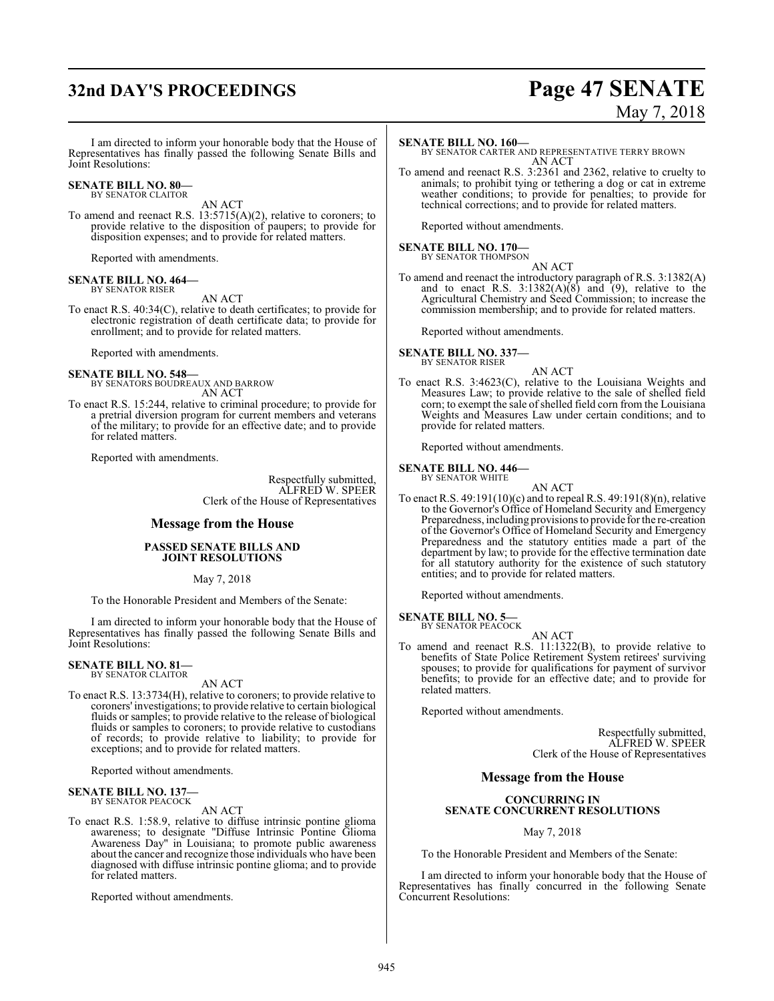## **32nd DAY'S PROCEEDINGS Page 47 SENATE**

# May 7, 2018

I am directed to inform your honorable body that the House of Representatives has finally passed the following Senate Bills and Joint Resolutions:

#### **SENATE BILL NO. 80—** BY SENATOR CLAITOR

AN ACT

To amend and reenact R.S. 13:5715(A)(2), relative to coroners; to provide relative to the disposition of paupers; to provide for disposition expenses; and to provide for related matters.

Reported with amendments.

#### **SENATE BILL NO. 464—** BY SENATOR RISER

AN ACT

To enact R.S. 40:34(C), relative to death certificates; to provide for electronic registration of death certificate data; to provide for enrollment; and to provide for related matters.

Reported with amendments.

**SENATE BILL NO. 548—** BY SENATORS BOUDREAUX AND BARROW AN ACT

To enact R.S. 15:244, relative to criminal procedure; to provide for a pretrial diversion program for current members and veterans of the military; to provide for an effective date; and to provide for related matters.

Reported with amendments.

Respectfully submitted, ALFRED W. SPEER Clerk of the House of Representatives

#### **Message from the House**

#### **PASSED SENATE BILLS AND JOINT RESOLUTIONS**

#### May 7, 2018

To the Honorable President and Members of the Senate:

I am directed to inform your honorable body that the House of Representatives has finally passed the following Senate Bills and Joint Resolutions:

#### **SENATE BILL NO. 81—** BY SENATOR CLAITOR

AN ACT

To enact R.S. 13:3734(H), relative to coroners; to provide relative to coroners' investigations; to provide relative to certain biological fluids or samples; to provide relative to the release of biological fluids or samples to coroners; to provide relative to custodians of records; to provide relative to liability; to provide for exceptions; and to provide for related matters.

Reported without amendments.

#### **SENATE BILL NO. 137—** BY SENATOR PEACOCK

AN ACT

To enact R.S. 1:58.9, relative to diffuse intrinsic pontine glioma awareness; to designate "Diffuse Intrinsic Pontine Glioma Awareness Day" in Louisiana; to promote public awareness about the cancer and recognize those individuals who have been diagnosed with diffuse intrinsic pontine glioma; and to provide for related matters.

Reported without amendments.

#### **SENATE BILL NO. 160—**

BY SENATOR CARTER AND REPRESENTATIVE TERRY BROWN AN ACT

To amend and reenact R.S. 3:2361 and 2362, relative to cruelty to animals; to prohibit tying or tethering a dog or cat in extreme weather conditions; to provide for penalties; to provide for technical corrections; and to provide for related matters.

Reported without amendments.

## **SENATE BILL NO. 170—**<br>BY SENATOR THOMPSON

AN ACT

To amend and reenact the introductory paragraph of R.S. 3:1382(A) and to enact R.S.  $3:1382(A)(8)$  and  $(9)$ , relative to the Agricultural Chemistry and Seed Commission; to increase the commission membership; and to provide for related matters.

Reported without amendments.

## **SENATE BILL NO. 337—**

BY SENATOR RISER

AN ACT To enact R.S. 3:4623(C), relative to the Louisiana Weights and Measures Law; to provide relative to the sale of shelled field corn; to exempt the sale of shelled field corn from the Louisiana Weights and Measures Law under certain conditions; and to provide for related matters.

Reported without amendments.

#### **SENATE BILL NO. 446—**

BY SENATOR WHITE

AN ACT To enact R.S. 49:191(10)(c) and to repeal R.S. 49:191(8)(n), relative to the Governor's Office of Homeland Security and Emergency Preparedness, including provisions to provide for the re-creation of the Governor's Office of Homeland Security and Emergency Preparedness and the statutory entities made a part of the department by law; to provide for the effective termination date for all statutory authority for the existence of such statutory entities; and to provide for related matters.

Reported without amendments.

### **SENATE BILL NO. 5—**

- BY SENATOR PEACOCK AN ACT
- To amend and reenact R.S. 11:1322(B), to provide relative to benefits of State Police Retirement System retirees' surviving spouses; to provide for qualifications for payment of survivor benefits; to provide for an effective date; and to provide for related matters.

Reported without amendments.

Respectfully submitted, ALFRED W. SPEER Clerk of the House of Representatives

#### **Message from the House**

#### **CONCURRING IN SENATE CONCURRENT RESOLUTIONS**

#### May 7, 2018

To the Honorable President and Members of the Senate:

I am directed to inform your honorable body that the House of Representatives has finally concurred in the following Senate Concurrent Resolutions: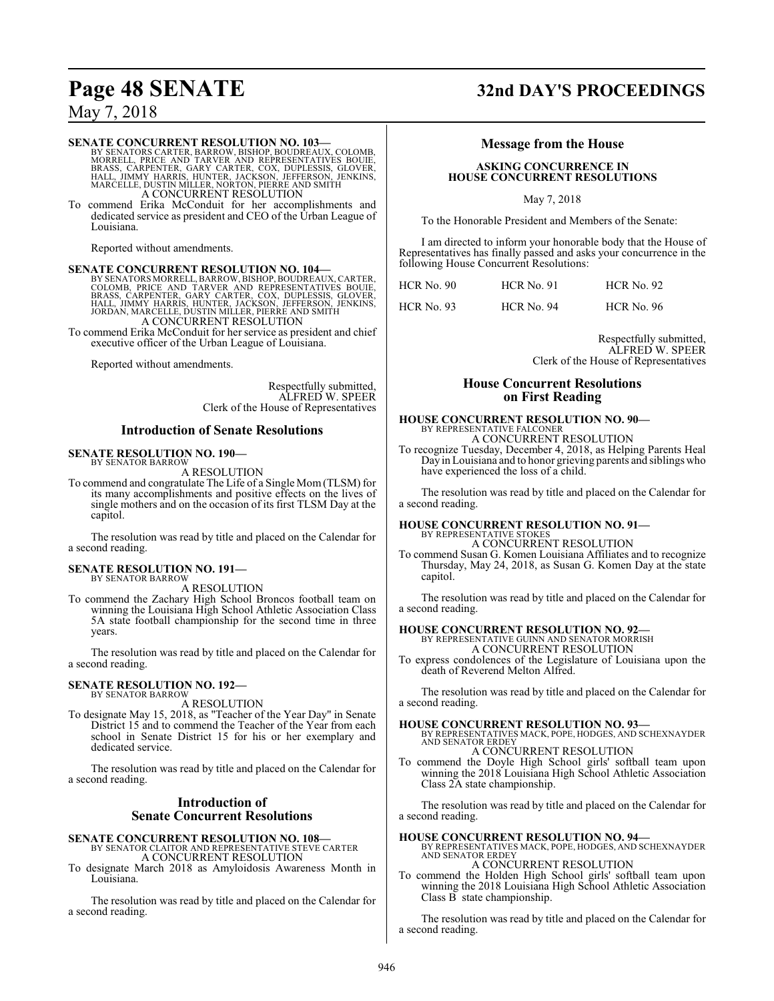#### **SENATE CONCURRENT RESOLUTION NO. 103—**

BY SENATORS CARTER, BARROW, BISHOP, BOUDREAUX, COLOMB,<br>MORRELL, PRICE AND TARVER AND REPRESENTATIVES BOUIE,<br>BRASS, CARPENTER, GARY CARTER, COX, DUPLESSIS, GLOVER,<br>HALL, JIMMY HARRIS, HUNTER, JACKSON, JEFFERSON, JENKINS,<br>MA A CONCURRENT RESOLUTION

To commend Erika McConduit for her accomplishments and dedicated service as president and CEO of the Urban League of Louisiana.

Reported without amendments.

## **SENATE CONCURRENT RESOLUTION NO. 104—** BY SENATORS MORRELL, BARROW, BISHOP, BOUDREAUX, CARTER,<br>COLOMB, PRICE AND TARVER AND REPRESENTATIVES BOUIE,<br>BRASS, CARPENTER, GARY CARTER, COX, DUPLESSIS, GLOVER,<br>HALL, JIMMY HARRIS, HUNTER, JACKSON, JEFFERSON, JENKINS,<br>JO A CONCURRENT RESOLUTION

To commend Erika McConduit for her service as president and chief executive officer of the Urban League of Louisiana.

Reported without amendments.

Respectfully submitted, ALFRED W. SPEER Clerk of the House of Representatives

#### **Introduction of Senate Resolutions**

#### **SENATE RESOLUTION NO. 190—** BY SENATOR BARROW

A RESOLUTION

To commend and congratulate The Life of a Single Mom(TLSM) for its many accomplishments and positive effects on the lives of single mothers and on the occasion of its first TLSM Day at the capitol.

The resolution was read by title and placed on the Calendar for a second reading.

#### **SENATE RESOLUTION NO. 191—** BY SENATOR BARROW

A RESOLUTION

To commend the Zachary High School Broncos football team on winning the Louisiana High School Athletic Association Class 5A state football championship for the second time in three years.

The resolution was read by title and placed on the Calendar for a second reading.

## **SENATE RESOLUTION NO. 192—** BY SENATOR BARROW

A RESOLUTION

To designate May 15, 2018, as "Teacher of the Year Day" in Senate District 15 and to commend the Teacher of the Year from each school in Senate District 15 for his or her exemplary and dedicated service.

The resolution was read by title and placed on the Calendar for a second reading.

#### **Introduction of Senate Concurrent Resolutions**

#### **SENATE CONCURRENT RESOLUTION NO. 108—** BY SENATOR CLAITOR AND REPRESENTATIVE STEVE CARTER A CONCURRENT RESOLUTION

To designate March 2018 as Amyloidosis Awareness Month in Louisiana.

The resolution was read by title and placed on the Calendar for a second reading.

## **Page 48 SENATE 32nd DAY'S PROCEEDINGS**

### **Message from the House**

#### **ASKING CONCURRENCE IN HOUSE CONCURRENT RESOLUTIONS**

May 7, 2018

To the Honorable President and Members of the Senate:

I am directed to inform your honorable body that the House of Representatives has finally passed and asks your concurrence in the following House Concurrent Resolutions:

| HCR No. 90 | <b>HCR No. 91</b> | <b>HCR No. 92</b> |
|------------|-------------------|-------------------|
| HCR No. 93 | <b>HCR No. 94</b> | <b>HCR No. 96</b> |

Respectfully submitted, ALFRED W. SPEER Clerk of the House of Representatives

#### **House Concurrent Resolutions on First Reading**

#### **HOUSE CONCURRENT RESOLUTION NO. 90—**

BY REPRESENTATIVE FALCONER A CONCURRENT RESOLUTION

To recognize Tuesday, December 4, 2018, as Helping Parents Heal Dayin Louisiana and to honor grieving parents and siblingswho have experienced the loss of a child.

The resolution was read by title and placed on the Calendar for a second reading.

## **HOUSE CONCURRENT RESOLUTION NO. 91—** BY REPRESENTATIVE STOKES

A CONCURRENT RESOLUTION

To commend Susan G. Komen Louisiana Affiliates and to recognize Thursday, May 24, 2018, as Susan G. Komen Day at the state capitol.

The resolution was read by title and placed on the Calendar for a second reading.

#### **HOUSE CONCURRENT RESOLUTION NO. 92—**

BY REPRESENTATIVE GUINN AND SENATOR MORRISH A CONCURRENT RESOLUTION

To express condolences of the Legislature of Louisiana upon the death of Reverend Melton Alfred.

The resolution was read by title and placed on the Calendar for a second reading.

#### **HOUSE CONCURRENT RESOLUTION NO. 93—**

BY REPRESENTATIVES MACK, POPE, HODGES, AND SCHEXNAYDER AND SENATOR ERDEY A CONCURRENT RESOLUTION

To commend the Doyle High School girls' softball team upon winning the 2018 Louisiana High School Athletic Association Class 2A state championship.

The resolution was read by title and placed on the Calendar for a second reading.

#### **HOUSE CONCURRENT RESOLUTION NO. 94—**

BY REPRESENTATIVES MACK, POPE, HODGES, AND SCHEXNAYDER AND SENATOR ERDEY A CONCURRENT RESOLUTION

To commend the Holden High School girls' softball team upon winning the 2018 Louisiana High School Athletic Association Class  $\overrightarrow{B}$  state championship.

The resolution was read by title and placed on the Calendar for a second reading.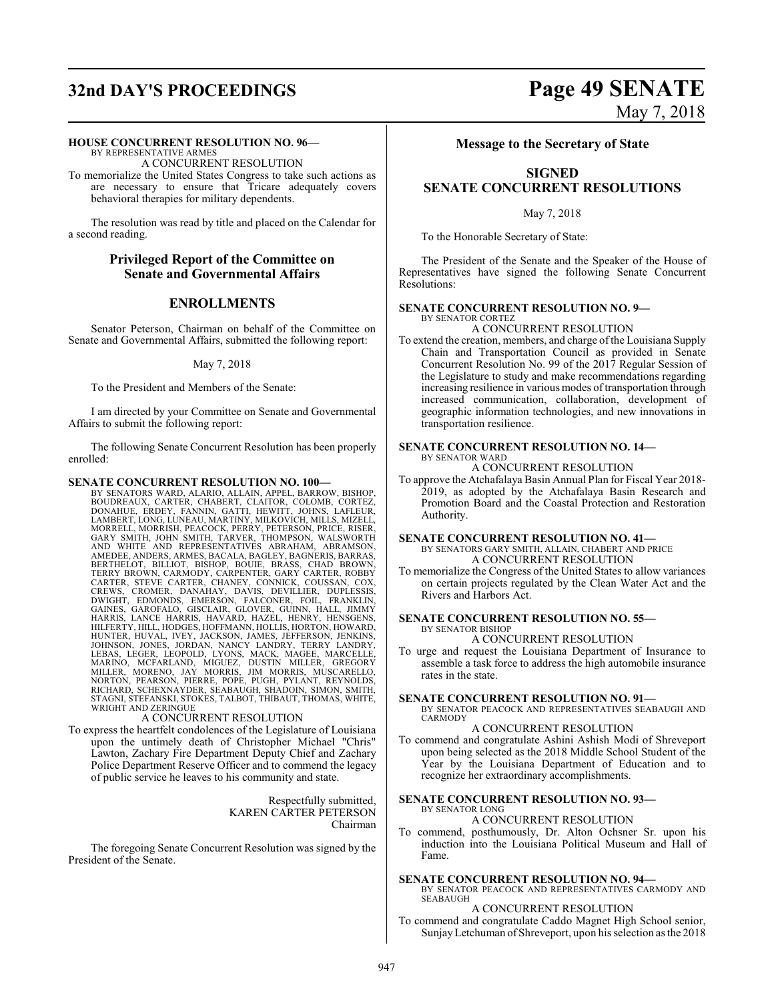# **32nd DAY'S PROCEEDINGS Page 49 SENATE**

# May 7, 2018

#### **HOUSE CONCURRENT RESOLUTION NO. 96—**

BY REPRESENTATIVE ARMES A CONCURRENT RESOLUTION

To memorialize the United States Congress to take such actions as are necessary to ensure that Tricare adequately covers behavioral therapies for military dependents.

The resolution was read by title and placed on the Calendar for a second reading.

#### **Privileged Report of the Committee on Senate and Governmental Affairs**

### **ENROLLMENTS**

Senator Peterson, Chairman on behalf of the Committee on Senate and Governmental Affairs, submitted the following report:

#### May 7, 2018

To the President and Members of the Senate:

I am directed by your Committee on Senate and Governmental Affairs to submit the following report:

The following Senate Concurrent Resolution has been properly enrolled:

#### **SENATE CONCURRENT RESOLUTION NO. 100—**

BY SENATORS WARD, ALARIO, ALLAIN, APPEL, BARROW, BISHOP, BOUDREAUX, CARTER, CHABERT, CLAITOR, COLOMB, CORTEZ,<br>DONAHUE, ERDEY, FANNIN, GATTI, HEWITT, JOHNS, LAFLEUR,<br>LAMBERT,LONG,LUNEAU,MARTINY,MILKOVICH,MILLS,MIZELL,<br>MORRELL,MORRISH,PEACOCK,PERRY,PETERSON,PRICE,RISER,<br>GARY SMITH AND WHITE AND REPRESENTATIVES ABRAHAM, ABRAMSON,<br>AMEDEE,ANDERS,ARMES,BACALA,BAGLEY,BAGNERIS,BARAS,<br>BERTHELOT, BILLIOT, BISHOP, BOUIE, BRASS, CHAD BROWN,<br>TERRY BROWN, CARMODY, CARPENTER, GARY CARTER, ROBBY<br>CARTER, STEVE CAR HILFERTY, HILL, HODGES, HOFFMANN, HOLLIS, HORTON, HOWARD, HUNTER, HUVAL, IVEY, JACKSON, JAMES, JEFFERSON, JENKINS,<br>JOHNSON, JONES, JORDAN, NANCY LANDRY, TERRY LANDRY,<br>LEBAS, LEGER, LEOPOLD, LYONS, MACK, MAGEE, MARCELLE,<br>MARINO, MCFARLAND, MIGUEZ, DUSTIN MILLER, GREGORY<br>MILLER, MO WRIGHT AND ZERINGUE

#### A CONCURRENT RESOLUTION

To express the heartfelt condolences of the Legislature of Louisiana upon the untimely death of Christopher Michael "Chris" Lawton, Zachary Fire Department Deputy Chief and Zachary Police Department Reserve Officer and to commend the legacy of public service he leaves to his community and state.

> Respectfully submitted, KAREN CARTER PETERSON Chairman

The foregoing Senate Concurrent Resolution was signed by the President of the Senate.

#### **Message to the Secretary of State**

## **SIGNED SENATE CONCURRENT RESOLUTIONS**

May 7, 2018

To the Honorable Secretary of State:

The President of the Senate and the Speaker of the House of Representatives have signed the following Senate Concurrent Resolutions:

#### **SENATE CONCURRENT RESOLUTION NO. 9—** BY SENATOR CORTEZ

A CONCURRENT RESOLUTION

To extend the creation, members, and charge ofthe Louisiana Supply Chain and Transportation Council as provided in Senate Concurrent Resolution No. 99 of the 2017 Regular Session of the Legislature to study and make recommendations regarding increasing resilience in various modes of transportation through increased communication, collaboration, development of geographic information technologies, and new innovations in transportation resilience.

#### **SENATE CONCURRENT RESOLUTION NO. 14—** BY SENATOR WARD

A CONCURRENT RESOLUTION

To approve the Atchafalaya Basin Annual Plan for Fiscal Year 2018- 2019, as adopted by the Atchafalaya Basin Research and Promotion Board and the Coastal Protection and Restoration Authority.

#### **SENATE CONCURRENT RESOLUTION NO. 41—**

BY SENATORS GARY SMITH, ALLAIN, CHABERT AND PRICE A CONCURRENT RESOLUTION

To memorialize the Congress of the United States to allow variances on certain projects regulated by the Clean Water Act and the Rivers and Harbors Act.

#### **SENATE CONCURRENT RESOLUTION NO. 55—** BY SENATOR BISHOP

A CONCURRENT RESOLUTION

To urge and request the Louisiana Department of Insurance to assemble a task force to address the high automobile insurance rates in the state.

#### **SENATE CONCURRENT RESOLUTION NO. 91—**

BY SENATOR PEACOCK AND REPRESENTATIVES SEABAUGH AND CARMODY

### A CONCURRENT RESOLUTION

To commend and congratulate Ashini Ashish Modi of Shreveport upon being selected as the 2018 Middle School Student of the Year by the Louisiana Department of Education and to recognize her extraordinary accomplishments.

#### **SENATE CONCURRENT RESOLUTION NO. 93—** BY SENATOR LONG

#### A CONCURRENT RESOLUTION

To commend, posthumously, Dr. Alton Ochsner Sr. upon his induction into the Louisiana Political Museum and Hall of Fame.

#### **SENATE CONCURRENT RESOLUTION NO. 94—**

BY SENATOR PEACOCK AND REPRESENTATIVES CARMODY AND SEABAUGH

#### A CONCURRENT RESOLUTION

To commend and congratulate Caddo Magnet High School senior, SunjayLetchuman of Shreveport, upon his selection as the 2018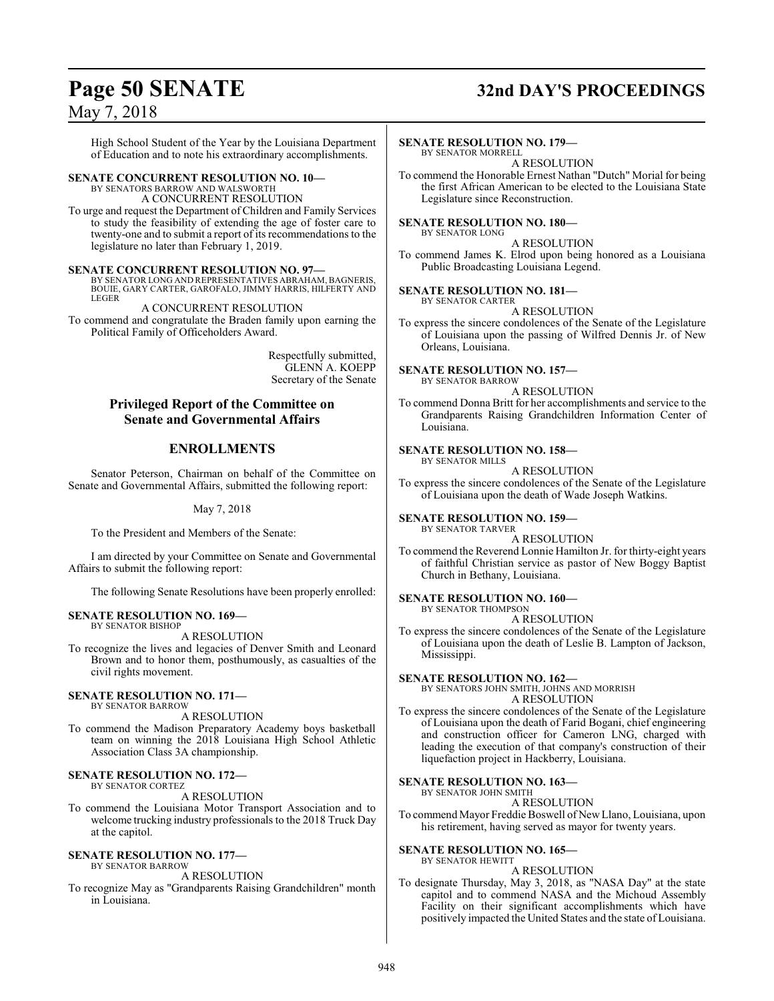## **Page 50 SENATE 32nd DAY'S PROCEEDINGS**

## May 7, 2018

High School Student of the Year by the Louisiana Department of Education and to note his extraordinary accomplishments.

#### **SENATE CONCURRENT RESOLUTION NO. 10—** BY SENATORS BARROW AND WALSWORTH

A CONCURRENT RESOLUTION

To urge and request the Department of Children and Family Services to study the feasibility of extending the age of foster care to twenty-one and to submit a report of its recommendations to the legislature no later than February 1, 2019.

#### **SENATE CONCURRENT RESOLUTION NO. 97—**

BY SENATOR LONG AND REPRESENTATIVES ABRAHAM, BAGNERIS, BOUIE, GARY CARTER, GAROFALO, JIMMY HARRIS, HILFERTY AND LEGER

A CONCURRENT RESOLUTION To commend and congratulate the Braden family upon earning the Political Family of Officeholders Award.

> Respectfully submitted, GLENN A. KOEPP Secretary of the Senate

#### **Privileged Report of the Committee on Senate and Governmental Affairs**

### **ENROLLMENTS**

Senator Peterson, Chairman on behalf of the Committee on Senate and Governmental Affairs, submitted the following report:

May 7, 2018

To the President and Members of the Senate:

I am directed by your Committee on Senate and Governmental Affairs to submit the following report:

The following Senate Resolutions have been properly enrolled:

#### **SENATE RESOLUTION NO. 169—** BY SENATOR BISHOP

A RESOLUTION

To recognize the lives and legacies of Denver Smith and Leonard Brown and to honor them, posthumously, as casualties of the civil rights movement.

#### **SENATE RESOLUTION NO. 171—** BY SENATOR BARROW

A RESOLUTION

To commend the Madison Preparatory Academy boys basketball team on winning the 2018 Louisiana High School Athletic Association Class 3A championship.

#### **SENATE RESOLUTION NO. 172—** BY SENATOR CORTEZ

#### A RESOLUTION

To commend the Louisiana Motor Transport Association and to welcome trucking industry professionals to the 2018 Truck Day at the capitol.

#### **SENATE RESOLUTION NO. 177—** BY SENATOR BARROW

#### A RESOLUTION

To recognize May as "Grandparents Raising Grandchildren" month in Louisiana.

#### **SENATE RESOLUTION NO. 179—**

BY SENATOR MORRELL A RESOLUTION

To commend the Honorable Ernest Nathan "Dutch" Morial for being the first African American to be elected to the Louisiana State Legislature since Reconstruction.

#### **SENATE RESOLUTION NO. 180—** BY SENATOR LONG

A RESOLUTION To commend James K. Elrod upon being honored as a Louisiana Public Broadcasting Louisiana Legend.

#### **SENATE RESOLUTION NO. 181—**

BY SENATOR CARTER A RESOLUTION

To express the sincere condolences of the Senate of the Legislature of Louisiana upon the passing of Wilfred Dennis Jr. of New Orleans, Louisiana.

**SENATE RESOLUTION NO. 157—** BY SENATOR BARROW

A RESOLUTION

To commend Donna Britt for her accomplishments and service to the Grandparents Raising Grandchildren Information Center of Louisiana.

#### **SENATE RESOLUTION NO. 158—** BY SENATOR MILLS

#### A RESOLUTION

To express the sincere condolences of the Senate of the Legislature of Louisiana upon the death of Wade Joseph Watkins.

#### **SENATE RESOLUTION NO. 159—** BY SENATOR TARVER

#### A RESOLUTION

To commend the Reverend Lonnie Hamilton Jr. for thirty-eight years of faithful Christian service as pastor of New Boggy Baptist Church in Bethany, Louisiana.

#### **SENATE RESOLUTION NO. 160—**

BY SENATOR THOMPSON A RESOLUTION

To express the sincere condolences of the Senate of the Legislature of Louisiana upon the death of Leslie B. Lampton of Jackson, Mississippi.

## **SENATE RESOLUTION NO. 162—**

BY SENATORS JOHN SMITH, JOHNS AND MORRISH A RESOLUTION

To express the sincere condolences of the Senate of the Legislature of Louisiana upon the death of Farid Bogani, chief engineering and construction officer for Cameron LNG, charged with leading the execution of that company's construction of their liquefaction project in Hackberry, Louisiana.

#### **SENATE RESOLUTION NO. 163—**

BY SENATOR JOHN SMITH A RESOLUTION

To commend Mayor Freddie Boswell of New Llano, Louisiana, upon his retirement, having served as mayor for twenty years.

#### **SENATE RESOLUTION NO. 165—** BY SENATOR HEWITT

A RESOLUTION

To designate Thursday, May 3, 2018, as "NASA Day" at the state capitol and to commend NASA and the Michoud Assembly Facility on their significant accomplishments which have positively impacted the United States and the state of Louisiana.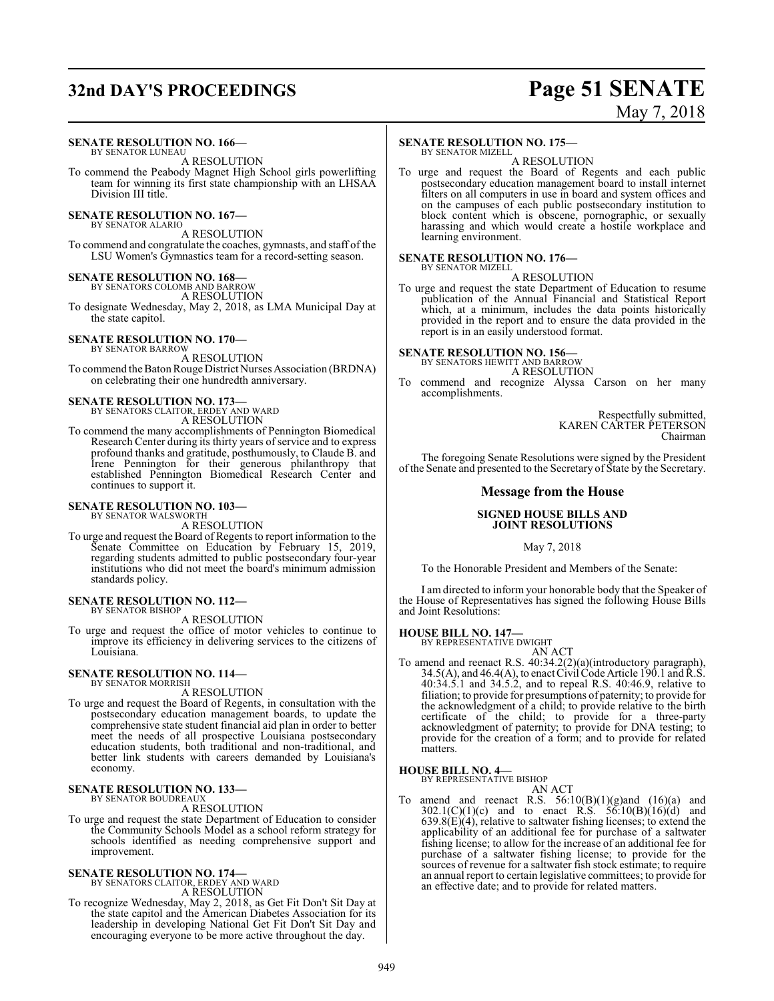## **32nd DAY'S PROCEEDINGS Page 51 SENATE**

# May 7, 2018

## **SENATE RESOLUTION NO. 166—**

BY SENATOR LUNEAU A RESOLUTION

To commend the Peabody Magnet High School girls powerlifting team for winning its first state championship with an LHSAA Division III title.

**SENATE RESOLUTION NO. 167—**

BY SENATOR ALARIO A RESOLUTION

To commend and congratulate the coaches, gymnasts, and staff of the LSU Women's Gymnastics team for a record-setting season.

# **SENATE RESOLUTION NO. 168—** BY SENATORS COLOMB AND BARROW

A RESOLUTION

To designate Wednesday, May 2, 2018, as LMA Municipal Day at the state capitol.

#### **SENATE RESOLUTION NO. 170—** BY SENATOR BARROW

A RESOLUTION To commend the Baton Rouge District Nurses Association (BRDNA) on celebrating their one hundredth anniversary.

# **SENATE RESOLUTION NO. 173—** BY SENATORS CLAITOR, ERDEY AND WARD

A RESOLUTION

To commend the many accomplishments of Pennington Biomedical Research Center during its thirty years of service and to express profound thanks and gratitude, posthumously, to Claude B. and Irene Pennington for their generous philanthropy that established Pennington Biomedical Research Center and continues to support it.

#### **SENATE RESOLUTION NO. 103—**

BY SENATOR WALSWORTH A RESOLUTION

To urge and request the Board of Regents to report information to the Senate Committee on Education by February 15, 2019, regarding students admitted to public postsecondary four-year institutions who did not meet the board's minimum admission standards policy.

#### **SENATE RESOLUTION NO. 112—** BY SENATOR BISHOP

A RESOLUTION

To urge and request the office of motor vehicles to continue to improve its efficiency in delivering services to the citizens of Louisiana.

#### **SENATE RESOLUTION NO. 114—** BY SENATOR MORRISH

A RESOLUTION

To urge and request the Board of Regents, in consultation with the postsecondary education management boards, to update the comprehensive state student financial aid plan in order to better meet the needs of all prospective Louisiana postsecondary education students, both traditional and non-traditional, and better link students with careers demanded by Louisiana's economy.

#### **SENATE RESOLUTION NO. 133—** BY SENATOR BOUDREAUX

A RESOLUTION

To urge and request the state Department of Education to consider the Community Schools Model as a school reform strategy for schools identified as needing comprehensive support and improvement.

# **SENATE RESOLUTION NO. 174—**<br>BY SENATORS CLAITOR, ERDEY AND WARD<br>A RESOLUTION

To recognize Wednesday, May 2, 2018, as Get Fit Don't Sit Day at the state capitol and the American Diabetes Association for its leadership in developing National Get Fit Don't Sit Day and encouraging everyone to be more active throughout the day.

#### **SENATE RESOLUTION NO. 175—**

BY SENATOR MIZELL A RESOLUTION

To urge and request the Board of Regents and each public postsecondary education management board to install internet filters on all computers in use in board and system offices and on the campuses of each public postsecondary institution to block content which is obscene, pornographic, or sexually harassing and which would create a hostile workplace and learning environment.

#### **SENATE RESOLUTION NO. 176—** BY SENATOR MIZELL

A RESOLUTION

To urge and request the state Department of Education to resume publication of the Annual Financial and Statistical Report which, at a minimum, includes the data points historically provided in the report and to ensure the data provided in the report is in an easily understood format.

## **SENATE RESOLUTION NO. 156—** BY SENATORS HEWITT AND BARROW

A RESOLUTION

To commend and recognize Alyssa Carson on her many accomplishments.

> Respectfully submitted, KAREN CARTER PETERSON Chairman

The foregoing Senate Resolutions were signed by the President ofthe Senate and presented to the Secretary of State by the Secretary.

#### **Message from the House**

#### **SIGNED HOUSE BILLS AND JOINT RESOLUTIONS**

May 7, 2018

To the Honorable President and Members of the Senate:

I am directed to inform your honorable body that the Speaker of the House of Representatives has signed the following House Bills and Joint Resolutions:

**HOUSE BILL NO. 147—** BY REPRESENTATIVE DWIGHT

AN ACT

To amend and reenact R.S. 40:34.2(2)(a)(introductory paragraph),  $34.5(A)$ , and  $46.4(A)$ , to enact Civil Code Article 190.1 and R.S. 40:34.5.1 and 34.5.2, and to repeal R.S. 40:46.9, relative to filiation; to provide for presumptions of paternity; to provide for the acknowledgment of a child; to provide relative to the birth certificate of the child; to provide for a three-party acknowledgment of paternity; to provide for DNA testing; to provide for the creation of a form; and to provide for related matters.

#### **HOUSE BILL NO. 4—**

BY REPRESENTATIVE BISHOP AN ACT

To amend and reenact R.S.  $56:10(B)(1)(g)$ and  $(16)(a)$  and  $302.1(C)(1)(c)$  and to enact R.S.  $56:10(B)(16)(d)$  and  $639.8(E)(4)$ , relative to saltwater fishing licenses; to extend the applicability of an additional fee for purchase of a saltwater fishing license; to allow for the increase of an additional fee for purchase of a saltwater fishing license; to provide for the sources of revenue for a saltwater fish stock estimate; to require an annual report to certain legislative committees; to provide for an effective date; and to provide for related matters.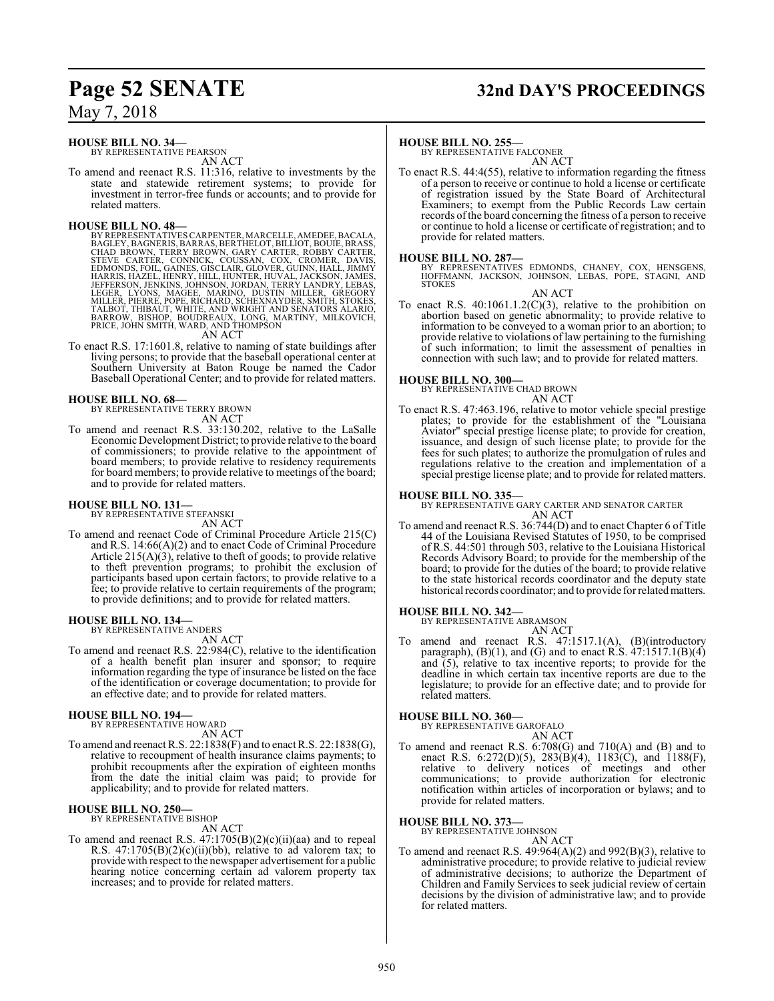#### **HOUSE BILL NO. 34—**

BY REPRESENTATIVE PEARSON AN ACT

To amend and reenact R.S. 11:316, relative to investments by the state and statewide retirement systems; to provide for investment in terror-free funds or accounts; and to provide for related matters.

HOUSE BILL NO. 48—<br>BY REPRESENTATIVES CARPENTER, MARCELLE, AMEDEE, BACALA,<br>BAGLEY, BAGNERIS, BARRAS, BERTHELOT, BILLIOT, BOUIE, BRASS,<br>CHAD BROWN, TERRY BROWN, GARY CARTER, ROBBY CARTER,<br>STEVE CARTER, CONNICK, COUSSAN, COX

To enact R.S. 17:1601.8, relative to naming of state buildings after living persons; to provide that the baseball operational center at Southern University at Baton Rouge be named the Cador Baseball Operational Center; and to provide for related matters.

#### **HOUSE BILL NO. 68—**

BY REPRESENTATIVE TERRY BROWN AN ACT

To amend and reenact R.S. 33:130.202, relative to the LaSalle Economic Development District; to provide relative to the board of commissioners; to provide relative to the appointment of board members; to provide relative to residency requirements for board members; to provide relative to meetings of the board; and to provide for related matters.

## **HOUSE BILL NO. 131—** BY REPRESENTATIVE STEFANSKI

AN ACT

To amend and reenact Code of Criminal Procedure Article 215(C) and R.S. 14:66(A)(2) and to enact Code of Criminal Procedure Article  $215(A)(3)$ , relative to theft of goods; to provide relative to theft prevention programs; to prohibit the exclusion of participants based upon certain factors; to provide relative to a fee; to provide relative to certain requirements of the program; to provide definitions; and to provide for related matters.

## **HOUSE BILL NO. 134—** BY REPRESENTATIVE ANDERS

AN ACT

To amend and reenact R.S. 22:984(C), relative to the identification of a health benefit plan insurer and sponsor; to require information regarding the type of insurance be listed on the face of the identification or coverage documentation; to provide for an effective date; and to provide for related matters.

#### **HOUSE BILL NO. 194—**

BY REPRESENTATIVE HOWARD AN ACT

To amend and reenact R.S. 22:1838(F) and to enact R.S. 22:1838(G), relative to recoupment of health insurance claims payments; to prohibit recoupments after the expiration of eighteen months from the date the initial claim was paid; to provide for applicability; and to provide for related matters.

#### **HOUSE BILL NO. 250—** BY REPRESENTATIVE BISHOP

AN ACT

To amend and reenact R.S.  $47:1705(B)(2)(c)(ii)(aa)$  and to repeal R.S.  $47:1705(B)(2)(c)(ii)(bb)$ , relative to ad valorem tax; to provide with respect to the newspaper advertisement for a public hearing notice concerning certain ad valorem property tax increases; and to provide for related matters.

## **Page 52 SENATE 32nd DAY'S PROCEEDINGS**

#### **HOUSE BILL NO. 255—**

BY REPRESENTATIVE FALCONER AN ACT

To enact R.S. 44:4(55), relative to information regarding the fitness of a person to receive or continue to hold a license or certificate of registration issued by the State Board of Architectural Examiners; to exempt from the Public Records Law certain records ofthe board concerning the fitness of a person to receive or continue to hold a license or certificate of registration; and to provide for related matters.

#### **HOUSE BILL NO. 287—**

BY REPRESENTATIVES EDMONDS, CHANEY, COX, HENSGENS, HOFFMANN, JACKSON, JOHNSON, LEBAS, POPE, STAGNI, AND **STOKES** 

AN ACT

To enact R.S. 40:1061.1.2(C)(3), relative to the prohibition on abortion based on genetic abnormality; to provide relative to information to be conveyed to a woman prior to an abortion; to provide relative to violations of law pertaining to the furnishing of such information; to limit the assessment of penalties in connection with such law; and to provide for related matters.

**HOUSE BILL NO. 300—** BY REPRESENTATIVE CHAD BROWN

### AN ACT

To enact R.S. 47:463.196, relative to motor vehicle special prestige plates; to provide for the establishment of the "Louisiana Aviator" special prestige license plate; to provide for creation, issuance, and design of such license plate; to provide for the fees for such plates; to authorize the promulgation of rules and regulations relative to the creation and implementation of a special prestige license plate; and to provide for related matters.

#### **HOUSE BILL NO. 335—**

BY REPRESENTATIVE GARY CARTER AND SENATOR CARTER AN ACT

To amend and reenact R.S. 36:744(D) and to enact Chapter 6 of Title 44 of the Louisiana Revised Statutes of 1950, to be comprised of R.S. 44:501 through 503, relative to the Louisiana Historical Records Advisory Board; to provide for the membership of the board; to provide for the duties of the board; to provide relative to the state historical records coordinator and the deputy state historical records coordinator; and to provide for relatedmatters.

#### **HOUSE BILL NO. 342—**

BY REPRESENTATIVE ABRAMSON

- AN ACT
- To amend and reenact R.S. 47:1517.1(A), (B)(introductory paragraph),  $(B)(1)$ , and  $(G)$  and to enact R.S.  $47:1517.1(B)(4)$ and (5), relative to tax incentive reports; to provide for the deadline in which certain tax incentive reports are due to the legislature; to provide for an effective date; and to provide for related matters.

#### **HOUSE BILL NO. 360—**

BY REPRESENTATIVE GAROFALO

AN ACT To amend and reenact R.S. 6:708(G) and 710(A) and (B) and to enact R.S. 6:272(D)(5), 283(B)(4), 1183(C), and 1188(F), relative to delivery notices of meetings and other communications; to provide authorization for electronic notification within articles of incorporation or bylaws; and to provide for related matters.

**HOUSE BILL NO. 373—** BY REPRESENTATIVE JOHNSON

- AN ACT
- To amend and reenact R.S.  $49:964(A)(2)$  and  $992(B)(3)$ , relative to administrative procedure; to provide relative to judicial review of administrative decisions; to authorize the Department of Children and Family Services to seek judicial review of certain decisions by the division of administrative law; and to provide for related matters.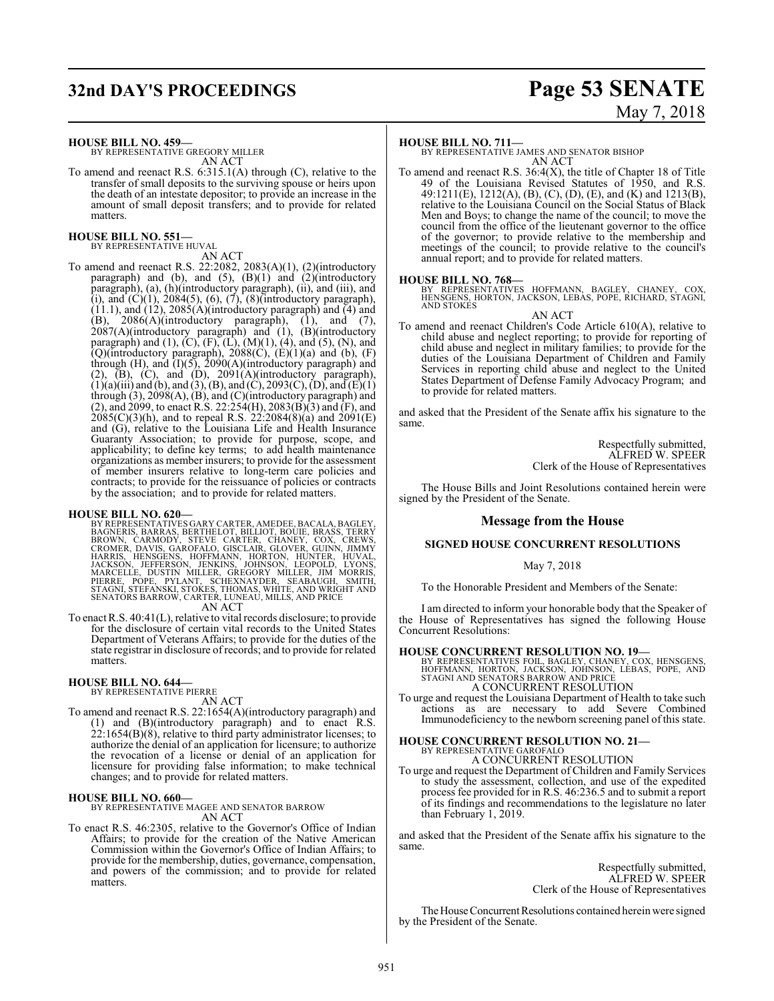# **32nd DAY'S PROCEEDINGS Page 53 SENATE**

# May 7, 2018

**HOUSE BILL NO. 459—**

BY REPRESENTATIVE GREGORY MILLER AN ACT

To amend and reenact R.S. 6:315.1(A) through (C), relative to the transfer of small deposits to the surviving spouse or heirs upon the death of an intestate depositor; to provide an increase in the amount of small deposit transfers; and to provide for related matters.

#### **HOUSE BILL NO. 551—** BY REPRESENTATIVE HUVAL

AN ACT

To amend and reenact R.S. 22:2082, 2083(A)(1), (2)(introductory paragraph) and (b), and  $(5)$ ,  $(B)(1)$  and  $(2)$ (introductory paragraph), (a), (h)(introductory paragraph), (ii), and (iii), and (i), and  $(C)(1)$ , 2084(5), (6), (7), (8)(introductory paragraph),  $(11.1)$ , and  $(12)$ , 2085(A)(introductory paragraph) and (4) and  $(B)$ , 2086 $(A)$ (introductory paragraph),  $(1)$ , and  $(7)$ , 2087(A)(introductory paragraph) and (1), (B)(introductory paragraph) and  $(1)$ ,  $(C)$ ,  $(F)$ ,  $(L)$ ,  $(M)(1)$ ,  $(4)$ , and  $(5)$ ,  $(N)$ , and  $(Q)$ (introductory paragraph), 2088 $(C)$ ,  $(E)(1)(a)$  and  $(b)$ ,  $(F)$ through (H), and  $(I)(5)$ , 2090(A)(introductory paragraph) and  $(2)$ ,  $(B)$ ,  $(C)$ , and  $(D)$ ,  $2091(A)$ (introductory paragraph),  $(1)(a)$ (iii) and (b), and (3), (B), and (C), 2093(C), (D), and (E)(1) through (3), 2098(A), (B), and (C)(introductory paragraph) and (2), and 2099, to enact R.S. 22:254(H), 2083(B)(3) and (F), and 2085(C)(3)(h), and to repeal R.S. 22:2084(8)(a) and 2091(E) and (G), relative to the Louisiana Life and Health Insurance Guaranty Association; to provide for purpose, scope, and applicability; to define key terms; to add health maintenance organizations as member insurers; to provide for the assessment of member insurers relative to long-term care policies and contracts; to provide for the reissuance of policies or contracts by the association; and to provide for related matters.

HOUSE BILL NO. 620—<br>BY REPRESENTATIVES GARY CARTER, AMEDEE, BACALA, BAGLEY, BAGNERIS, BARRAS, BERTHELOT, BILLIOT, BOUIE, BRASS, TERRY<br>BROWN, CARMODY, STEVE CARTER, CHANEY, COX, CREWS,<br>CROMER, DAVIS, GAROFALO, GISCLAIR, GLO

AN ACT

To enact R.S. 40:41(L), relative to vital records disclosure; to provide for the disclosure of certain vital records to the United States Department of Veterans Affairs; to provide for the duties of the state registrar in disclosure of records; and to provide for related matters.

## **HOUSE BILL NO. 644—** BY REPRESENTATIVE PIERRE

AN ACT

To amend and reenact R.S. 22:1654(A)(introductory paragraph) and (1) and (B)(introductory paragraph) and to enact R.S.  $22:1654(B)(8)$ , relative to third party administrator licenses; to authorize the denial of an application for licensure; to authorize the revocation of a license or denial of an application for licensure for providing false information; to make technical changes; and to provide for related matters.

#### **HOUSE BILL NO. 660—**

BY REPRESENTATIVE MAGEE AND SENATOR BARROW AN ACT

To enact R.S. 46:2305, relative to the Governor's Office of Indian Affairs; to provide for the creation of the Native American Commission within the Governor's Office of Indian Affairs; to provide for the membership, duties, governance, compensation, and powers of the commission; and to provide for related matters.

#### **HOUSE BILL NO. 711—**

BY REPRESENTATIVE JAMES AND SENATOR BISHOP AN ACT

To amend and reenact R.S. 36:4(X), the title of Chapter 18 of Title 49 of the Louisiana Revised Statutes of 1950, and R.S. 49:1211(E), 1212(A), (B), (C), (D), (E), and (K) and 1213(B), relative to the Louisiana Council on the Social Status of Black Men and Boys; to change the name of the council; to move the council from the office of the lieutenant governor to the office of the governor; to provide relative to the membership and meetings of the council; to provide relative to the council's annual report; and to provide for related matters.

#### **HOUSE BILL NO. 768—**

BY REPRESENTATIVES HOFFMANN, BAGLEY, CHANEY, COX, HENSGENS, HORTON, JACKSON, LEBAS, POPE, RICHARD, STAGNI, AND STOKES

AN ACT

To amend and reenact Children's Code Article 610(A), relative to child abuse and neglect reporting; to provide for reporting of child abuse and neglect in military families; to provide for the duties of the Louisiana Department of Children and Family Services in reporting child abuse and neglect to the United States Department of Defense Family Advocacy Program; and to provide for related matters.

and asked that the President of the Senate affix his signature to the same.

> Respectfully submitted, ALFRED W. SPEER Clerk of the House of Representatives

The House Bills and Joint Resolutions contained herein were signed by the President of the Senate.

#### **Message from the House**

#### **SIGNED HOUSE CONCURRENT RESOLUTIONS**

May 7, 2018

To the Honorable President and Members of the Senate:

I am directed to inform your honorable body that the Speaker of the House of Representatives has signed the following House Concurrent Resolutions:

**HOUSE CONCURRENT RESOLUTION NO. 19—**<br>
BY REPRESENTATIVES FOIL, BAGLEY, CHANEY, COX, HENSGENS,<br>
HOFFMANN, HORTON, JACKSON, JOHNSON, LEBAS, POPE, AND<br>
STAGNI AND SENATORS BARROW AND PRICE A CONCURRENT RESOLUTION

To urge and request the Louisiana Department of Health to take such actions as are necessary to add Severe Combined Immunodeficiency to the newborn screening panel of this state.

## **HOUSE CONCURRENT RESOLUTION NO. 21—** BY REPRESENTATIVE GAROFALO A CONCURRENT RESOLUTION

To urge and request the Department of Children and Family Services to study the assessment, collection, and use of the expedited process fee provided for in R.S. 46:236.5 and to submit a report of its findings and recommendations to the legislature no later than February 1, 2019.

and asked that the President of the Senate affix his signature to the same.

> Respectfully submitted, ALFRED W. SPEER Clerk of the House of Representatives

The House Concurrent Resolutions contained herein were signed by the President of the Senate.